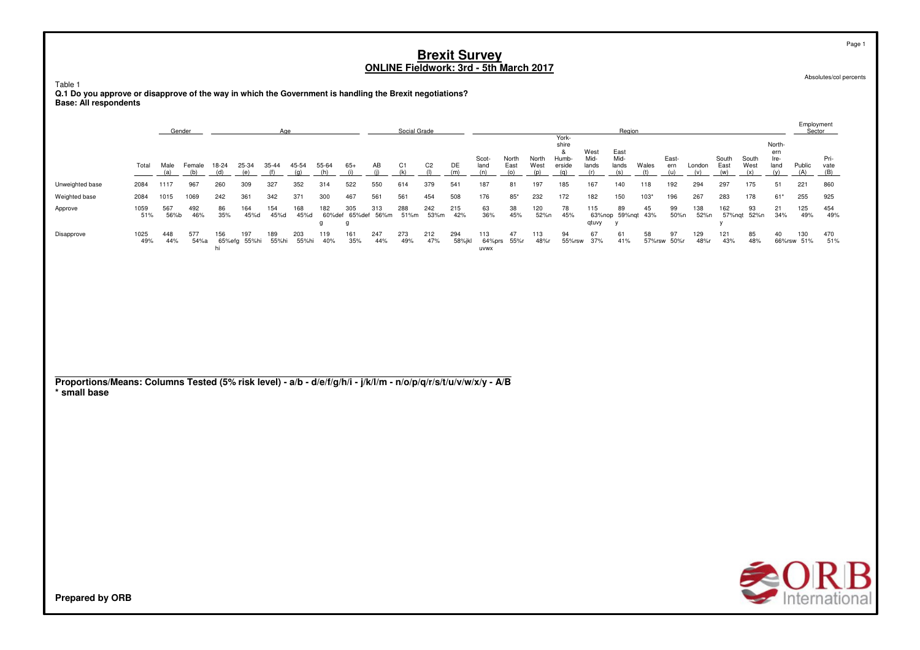Table 1

**Q.1 Do you approve or disapprove of the way in which the Government is handling the Brexit negotiations? Base: All respondents**

|                                                                                                                                 |             |             | Gender        |              |                     | Age          |              |                     |                                       |            | Social Grade          |                       |               |                       |                      |                      |                                               |                              | Region                                  |              |                     |               |                      |                      |                                      | Employment<br>Sector |                     |
|---------------------------------------------------------------------------------------------------------------------------------|-------------|-------------|---------------|--------------|---------------------|--------------|--------------|---------------------|---------------------------------------|------------|-----------------------|-----------------------|---------------|-----------------------|----------------------|----------------------|-----------------------------------------------|------------------------------|-----------------------------------------|--------------|---------------------|---------------|----------------------|----------------------|--------------------------------------|----------------------|---------------------|
|                                                                                                                                 | Total       | Male<br>(a) | Female<br>(b) | 18-24<br>(d) | 25-34<br>(e)        | 35-44<br>(f) | 45-54<br>(q) | 55-64<br>(h)        | $65+$<br>(i)                          | AB<br>(i)  | C <sub>1</sub><br>(k) | C <sub>2</sub><br>(1) | DE<br>(m)     | Scot-<br>land<br>(n)  | North<br>East<br>(o) | North<br>West<br>(p) | York-<br>shire<br>&<br>Humb-<br>erside<br>(q) | West<br>Mid-<br>lands<br>(r) | East<br>Mid-<br>lands<br>(s)            | Wales<br>(t) | East-<br>ern<br>(u) | London<br>(v) | South<br>East<br>(w) | South<br>West<br>(x) | North-<br>ern<br>Ire-<br>land<br>(y) | Public<br>(A)        | Pri-<br>vate<br>(B) |
| Unweighted base                                                                                                                 | 2084        | 1117        | 967           | 260          | 309                 | 327          | 352          | 314                 | 522                                   | 550        | 614                   | 379                   | 541           | 187                   | 81                   | 197                  | 185                                           | 167                          | 140                                     | 118          | 192                 | 294           | 297                  | 175                  | 51                                   | 221                  | 860                 |
| Weighted base                                                                                                                   | 2084        | 1015        | 1069          | 242          | 361                 | 342          | 371          | 300                 | 467                                   | 561        | 561                   | 454                   | 508           | 176                   | $85^{\circ}$         | 232                  | 172                                           | 182                          | 150                                     | $103*$       | 196                 | 267           | 283                  | 178                  | $61*$                                | 255                  | 925                 |
| Approve                                                                                                                         | 1059<br>51% | 567<br>56%b | 492<br>46%    | 86<br>35%    | 164<br>45%d         | 154<br>45%d  | 168<br>45%d  | 182<br>$\mathsf{q}$ | 305<br>60%def 65%def 56%m<br>$\alpha$ | 313        | 288<br>51%m           | 242<br>53%m           | 215<br>42%    | 63<br>36%             | 38<br>45%            | 120<br>52%n          | 78<br>45%                                     | 115<br>qtuvy                 | 89<br>63%nop 59%nqt 43%<br>$\mathsf{v}$ | 45           | 99<br>50%n          | 138<br>52%n   | 162<br>$\mathsf{v}$  | 93<br>57%nqt 52%n    | 21<br>34%                            | 125<br>49%           | 454<br>49%          |
| Disapprove                                                                                                                      | 1025<br>49% | 448<br>44%  | 577<br>54%a   | 156<br>hi    | 197<br>65%efg 55%hi | 189<br>55%hi | 203<br>55%hi | 119<br>40%          | 161<br>35%                            | 247<br>44% | 273<br>49%            | 212<br>47%            | 294<br>58%jkl | 113<br>64%prs<br>uvwx | 47<br>55%r           | 113<br>48%r          | 94<br>55%rsw                                  | 67<br>37%                    | 61<br>41%                               | 58           | 97<br>57%rsw 50%r   | 129<br>48%r   | 121<br>43%           | 85<br>48%            | 40                                   | 130<br>66%rsw 51%    | 470<br>51%          |
|                                                                                                                                 |             |             |               |              |                     |              |              |                     |                                       |            |                       |                       |               |                       |                      |                      |                                               |                              |                                         |              |                     |               |                      |                      |                                      |                      |                     |
|                                                                                                                                 |             |             |               |              |                     |              |              |                     |                                       |            |                       |                       |               |                       |                      |                      |                                               |                              |                                         |              |                     |               |                      |                      |                                      |                      |                     |
|                                                                                                                                 |             |             |               |              |                     |              |              |                     |                                       |            |                       |                       |               |                       |                      |                      |                                               |                              |                                         |              |                     |               |                      |                      |                                      |                      |                     |
|                                                                                                                                 |             |             |               |              |                     |              |              |                     |                                       |            |                       |                       |               |                       |                      |                      |                                               |                              |                                         |              |                     |               |                      |                      |                                      |                      |                     |
| Proportions/Means: Columns Tested (5% risk level) - a/b - d/e/f/g/h/i - j/k/l/m - n/o/p/q/r/s/t/u/v/w/x/y - A/B<br>* small base |             |             |               |              |                     |              |              |                     |                                       |            |                       |                       |               |                       |                      |                      |                                               |                              |                                         |              |                     |               |                      |                      |                                      |                      |                     |
|                                                                                                                                 |             |             |               |              |                     |              |              |                     |                                       |            |                       |                       |               |                       |                      |                      |                                               |                              |                                         |              |                     |               |                      |                      |                                      |                      |                     |
|                                                                                                                                 |             |             |               |              |                     |              |              |                     |                                       |            |                       |                       |               |                       |                      |                      |                                               |                              |                                         |              |                     |               |                      |                      |                                      |                      |                     |
|                                                                                                                                 |             |             |               |              |                     |              |              |                     |                                       |            |                       |                       |               |                       |                      |                      |                                               |                              |                                         |              |                     |               |                      |                      |                                      |                      |                     |
|                                                                                                                                 |             |             |               |              |                     |              |              |                     |                                       |            |                       |                       |               |                       |                      |                      |                                               |                              |                                         |              |                     |               |                      |                      |                                      |                      |                     |
|                                                                                                                                 |             |             |               |              |                     |              |              |                     |                                       |            |                       |                       |               |                       |                      |                      |                                               |                              |                                         |              |                     |               |                      |                      |                                      |                      |                     |
|                                                                                                                                 |             |             |               |              |                     |              |              |                     |                                       |            |                       |                       |               |                       |                      |                      |                                               |                              |                                         |              |                     |               |                      |                      |                                      |                      |                     |
|                                                                                                                                 |             |             |               |              |                     |              |              |                     |                                       |            |                       |                       |               |                       |                      |                      |                                               |                              |                                         |              |                     |               |                      |                      |                                      |                      | $\triangle$ OR      |
|                                                                                                                                 |             |             |               |              |                     |              |              |                     |                                       |            |                       |                       |               |                       |                      |                      |                                               |                              |                                         |              |                     |               |                      |                      |                                      |                      |                     |

Page 1

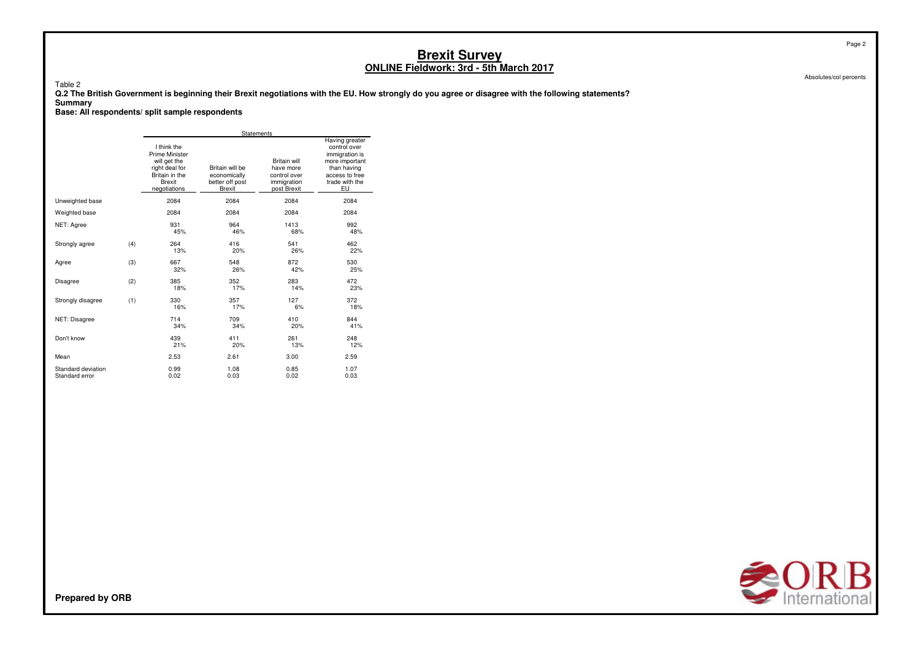Table 2

 **Q.2 The British Government is beginning their Brexit negotiations with the EU. How strongly do you agree or disagree with the following statements?Summary**

**Base: All respondents/ split sample respondents**

|                                      |     |                                                                                                             | Statements                                                   |                                                                                |                                                                                                                             |
|--------------------------------------|-----|-------------------------------------------------------------------------------------------------------------|--------------------------------------------------------------|--------------------------------------------------------------------------------|-----------------------------------------------------------------------------------------------------------------------------|
|                                      |     | I think the<br>Prime Minister<br>will get the<br>right deal for<br>Britain in the<br>Brexit<br>negotiations | Britain will be<br>economically<br>better off post<br>Brexit | <b>Britain will</b><br>have more<br>control over<br>immigration<br>post Brexit | Having greater<br>control over<br>immigration is<br>more important<br>than having<br>access to free<br>trade with the<br>EU |
| Unweighted base                      |     | 2084                                                                                                        | 2084                                                         | 2084                                                                           | 2084                                                                                                                        |
| Weighted base                        |     | 2084                                                                                                        | 2084                                                         | 2084                                                                           | 2084                                                                                                                        |
| NET: Agree                           |     | 931<br>45%                                                                                                  | 964<br>46%                                                   | 1413<br>68%                                                                    | 992<br>48%                                                                                                                  |
| Strongly agree                       | (4) | 264<br>13%                                                                                                  | 416<br>20%                                                   | 541<br>26%                                                                     | 462<br>22%                                                                                                                  |
| Agree                                | (3) | 667<br>32%                                                                                                  | 548<br>26%                                                   | 872<br>42%                                                                     | 530<br>25%                                                                                                                  |
| <b>Disagree</b>                      | (2) | 385<br>18%                                                                                                  | 352<br>17%                                                   | 283<br>14%                                                                     | 472<br>23%                                                                                                                  |
| Strongly disagree                    | (1) | 330<br>16%                                                                                                  | 357<br>17%                                                   | 127<br>6%                                                                      | 372<br>18%                                                                                                                  |
| NET: Disagree                        |     | 714<br>34%                                                                                                  | 709<br>34%                                                   | 410<br>20%                                                                     | 844<br>41%                                                                                                                  |
| Don't know                           |     | 439<br>21%                                                                                                  | 411<br>20%                                                   | 261<br>13%                                                                     | 248<br>12%                                                                                                                  |
| Mean                                 |     | 2.53                                                                                                        | 2.61                                                         | 3.00                                                                           | 2.59                                                                                                                        |
| Standard deviation<br>Standard error |     | 0.99<br>0.02                                                                                                | 1.08<br>0.03                                                 | 0.85<br>0.02                                                                   | 1.07<br>0.03                                                                                                                |



Page 2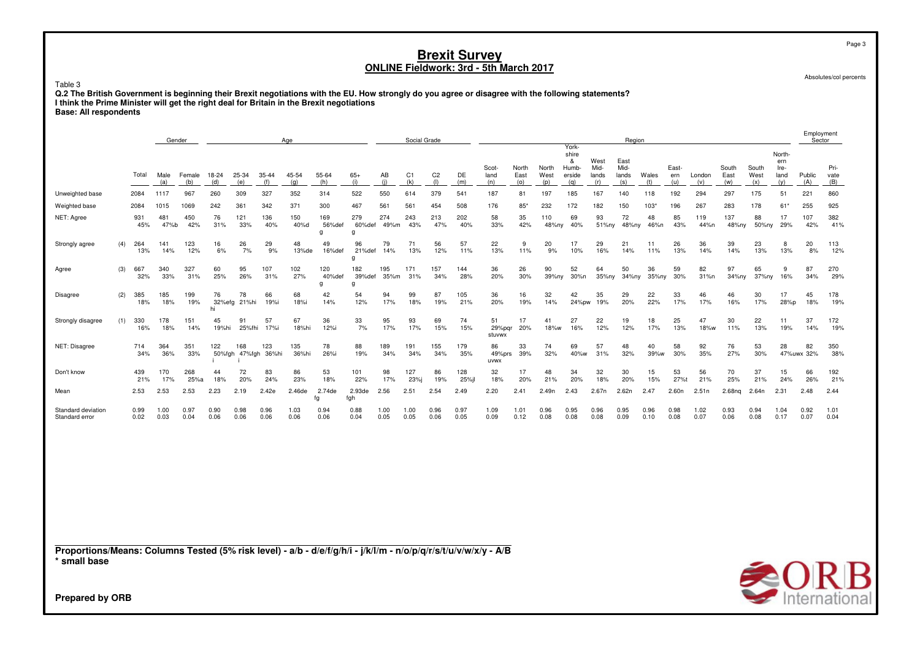Absolutes/col percents

Page 3

Employment

Table 3 **Q.2 The British Government is beginning their Brexit negotiations with the EU. How strongly do you agree or disagree with the following statements?I think the Prime Minister will get the right deal for Britain in the Brexit negotiations**

| <b>Base: All respondents</b> |  |
|------------------------------|--|
|                              |  |

|                                      |     |              | Gender       |               |              |                            |                   | Age          |                    |                    |              | Social Grade |                          |              |                        |                      |                      |                                               |                              | Region                       |              |                     |               |                      |                      |                                      |                  | $-$ p.v.,<br>Sector |
|--------------------------------------|-----|--------------|--------------|---------------|--------------|----------------------------|-------------------|--------------|--------------------|--------------------|--------------|--------------|--------------------------|--------------|------------------------|----------------------|----------------------|-----------------------------------------------|------------------------------|------------------------------|--------------|---------------------|---------------|----------------------|----------------------|--------------------------------------|------------------|---------------------|
|                                      |     | Total        | Male<br>(a)  | Female<br>(b) | 18-24<br>(d) | 25-34<br>(e)               | 35-44<br>(f)      | 45-54<br>(q) | 55-64<br>(h)       | $65+$<br>(i)       | AB<br>(i)    | C1<br>(k)    | C <sub>2</sub><br>$($  ) | DE<br>(m)    | Scot-<br>land<br>(n)   | North<br>East<br>(0) | North<br>West<br>(p) | York-<br>shire<br>&<br>Humb-<br>erside<br>(q) | West<br>Mid-<br>lands<br>(r) | East<br>Mid-<br>lands<br>(s) | Wales<br>(t) | East-<br>ern<br>(u) | London<br>(v) | South<br>East<br>(w) | South<br>West<br>(x) | North-<br>ern<br>Ire-<br>land<br>(y) | Public<br>(A)    | Pri-<br>vate<br>(B) |
| Unweighted base                      |     | 2084         | 1117         | 967           | 260          | 309                        | 327               | 352          | 314                | 522                | 550          | 614          | 379                      | 541          | 187                    | 81                   | 197                  | 185                                           | 167                          | 140                          | 118          | 192                 | 294           | 297                  | 175                  | 51                                   | 221              | 860                 |
| Weighted base                        |     | 2084         | 1015         | 1069          | 242          | 361                        | 342               | 371          | 300                | 467                | 561          | 561          | 454                      | 508          | 176                    | $85*$                | 232                  | 172                                           | 182                          | 150                          | 103'         | 196                 | 267           | 283                  | 178                  | 61*                                  | 255              | 925                 |
| NET: Agree                           |     | 931<br>45%   | 481<br>47%b  | 450<br>42%    | 76<br>31%    | 121<br>33%                 | 136<br>40%        | 150<br>40%d  | 169<br>56%def<br>g | 279<br>60%def<br>g | 274<br>49%m  | 243<br>43%   | 213<br>47%               | 202<br>40%   | 58<br>33%              | 35<br>42%            | 110<br>48%ny         | 69<br>40%                                     | 93<br>51%nv                  | 72<br>48%ny                  | 48<br>46%n   | 85<br>43%           | 119<br>44%n   | 137<br>48%ny         | 88<br>50%ny          | 17<br>29%                            | 107<br>42%       | 382<br>41%          |
| Strongly agree                       | (4) | 264<br>13%   | 141<br>14%   | 123<br>12%    | 16<br>6%     | 26<br>7%                   | 29<br>9%          | 48<br>13%de  | 49<br>16%def       | 96<br>21%def<br>g  | 79<br>14%    | 71<br>13%    | 56<br>12%                | 57<br>11%    | 22<br>13%              | 9<br>11%             | 20<br>9%             | 17<br>10%                                     | 29<br>16%                    | 21<br>14%                    | 11<br>11%    | 26<br>13%           | 36<br>14%     | 39<br>14%            | 23<br>13%            | 8<br>13%                             | 20<br>8%         | 113<br>12%          |
| Agree                                | (3) | 667<br>32%   | 340<br>33%   | 327<br>31%    | 60<br>25%    | 95<br>26%                  | 107<br>31%        | 102<br>27%   | 120<br>40%def<br>a | 182<br>39%def<br>a | 195<br>35%m  | 171<br>31%   | 157<br>34%               | 144<br>28%   | 36<br>20%              | 26<br>30%            | 90<br>39%ny          | 52<br>30%n                                    | 64<br>35%ny                  | 50<br>34%ny                  | 36<br>35%ny  | 59<br>30%           | 82<br>31%n    | 97<br>34%ny          | 65<br>37%ny          | 9<br>16%                             | 87<br>34%        | 270<br>29%          |
| Disagree                             | (2) | 385<br>18%   | 185<br>18%   | 199<br>19%    | 76<br>hi     | 78<br>32%efg 21%hi         | 66<br>19%i        | 68<br>18%i   | 42<br>14%          | 54<br>12%          | 94<br>17%    | 99<br>18%    | 87<br>19%                | 105<br>21%   | 36<br>20%              | 16<br>19%            | 32<br>14%            | 42                                            | 35<br>24%pw 19%              | 29<br>20%                    | 22<br>22%    | 33<br>17%           | 46<br>17%     | 46<br>16%            | 30<br>17%            | 17<br>28%p                           | 45<br>18%        | 178<br>19%          |
| Strongly disagree                    | (1) | 330<br>16%   | 178<br>18%   | 151<br>14%    | 45<br>19%hi  | 91                         | 57<br>25%fhi 17%i | 67<br>18%hi  | 36<br>12%i         | 33<br>7%           | 95<br>17%    | 93<br>17%    | 69<br>15%                | 74<br>15%    | 51<br>29%pgr<br>stuvwx | 17<br>20%            | 41<br>18%w           | 27<br>16%                                     | 22<br>12%                    | 19<br>12%                    | 18<br>17%    | 25<br>13%           | 47<br>18%w    | 30<br>11%            | 22<br>13%            | 11<br>19%                            | 37<br>14%        | 172<br>19%          |
| NET: Disagree                        |     | 714<br>34%   | 364<br>36%   | 351<br>33%    | 122          | 168<br>50%fgh 47%fgh 36%hi | 123               | 135<br>36%hi | 78<br>26%i         | 88<br>19%          | 189<br>34%   | 191<br>34%   | 155<br>34%               | 179<br>35%   | 86<br>49%prs<br>uvwx   | 33<br>39%            | 74<br>32%            | 69<br>40%w                                    | 57<br>31%                    | 48<br>32%                    | 40<br>39%w   | 58<br>30%           | 92<br>35%     | 76<br>27%            | 53<br>30%            | 28                                   | 82<br>47%uwx 32% | 350<br>38%          |
| Don't know                           |     | 439<br>21%   | 170<br>17%   | 268<br>25%a   | 44<br>18%    | 72<br>20%                  | 83<br>24%         | 86<br>23%    | 53<br>18%          | 101<br>22%         | 98<br>17%    | 127<br>23%i  | 86<br>19%                | 128<br>25%il | 32<br>18%              | 17<br>20%            | 48<br>21%            | 34<br>20%                                     | 32<br>18%                    | 30<br>20%                    | 15<br>15%    | 53<br>27%t          | 56<br>21%     | 70<br>25%            | 37<br>21%            | 15<br>24%                            | 66<br>26%        | 192<br>21%          |
| Mean                                 |     | 2.53         | 2.53         | 2.53          | 2.23         | 2.19                       | 2.42e             | 2.46de       | 2.74de<br>fg       | 2.93de<br>fgh      | 2.56         | 2.51         | 2.54                     | 2.49         | 2.20                   | 2.41                 | 2.49n                | 2.43                                          | 2.67n                        | 2.62n                        | 2.47         | 2.60n               | 2.51n         | 2.68 <sub>ng</sub>   | 2.64n                | 2.31                                 | 2.48             | 2.44                |
| Standard deviation<br>Standard error |     | 0.99<br>0.02 | 1.00<br>0.03 | 0.97<br>0.04  | 0.90<br>0.06 | 0.98<br>0.06               | 0.96<br>0.06      | 1.03<br>0.06 | 0.94<br>0.06       | 0.88<br>0.04       | 1.00<br>0.05 | 1.00<br>0.05 | 0.96<br>0.06             | 0.97<br>0.05 | 1.09<br>0.09           | 1.01<br>0.12         | 0.96<br>0.08         | 0.95<br>0.08                                  | 0.96<br>0.08                 | 0.95<br>0.09                 | 0.96<br>0.10 | 0.98<br>0.08        | 1.02<br>0.07  | 0.93<br>0.06         | 0.94<br>0.08         | 1.04<br>0.17                         | 0.92<br>0.07     | 1.01<br>0.04        |
|                                      |     |              |              |               |              |                            |                   |              |                    |                    |              |              |                          |              |                        |                      |                      |                                               |                              |                              |              |                     |               |                      |                      |                                      |                  |                     |
|                                      |     |              |              |               |              |                            |                   |              |                    |                    |              |              |                          |              |                        |                      |                      |                                               |                              |                              |              |                     |               |                      |                      |                                      |                  |                     |
|                                      |     |              |              |               |              |                            |                   |              |                    |                    |              |              |                          |              |                        |                      |                      |                                               |                              |                              |              |                     |               |                      |                      |                                      |                  |                     |
|                                      |     |              |              |               |              |                            |                   |              |                    |                    |              |              |                          |              |                        |                      |                      |                                               |                              |                              |              |                     |               |                      |                      |                                      |                  |                     |

**Proportions/Means: Columns Tested (5% risk level) - a/b - d/e/f/g/h/i - j/k/l/m - n/o/p/q/r/s/t/u/v/w/x/y - A/B\* small base**

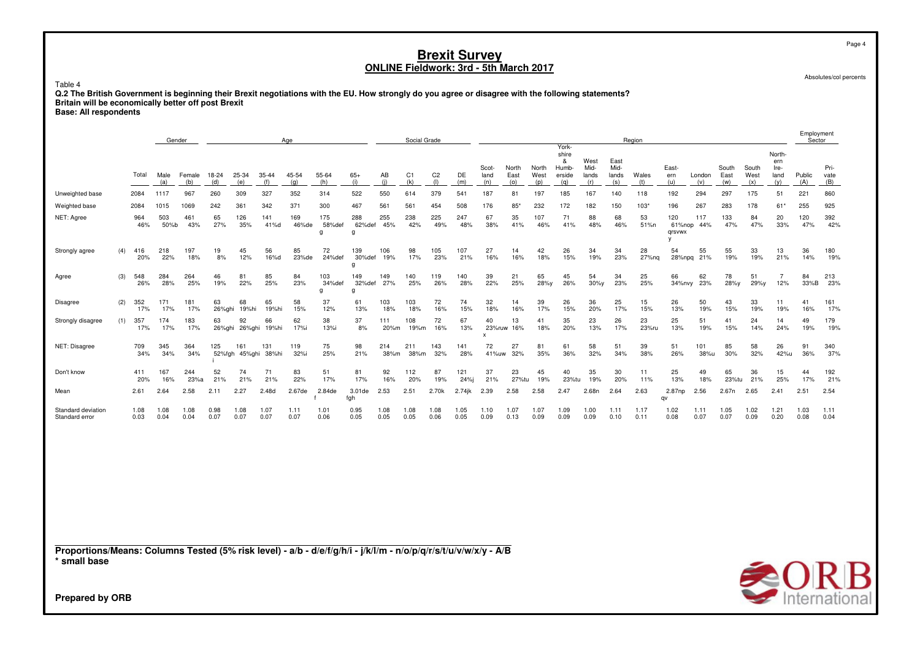Absolutes/col percents

Page 4

Table 4 **Q.2 The British Government is beginning their Brexit negotiations with the EU. How strongly do you agree or disagree with the following statements?Britain will be economically better off post BrexitBase: All respondents**

|                                                                                                                                 |     |              |              | Gender        |              |                      |              | Age          |                    |                    |              | Social Grade          |                       |              |                      |                      |                      |                                               |                              |                              | Region       |                         |                  |                      |                      |                                      | Employment<br>Sector |                     |
|---------------------------------------------------------------------------------------------------------------------------------|-----|--------------|--------------|---------------|--------------|----------------------|--------------|--------------|--------------------|--------------------|--------------|-----------------------|-----------------------|--------------|----------------------|----------------------|----------------------|-----------------------------------------------|------------------------------|------------------------------|--------------|-------------------------|------------------|----------------------|----------------------|--------------------------------------|----------------------|---------------------|
|                                                                                                                                 |     | Total        | Male<br>(a)  | Female<br>(b) | 18-24<br>(d) | 25-34<br>(e)         | 35-44<br>(f) | 45-54<br>(q) | 55-64<br>(h)       | $65+$<br>(i)       | AB<br>(i)    | C <sub>1</sub><br>(k) | C <sub>2</sub><br>(1) | DE<br>(m)    | Scot-<br>land<br>(n) | North<br>East<br>(0) | North<br>West<br>(p) | York-<br>shire<br>&<br>Humb-<br>erside<br>(q) | West<br>Mid-<br>lands<br>(r) | East<br>Mid-<br>lands<br>(s) | Wales<br>(t) | East-<br>ern<br>(u)     | London<br>(v)    | South<br>East<br>(w) | South<br>West<br>(x) | North-<br>ern<br>Ire-<br>land<br>(y) | Public<br>(A)        | Pri-<br>vate<br>(B) |
| Unweighted base                                                                                                                 |     | 2084         | 1117         | 967           | 260          | 309                  | 327          | 352          | 314                | 522                | 550          | 614                   | 379                   | 541          | 187                  | 81                   | 197                  | 185                                           | 167                          | 140                          | 118          | 192                     | 294              | 297                  | 175                  | 51                                   | 221                  | 860                 |
| Weighted base                                                                                                                   |     | 2084         | 1015         | 1069          | 242          | 361                  | 342          | 371          | 300                | 467                | 561          | 561                   | 454                   | 508          | 176                  | $85*$                | 232                  | 172                                           | 182                          | 150                          | 103"         | 196                     | 267              | 283                  | 178                  | $61*$                                | 255                  | 925                 |
| NET: Agree                                                                                                                      |     | 964<br>46%   | 503<br>50%b  | 461<br>43%    | 65<br>27%    | 126<br>35%           | 141<br>41%d  | 169<br>46%de | 175<br>58%def<br>g | 288<br>62%def<br>g | 255<br>45%   | 238<br>42%            | 225<br>49%            | 247<br>48%   | 67<br>38%            | 35<br>41%            | 107<br>46%           | 71<br>41%                                     | 88<br>48%                    | 68<br>46%                    | 53<br>51%n   | 120<br>61%nop<br>grsvwx | 117<br>44%       | 133<br>47%           | 84<br>47%            | 20<br>33%                            | 120<br>47%           | 392<br>42%          |
| Strongly agree                                                                                                                  | (4) | 416<br>20%   | 218<br>22%   | 197<br>18%    | 19<br>8%     | 45<br>12%            | 56<br>16%d   | 85<br>23%de  | 72<br>24%def       | 139<br>30%def<br>q | 106<br>19%   | 98<br>17%             | 105<br>23%            | 107<br>21%   | 27<br>16%            | 14<br>16%            | 42<br>18%            | 26<br>15%                                     | 34<br>19%                    | 34<br>23%                    | 28<br>27%ng  | 54                      | 55<br>28%npg 21% | 55<br>19%            | 33<br>19%            | 13<br>21%                            | 36<br>14%            | 180<br>19%          |
| Agree                                                                                                                           | (3) | 548<br>26%   | 284<br>28%   | 264<br>25%    | 46<br>19%    | 81<br>22%            | 85<br>25%    | 84<br>23%    | 103<br>34%def<br>g | 149<br>32%def<br>g | 149<br>27%   | 140<br>25%            | 119<br>26%            | 140<br>28%   | 39<br>22%            | 21<br>25%            | 65<br>28%y           | 45<br>26%                                     | 54<br>$30\%y$                | 34<br>23%                    | 25<br>25%    | 66<br>34%nvy            | 62<br>23%        | 78<br>28%y           | 51<br>29%y           | $\overline{7}$<br>12%                | 84<br>33%B           | 213<br>23%          |
| Disagree                                                                                                                        | (2) | 352<br>17%   | 171<br>17%   | 181<br>17%    | 63<br>26%ghi | 68<br>19%hi          | 65<br>19%hi  | 58<br>15%    | 37<br>12%          | 61<br>13%          | 103<br>18%   | 103<br>18%            | 72<br>16%             | 74<br>15%    | 32<br>18%            | 14<br>16%            | 39<br>17%            | 26<br>15%                                     | 36<br>20%                    | 25<br>17%                    | 15<br>15%    | 26<br>13%               | 50<br>19%        | 43<br>15%            | 33<br>19%            | 11<br>19%                            | 41<br>16%            | 161<br>17%          |
| Strongly disagree                                                                                                               | (1) | 357<br>17%   | 174<br>17%   | 183<br>17%    | 63           | 92<br>26%ghi 26%ghi  | 66<br>19%hi  | 62<br>17%i   | 38<br>13%i         | 37<br>8%           | 111<br>20%m  | 108<br>19%m           | 72<br>16%             | 67<br>13%    | 40<br>$\mathsf{x}$   | 13<br>23%ruw 16%     | 41<br>18%            | 35<br>20%                                     | 23<br>13%                    | 26<br>17%                    | 23<br>23%ru  | 25<br>13%               | 51<br>19%        | 41<br>15%            | 24<br>14%            | 14<br>24%                            | 49<br>19%            | 179<br>19%          |
| NET: Disagree                                                                                                                   |     | 709<br>34%   | 345<br>34%   | 364<br>34%    | 125          | 161<br>52%fgh 45%ghi | 131<br>38%hi | 119<br>32%i  | 75<br>25%          | 98<br>21%          | 214<br>38%m  | 211<br>38%m           | 143<br>32%            | 141<br>28%   | 72<br>41%uw          | 27<br>32%            | 81<br>35%            | 61<br>36%                                     | 58<br>32%                    | 51<br>34%                    | 39<br>38%    | 51<br>26%               | 101<br>38%u      | 85<br>30%            | 58<br>32%            | 26<br>42%u                           | 91<br>36%            | 340<br>37%          |
| Don't know                                                                                                                      |     | 411<br>20%   | 167<br>16%   | 244<br>23%a   | 52<br>21%    | 74<br>21%            | 71<br>21%    | 83<br>22%    | 51<br>17%          | 81<br>17%          | 92<br>16%    | 112<br>20%            | 87<br>19%             | 121<br>24%i  | 37<br>21%            | 23<br>27%tu          | 45<br>19%            | 40<br>23%tu                                   | 35<br>19%                    | 30<br>20%                    | 11<br>11%    | 25<br>13%               | 49<br>18%        | 65<br>23%tu          | 36<br>21%            | 15<br>25%                            | 44<br>17%            | 192<br>21%          |
| Mean                                                                                                                            |     | 2.61         | 2.64         | 2.58          | 2.11         | 2.27                 | 2.48d        | 2.67de       | 2.84de             | 3.01de<br>fgh      | 2.53         | 2.51                  | 2.70k                 | 2.74jk       | 2.39                 | 2.58                 | 2.58                 | 2.47                                          | 2.68n                        | 2.64                         | 2.63         | 2.87np<br>qv            | 2.56             | 2.67n                | 2.65                 | 2.41                                 | 2.51                 | 2.54                |
| Standard deviation<br>Standard error                                                                                            |     | 1.08<br>0.03 | 1.08<br>0.04 | 1.08<br>0.04  | 0.98<br>0.07 | 1.08<br>0.07         | 1.07<br>0.07 | 1.11<br>0.07 | 1.01<br>0.06       | 0.95<br>0.05       | 1.08<br>0.05 | 1.08<br>0.05          | 1.08<br>0.06          | 1.05<br>0.05 | 1.10<br>0.09         | 1.07<br>0.13         | 1.07<br>0.09         | 1.09<br>0.09                                  | 1.00<br>0.09                 | 1.11<br>0.10                 | 1.17<br>0.11 | 1.02<br>0.08            | 1.11<br>0.07     | 1.05<br>0.07         | 1.02<br>0.09         | 1.21<br>0.20                         | 1.03<br>0.08         | 1.11<br>0.04        |
|                                                                                                                                 |     |              |              |               |              |                      |              |              |                    |                    |              |                       |                       |              |                      |                      |                      |                                               |                              |                              |              |                         |                  |                      |                      |                                      |                      |                     |
|                                                                                                                                 |     |              |              |               |              |                      |              |              |                    |                    |              |                       |                       |              |                      |                      |                      |                                               |                              |                              |              |                         |                  |                      |                      |                                      |                      |                     |
|                                                                                                                                 |     |              |              |               |              |                      |              |              |                    |                    |              |                       |                       |              |                      |                      |                      |                                               |                              |                              |              |                         |                  |                      |                      |                                      |                      |                     |
| Proportions/Means: Columns Tested (5% risk level) - a/b - d/e/f/g/h/i - j/k/l/m - n/o/p/q/r/s/t/u/v/w/x/y - A/B<br>* small base |     |              |              |               |              |                      |              |              |                    |                    |              |                       |                       |              |                      |                      |                      |                                               |                              |                              |              |                         |                  |                      |                      | $\sim$ $\sim$ $\sim$                 |                      |                     |

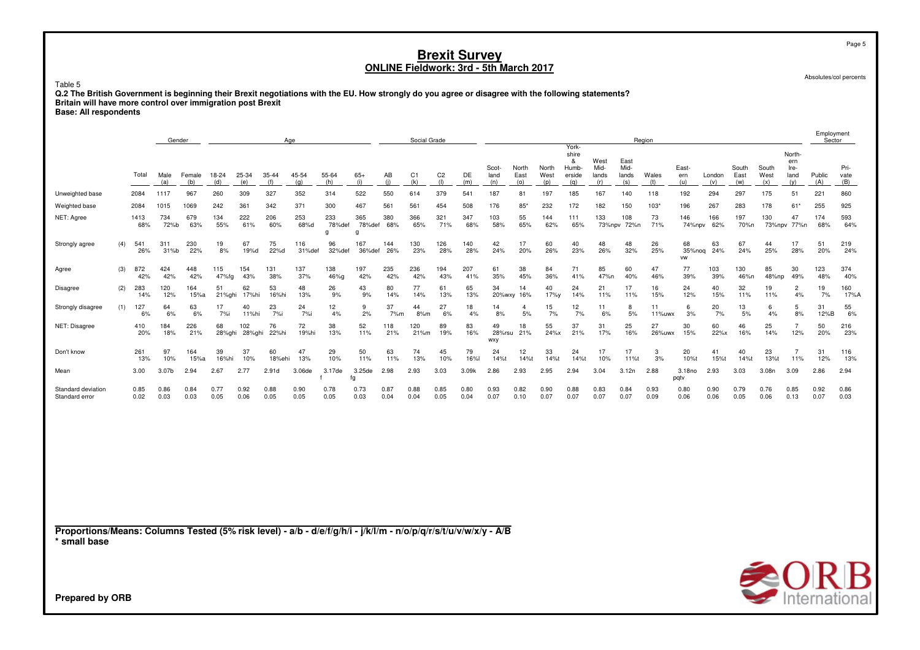Table 5

 **Q.2 The British Government is beginning their Brexit negotiations with the EU. How strongly do you agree or disagree with the following statements?Britain will have more control over immigration post BrexitBase: All respondents**

|                                                                                                                                 |     |              | Gender       |               |              |               |                  | Age           |                    |                    |              | Social Grade          |                       |              |                      |                      |                      |                                               |                              |                              | Region       |                           |               |                      |                      |                                      | Employment<br>Sector |                     |
|---------------------------------------------------------------------------------------------------------------------------------|-----|--------------|--------------|---------------|--------------|---------------|------------------|---------------|--------------------|--------------------|--------------|-----------------------|-----------------------|--------------|----------------------|----------------------|----------------------|-----------------------------------------------|------------------------------|------------------------------|--------------|---------------------------|---------------|----------------------|----------------------|--------------------------------------|----------------------|---------------------|
|                                                                                                                                 |     | Total        | Male<br>(a)  | Female<br>(b) | 18-24<br>(d) | 25-34<br>(e)  | $35 - 44$<br>(f) | 45-54<br>(q)  | 55-64<br>(h)       | $65+$<br>(i)       | AB<br>(i)    | C <sub>1</sub><br>(k) | C <sub>2</sub><br>(1) | DE<br>(m)    | Scot-<br>land<br>(n) | North<br>East<br>(0) | North<br>West<br>(p) | York-<br>shire<br>&<br>Humb-<br>erside<br>(q) | West<br>Mid-<br>lands<br>(r) | East<br>Mid-<br>lands<br>(s) | Wales<br>(t) | East-<br>ern<br>(u)       | London<br>(v) | South<br>East<br>(w) | South<br>West<br>(x) | North-<br>ern<br>Ire-<br>land<br>(y) | Public<br>(A)        | Pri-<br>vate<br>(B) |
| Unweighted base                                                                                                                 |     | 2084         | 1117         | 967           | 260          | 309           | 327              | 352           | 314                | 522                | 550          | 614                   | 379                   | 541          | 187                  | 81                   | 197                  | 185                                           | 167                          | 140                          | 118          | 192                       | 294           | 297                  | 175                  | 51                                   | 221                  | 860                 |
| Weighted base                                                                                                                   |     | 2084         | 1015         | 1069          | 242          | 361           | 342              | 371           | 300                | 467                | 561          | 561                   | 454                   | 508          | 176                  | 85'                  | 232                  | 172                                           | 182                          | 150                          | $103*$       | 196                       | 267           | 283                  | 178                  | $61*$                                | 255                  | 925                 |
| NET: Agree                                                                                                                      |     | 1413<br>68%  | 734<br>72%b  | 679<br>63%    | 134<br>55%   | 222<br>61%    | 206<br>60%       | 253<br>68%d   | 233<br>78%def<br>q | 365<br>78%def<br>g | 380<br>68%   | 366<br>65%            | 321<br>71%            | 347<br>68%   | 103<br>58%           | 55<br>65%            | 144<br>62%           | 111<br>65%                                    | 133                          | 108<br>73%npv 72%n           | 73<br>71%    | 146<br>74%npv             | 166<br>62%    | 197<br>70%n          | 130                  | 47<br>73%npv 77%n                    | 174<br>68%           | 593<br>64%          |
| Strongly agree                                                                                                                  | (4) | 541<br>26%   | 311<br>31%b  | 230<br>22%    | 19<br>8%     | 67<br>19%d    | 75<br>22%d       | 116<br>31%def | 96<br>32%def       | 167<br>36%def      | 144<br>26%   | 130<br>23%            | 126<br>28%            | 140<br>28%   | 42<br>24%            | 17<br>20%            | 60<br>26%            | 40<br>23%                                     | 48<br>26%                    | 48<br>32%                    | 26<br>25%    | 68<br>35%noq<br><b>VW</b> | 63<br>24%     | 67<br>24%            | 44<br>25%            | 17<br>28%                            | 51<br>20%            | 219<br>24%          |
| Agree                                                                                                                           | (3) | 872<br>42%   | 424<br>42%   | 448<br>42%    | 115<br>47%fg | 154<br>43%    | 131<br>38%       | 137<br>37%    | 138<br>46%g        | 197<br>42%         | 235<br>42%   | 236<br>42%            | 194<br>43%            | 207<br>41%   | 61<br>35%            | 38<br>45%            | 84<br>36%            | 71<br>41%                                     | 85<br>47%n                   | 60<br>40%                    | 47<br>46%    | 77<br>39%                 | 103<br>39%    | 130<br>46%n          | 85<br>48%np          | 30<br>49%                            | 123<br>48%           | 374<br>40%          |
| Disagree                                                                                                                        | (2) | 283<br>14%   | 120<br>12%   | 164<br>15%a   | 51<br>21%ghi | 62<br>17%hi   | 53<br>16%hi      | 48<br>13%     | 26<br>9%           | 43<br>9%           | 80<br>14%    | 77<br>14%             | 61<br>13%             | 65<br>13%    | 34                   | 14<br>20%wxy 16%     | 40<br>17%y           | 24<br>14%                                     | 21<br>11%                    | 17<br>11%                    | 16<br>15%    | 24<br>12%                 | 40<br>15%     | 32<br>11%            | 19<br>11%            | $\overline{2}$<br>4%                 | 19<br>7%             | 160<br>17%A         |
| Strongly disagree                                                                                                               | (1) | 127<br>6%    | 64<br>6%     | 63<br>6%      | 17<br>7%i    | 40<br>11%hi   | 23<br>7%i        | 24<br>7%i     | 12<br>4%           | 9<br>2%            | 37<br>7%m    | 44<br>8%m             | 27<br>6%              | 18<br>4%     | 14<br>8%             | $\overline{a}$<br>5% | 15<br>7%             | 12<br>7%                                      | 11<br>6%                     | 8<br>5%                      | 11<br>11%uwx | 6<br>3%                   | 20<br>7%      | 13<br>5%             | 6<br>4%              | 5<br>8%                              | 31<br>12%B           | 55<br>6%            |
| NET: Disagree                                                                                                                   |     | 410<br>20%   | 184<br>18%   | 226<br>21%    | 68<br>28%ghi | 102<br>28%ghi | 76<br>22%hi      | 72<br>19%hi   | 38<br>13%          | 52<br>11%          | 118<br>21%   | 120<br>21%m           | 89<br>19%             | 83<br>16%    | 49<br>28%rsu<br>wxy  | 18<br>21%            | 55<br>24%x           | 37<br>21%                                     | 31<br>17%                    | 25<br>16%                    | 27<br>26%uwx | 30<br>15%                 | 60<br>22%x    | 46<br>16%            | 25<br>14%            | $\overline{7}$<br>12%                | 50<br>20%            | 216<br>23%          |
| Don't know                                                                                                                      |     | 261<br>13%   | 97<br>10%    | 164<br>15%a   | 39<br>16%hi  | 37<br>10%     | 60<br>18%ehi     | 47<br>13%     | 29<br>10%          | 50<br>11%          | 63<br>11%    | 74<br>13%             | 45<br>10%             | 79<br>16%l   | 24<br>14%t           | 12<br>14%t           | 33<br>14%t           | 24<br>14%t                                    | 17<br>10%                    | 17<br>11%t                   | 3<br>3%      | 20<br>10%t                | 41<br>15%t    | 40<br>14%t           | 23<br>13%t           | $\overline{7}$<br>11%                | 31<br>12%            | 116<br>13%          |
| Mean                                                                                                                            |     | 3.00         | 3.07b        | 2.94          | 2.67         | 2.77          | 2.91d            | 3.06de        | 3.17de             | 3.25de<br>fg       | 2.98         | 2.93                  | 3.03                  | 3.09k        | 2.86                 | 2.93                 | 2.95                 | 2.94                                          | 3.04                         | 3.12n                        | 2.88         | 3.18no<br>pqtv            | 2.93          | 3.03                 | 3.08n                | 3.09                                 | 2.86                 | 2.94                |
| Standard deviation<br>Standard error                                                                                            |     | 0.85<br>0.02 | 0.86<br>0.03 | 0.84<br>0.03  | 0.77<br>0.05 | 0.92<br>0.06  | 0.88<br>0.05     | 0.90<br>0.05  | 0.78<br>0.05       | 0.73<br>0.03       | 0.87<br>0.04 | 0.88<br>0.04          | 0.85<br>0.05          | 0.80<br>0.04 | 0.93<br>0.07         | 0.82<br>0.10         | 0.90<br>0.07         | 0.88<br>0.07                                  | 0.83<br>0.07                 | 0.84<br>0.07                 | 0.93<br>0.09 | 0.80<br>0.06              | 0.90<br>0.06  | 0.79<br>0.05         | 0.76<br>0.06         | 0.85<br>0.13                         | 0.92<br>0.07         | 0.86<br>0.03        |
| Proportions/Means: Columns Tested (5% risk level) - a/b - d/e/f/g/h/i - j/k/l/m - n/o/p/q/r/s/t/u/v/w/x/y - A/B<br>* small base |     |              |              |               |              |               |                  |               |                    |                    |              |                       |                       |              |                      |                      |                      |                                               |                              |                              |              |                           |               |                      |                      |                                      |                      |                     |
|                                                                                                                                 |     |              |              |               |              |               |                  |               |                    |                    |              |                       |                       |              |                      |                      |                      |                                               |                              |                              |              |                           |               |                      | $\triangle$ ORF      |                                      |                      |                     |

Absolutes/col percents

Page 5

**SORB**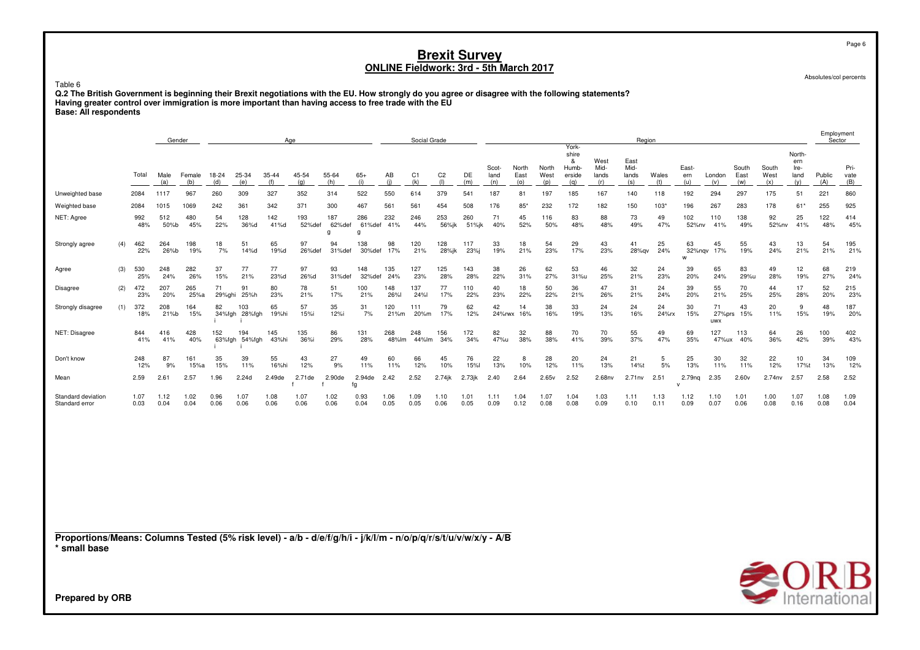Table 6

Q.2 The British Government is beginning their Brexit negotiations with the EU. How strongly do you agree or disagree with the following statements?<br>Having greater control over immigration is more important than having acce **Base: All respondents**

|              | Gender      |                                                     |               |             |                                | Age                                   |                    |              |                     | Social Grade                              |                |                  |               |               |                                                                                                                                              |                               |                       | Region                |              |                         |              |                        |                            |                               |              | Employment<br>Sector |
|--------------|-------------|-----------------------------------------------------|---------------|-------------|--------------------------------|---------------------------------------|--------------------|--------------|---------------------|-------------------------------------------|----------------|------------------|---------------|---------------|----------------------------------------------------------------------------------------------------------------------------------------------|-------------------------------|-----------------------|-----------------------|--------------|-------------------------|--------------|------------------------|----------------------------|-------------------------------|--------------|----------------------|
| Total        |             |                                                     | 18-24         |             | 35-44                          | 45-54                                 |                    | $65+$        | AB                  | C1                                        | C <sub>2</sub> | DE               | Scot-<br>land | North<br>East | North<br>West                                                                                                                                | shire<br>&<br>Humb-<br>erside | West<br>Mid-<br>lands | East<br>Mid-<br>lands | Wales        | East-<br>ern            | London       | South<br>East          | South<br>West              | North-<br>ern<br>Ire-<br>land | Public       | Pri-<br>vate<br>(B)  |
| 2084         |             | 967                                                 | 260           | 309         | 327                            | 352                                   | 314                | 522          | 550                 | 614                                       | 379            | 541              | 187           | 81            | 197                                                                                                                                          | 185                           | 167                   | 140                   | 118          | 192                     | 294          | 297                    | 175                        | 51                            | 221          | 860                  |
| 2084         |             | 1069                                                | 242           | 361         | 342                            | 371                                   | 300                | 467          | 561                 | 561                                       | 454            | 508              | 176           | 85            | 232                                                                                                                                          | 172                           | 182                   | 150                   | 103*         | 196                     | 267          | 283                    | 178                        | $61*$                         | 255          | 925                  |
| 992<br>48%   | 512<br>50%b | 480<br>45%                                          | 54<br>22%     | 128<br>36%d | 142<br>41%d                    | 193<br>52%def                         | 187<br>62%def<br>a | 286<br>g     | 232<br>41%          | 246<br>44%                                | 253<br>56%jk   | 260              | 71<br>40%     | 45<br>52%     | 116<br>50%                                                                                                                                   | 83<br>48%                     | 88<br>48%             | 73<br>49%             | 49<br>47%    | 102                     | 110<br>41%   | 138<br>49%             | 92                         | 25<br>41%                     | 122<br>48%   | 414<br>45%           |
| 462<br>22%   | 264<br>26%b | 198<br>19%                                          | 18<br>7%      | 51<br>14%d  | 65<br>19%d                     | 97<br>26%def                          | 94<br>31%def       | 138          | 98<br>17%           | 120<br>21%                                | 128<br>28%jk   | 117<br>23%i      | 33<br>19%     | 18<br>21%     | 54<br>23%                                                                                                                                    | 29<br>17%                     | 43<br>23%             | 41                    | 25<br>24%    | 63<br>w                 | 45<br>17%    | 55<br>19%              | 43<br>24%                  | 13<br>21%                     | 54<br>21%    | 195<br>21%           |
| 530<br>25%   | 248<br>24%  | 282<br>26%                                          | 37<br>15%     | 77<br>21%   | 77<br>23%d                     | 97<br>26%d                            | 93<br>31%def       | 148          | 135<br>24%          | 127<br>23%                                | 125<br>28%     | 143<br>28%       | 38<br>22%     | 26<br>31%     | 62<br>27%                                                                                                                                    | 53<br>31%u                    | 46<br>25%             | 32<br>21%             | 24<br>23%    | 39<br>20%               | 65<br>24%    | 83<br>29%u             | 49<br>28%                  | 12<br>19%                     | 68<br>27%    | 219<br>24%           |
| 472<br>23%   | 207<br>20%  | 265<br>25%a                                         | 71            | 91<br>25%h  | 80<br>23%                      | 78<br>21%                             | 51<br>17%          | 100<br>21%   | 148<br>26%l         | 137<br>24%l                               | 77<br>17%      | 110<br>22%       | 40<br>23%     | 18<br>22%     | 50<br>22%                                                                                                                                    | 36<br>21%                     | 47<br>26%             | 31<br>21%             | 24<br>24%    | 39<br>20%               | 55<br>21%    | 70<br>25%              | 44<br>25%                  | 17<br>28%                     | 52<br>20%    | 215<br>23%           |
| 372<br>18%   | 208<br>21%b | 164<br>15%                                          | 82            | 103         | 65<br>19%hi                    | 57<br>15%i                            | 35<br>12%i         | 31<br>7%     | 120<br>21%m         | 111<br>20%m                               | 79<br>17%      | 62<br>12%        | 42            | 14            | 38<br>16%                                                                                                                                    | 33<br>19%                     | 24<br>13%             | 24<br>16%             | 24<br>24%rx  | 30<br>15%               | 71<br>uwx    | 43                     | 20<br>11%                  | 9<br>15%                      | 48<br>19%    | 187<br>20%           |
| 844<br>41%   | 416<br>41%  | 428<br>40%                                          | 152           | 194         | 145<br>43%hi                   | 135<br>36%i                           | 86<br>29%          | 131<br>28%   | 268                 | 248                                       | 156<br>34%     | 172<br>34%       | 82            | 32<br>38%     | 88<br>38%                                                                                                                                    | 70<br>41%                     | 70<br>39%             | 55<br>37%             | 49<br>47%    | 69<br>35%               | 127          | 113<br>40%             | 64<br>36%                  | 26<br>42%                     | 100<br>39%   | 402<br>43%           |
| 248<br>12%   | 87<br>9%    | 161<br>15%a                                         | 35<br>15%     | 39<br>11%   | 55<br>16%hi                    | 43<br>12%                             | 27<br>9%           | 49<br>11%    | 60<br>11%           | 66<br>12%                                 | 45<br>10%      | 76<br><b>15%</b> | 22<br>13%     | 8<br>10%      | 28<br>12%                                                                                                                                    | 20<br>11%                     | 24<br>13%             | 21<br>14%t            | 5<br>5%      | 25<br>13%               | 30<br>11%    | 32<br>11%              | 22<br>12%                  | 10<br>17%t                    | 34<br>13%    | 109<br>12%           |
| 2.59         |             | 2.57                                                | 1.96          | 2.24d       | 2.49de                         | 2.71de                                | 2.90de             |              |                     | 2.52                                      | $2.74$ jk      | $2.73$ jk        | 2.40          | 2.64          | 2.65v                                                                                                                                        | 2.52                          | 2.68nv                | 2.71n <sub>V</sub>    | 2.51         | 2.79 <sub>na</sub><br>v | 2.35         | 2.60v                  | 2.74nv                     | 2.57                          | 2.58         | 2.52                 |
| 1.07<br>0.03 |             | 1.02<br>0.04                                        | 0.96<br>0.06  | 1.07        | 1.08<br>0.06                   | 1.07<br>0.06                          | 1.02<br>0.06       | 0.93<br>0.04 | 1.06<br>0.05        | 1.09<br>0.05                              | 1.10<br>0.06   | 1.01<br>0.05     | 1.11<br>0.09  | 1.04<br>0.12  | 1.07<br>0.08                                                                                                                                 | 1.04<br>0.08                  | 1.03<br>0.09          | 1.11<br>0.10          | 1.13<br>0.11 | 1.12<br>0.09            | 1.10<br>0.07 | 1.01<br>0.06           | 1.00<br>0.08               | 1.07<br>0.16                  | 1.08<br>0.08 | 1.09<br>0.04         |
|              |             |                                                     |               |             |                                |                                       |                    |              |                     |                                           |                |                  |               |               |                                                                                                                                              |                               |                       |                       |              |                         |              |                        |                            |                               |              |                      |
|              |             | Male<br>(a)<br>1117<br>1015<br>2.61<br>1.12<br>0.04 | Female<br>(b) | (d)         | 25-34<br>(e)<br>29%ghi<br>0.06 | (f)<br>34%fgh 28%fgh<br>63%fgh 54%fgh | (q)                | 55-64<br>(h) | (i)<br>2.94de<br>fg | (i)<br>61%def<br>30%def<br>32%def<br>2.42 | (k)<br>48%lm   | (1)<br>44%lm     | (m)           | (n)<br>51%jk  | (o)<br>24%rwx 16%<br>47%u<br>Proportions/Means: Columns Tested (5% risk level) - a/b - d/e/f/g/h/i - j/k/l/m - n/o/p/q/r/s/t/u/v/w/x/y - A/B | (p)                           | York-<br>(q)          | (r)                   | (s)          | (t)<br>28%qv            | (u)          | (v)<br>52%nv<br>32%ngv | (w)<br>27%prs 15%<br>47%ux | (x)                           | (v)<br>52%nv | (A)                  |



**Prepared by ORB**

Page 6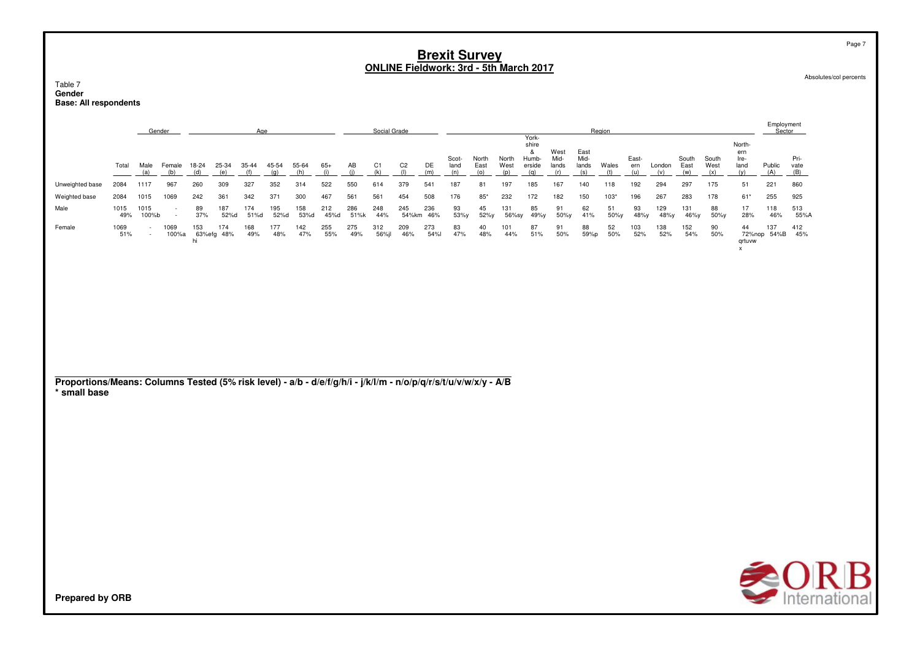Table 7 Gender **Base: All respondents** 

|                                                                                                                                 |             |                  | Gender           |              |                   | Age          |              |              |              |             | Social Grade |                       |                  |                      |                      |                      |                                               |                              |                              | Region       |                     |               |                      |                      |                                      | Employment<br>Sector |                     |
|---------------------------------------------------------------------------------------------------------------------------------|-------------|------------------|------------------|--------------|-------------------|--------------|--------------|--------------|--------------|-------------|--------------|-----------------------|------------------|----------------------|----------------------|----------------------|-----------------------------------------------|------------------------------|------------------------------|--------------|---------------------|---------------|----------------------|----------------------|--------------------------------------|----------------------|---------------------|
|                                                                                                                                 | Total       | Male<br>(a)      | Female<br>(b)    | 18-24<br>(d) | 25-34<br>(e)      | 35-44<br>(f) | 45-54<br>(q) | 55-64<br>(h) | $65+$<br>(i) | AB<br>(i)   | C1<br>(k)    | C <sub>2</sub><br>(1) | DE<br>(m)        | Scot-<br>land<br>(n) | North<br>East<br>(0) | North<br>West<br>(p) | York-<br>shire<br>&<br>Humb-<br>erside<br>(q) | West<br>Mid-<br>lands<br>(r) | East<br>Mid-<br>lands<br>(s) | Wales<br>(t) | East-<br>ern<br>(u) | London<br>(v) | South<br>East<br>(w) | South<br>West<br>(x) | North-<br>ern<br>Ire-<br>land<br>(y) | Public<br>(A)        | Pri-<br>vate<br>(B) |
| Unweighted base                                                                                                                 | 2084        | 1117             | 967              | 260          | 309               | 327          | 352          | 314          | 522          | 550         | 614          | 379                   | 541              | 187                  | 81                   | 197                  | 185                                           | 167                          | 140                          | 118          | 192                 | 294           | 297                  | 175                  | 51                                   | 221                  | 860                 |
| Weighted base                                                                                                                   | 2084        | 1015             | 1069             | 242          | 361               | 342          | 371          | 300          | 467          | 561         | 561          | 454                   | 508              | 176                  | $85*$                | 232                  | 172                                           | 182                          | 150                          | $103*$       | 196                 | 267           | 283                  | 178                  | $61*$                                | 255                  | 925                 |
| Male                                                                                                                            | 1015<br>49% | 1015<br>100%b    | $\sim$<br>$\sim$ | 89<br>37%    | 187<br>52%d       | 174<br>51%d  | 195<br>52%d  | 158<br>53%d  | 212<br>45%d  | 286<br>51%k | 248<br>44%   | 245                   | 236<br>54%km 46% | 93<br>53%y           | 45<br>52%y           | 131<br>56%sy         | 85<br>49%y                                    | 91<br>50%y                   | 62<br>41%                    | 51<br>50%y   | 93<br>48%y          | 129<br>48%y   | 131<br>46%y          | 88<br>50%y           | 17<br>28%                            | 118<br>46%           | 513<br>55%A         |
| Female                                                                                                                          | 1069<br>51% | $\sim$<br>$\sim$ | 1069<br>100%a    | 153<br>hi    | 174<br>63%efg 48% | 168<br>49%   | 177<br>48%   | 142<br>47%   | 255<br>55%   | 275<br>49%  | 312<br>56%jl | 209<br>46%            | 273<br>54%l      | 83<br>47%            | 40<br>48%            | 101<br>44%           | 87<br>51%                                     | 91<br>50%                    | 88<br>59%p                   | 52<br>50%    | 103<br>52%          | 138<br>52%    | 152<br>54%           | 90<br>50%            | 44<br>qrtuvw<br>x                    | 137<br>72%nop 54%B   | 412<br>45%          |
|                                                                                                                                 |             |                  |                  |              |                   |              |              |              |              |             |              |                       |                  |                      |                      |                      |                                               |                              |                              |              |                     |               |                      |                      |                                      |                      |                     |
|                                                                                                                                 |             |                  |                  |              |                   |              |              |              |              |             |              |                       |                  |                      |                      |                      |                                               |                              |                              |              |                     |               |                      |                      |                                      |                      |                     |
|                                                                                                                                 |             |                  |                  |              |                   |              |              |              |              |             |              |                       |                  |                      |                      |                      |                                               |                              |                              |              |                     |               |                      |                      |                                      |                      |                     |
|                                                                                                                                 |             |                  |                  |              |                   |              |              |              |              |             |              |                       |                  |                      |                      |                      |                                               |                              |                              |              |                     |               |                      |                      |                                      |                      |                     |
| Proportions/Means: Columns Tested (5% risk level) - a/b - d/e/f/g/h/i - j/k/l/m - n/o/p/q/r/s/t/u/v/w/x/y - A/B<br>* small base |             |                  |                  |              |                   |              |              |              |              |             |              |                       |                  |                      |                      |                      |                                               |                              |                              |              |                     |               |                      |                      |                                      |                      |                     |
|                                                                                                                                 |             |                  |                  |              |                   |              |              |              |              |             |              |                       |                  |                      |                      |                      |                                               |                              |                              |              |                     |               |                      |                      |                                      |                      |                     |
|                                                                                                                                 |             |                  |                  |              |                   |              |              |              |              |             |              |                       |                  |                      |                      |                      |                                               |                              |                              |              |                     |               |                      |                      |                                      |                      |                     |
|                                                                                                                                 |             |                  |                  |              |                   |              |              |              |              |             |              |                       |                  |                      |                      |                      |                                               |                              |                              |              |                     |               |                      |                      |                                      |                      |                     |
|                                                                                                                                 |             |                  |                  |              |                   |              |              |              |              |             |              |                       |                  |                      |                      |                      |                                               |                              |                              |              |                     |               |                      |                      |                                      |                      |                     |
|                                                                                                                                 |             |                  |                  |              |                   |              |              |              |              |             |              |                       |                  |                      |                      |                      |                                               |                              |                              |              |                     |               |                      |                      |                                      |                      |                     |
|                                                                                                                                 |             |                  |                  |              |                   |              |              |              |              |             |              |                       |                  |                      |                      |                      |                                               |                              |                              |              |                     |               |                      |                      |                                      |                      |                     |
|                                                                                                                                 |             |                  |                  |              |                   |              |              |              |              |             |              |                       |                  |                      |                      |                      |                                               |                              |                              |              |                     |               |                      |                      |                                      |                      |                     |

Absolutes/col percents

Page 7

**SORB**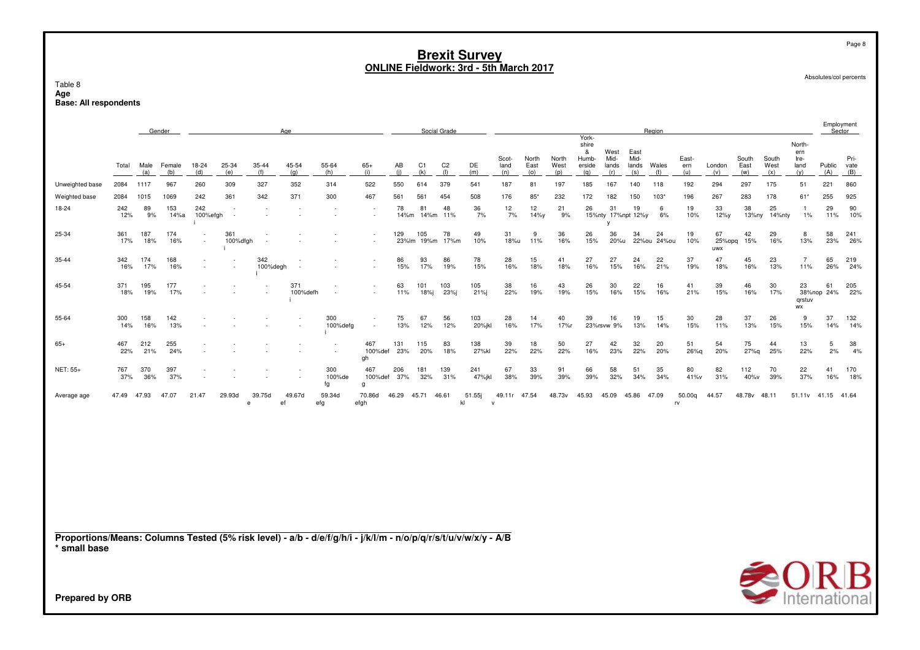Table 8**Age Base: All respondents**

|                                                                                                                                 |            |             | Gender        |                 |                 |                 | Age             |                     |                      |            |                   | Social Grade          |               |                              |                      |                      |                                               |                               |                              | Region       |                     |                     |                      |                      |                                      | Employment<br>Sector |                     |
|---------------------------------------------------------------------------------------------------------------------------------|------------|-------------|---------------|-----------------|-----------------|-----------------|-----------------|---------------------|----------------------|------------|-------------------|-----------------------|---------------|------------------------------|----------------------|----------------------|-----------------------------------------------|-------------------------------|------------------------------|--------------|---------------------|---------------------|----------------------|----------------------|--------------------------------------|----------------------|---------------------|
|                                                                                                                                 | Total      | Male<br>(a) | Female<br>(b) | 18-24<br>(d)    | 25-34<br>(e)    | 35-44<br>(f)    | 45-54<br>(q)    | 55-64<br>(h)        | $65+$<br>(i)         | AB<br>(i)  | C1<br>(k)         | C <sub>2</sub><br>(1) | DE<br>(m)     | Scot-<br>land<br>(n)         | North<br>East<br>(0) | North<br>West<br>(p) | York-<br>shire<br>&<br>Humb-<br>erside<br>(q) | West<br>Mid-<br>lands<br>(r)  | East<br>Mid-<br>lands<br>(s) | Wales<br>(t) | East-<br>ern<br>(u) | London<br>(v)       | South<br>East<br>(w) | South<br>West<br>(x) | North-<br>ern<br>Ire-<br>land<br>(y) | Public<br>(A)        | Pri-<br>vate<br>(B) |
| Unweighted base                                                                                                                 | 2084       | 1117        | 967           | 260             | 309             | 327             | 352             | 314                 | 522                  | 550        | 614               | 379                   | 541           | 187                          | 81                   | 197                  | 185                                           | 167                           | 140                          | 118          | 192                 | 294                 | 297                  | 175                  | 51                                   | 221                  | 860                 |
| Weighted base                                                                                                                   | 2084       | 1015        | 1069          | 242             | 361             | 342             | 371             | 300                 | 467                  | 561        | 561               | 454                   | 508           | 176                          | $85*$                | 232                  | 172                                           | 182                           | 150                          | $103*$       | 196                 | 267                 | 283                  | 178                  | 61*                                  | 255                  | 925                 |
| 18-24                                                                                                                           | 242<br>12% | 89<br>9%    | 153<br>14%a   | 242<br>100%efgh |                 |                 |                 |                     |                      | 78<br>14%m | 81<br>14%m        | 48<br>11%             | 36<br>7%      | 12<br>7%                     | 12<br>14%y           | 21<br>9%             | 26                                            | 31<br>15%nty 17%npt 12%y<br>v | 19                           | 6<br>6%      | 19<br>10%           | 33<br>12%y          | 38<br>13%ny          | 25<br>14%nty         | -1.<br>$1\%$                         | 29<br>11%            | 90<br>10%           |
| 25-34                                                                                                                           | 361<br>17% | 187<br>18%  | 174<br>16%    |                 | 361<br>100%dfgh |                 |                 |                     |                      | 129        | 105<br>23%lm 19%m | 78<br>17%m            | 49<br>10%     | 31<br>18%u                   | 9<br>11%             | 36<br>16%            | 26<br>15%                                     | 36<br>20%u                    | 34<br>22%ou                  | 24<br>24%ou  | 19<br>10%           | 67<br>25%opq<br>uwx | 42<br>15%            | 29<br>16%            | 8<br>13%                             | 58<br>23%            | 241<br>26%          |
| 35-44                                                                                                                           | 342<br>16% | 174<br>17%  | 168<br>16%    |                 |                 | 342<br>100%degh |                 |                     |                      | 86<br>15%  | 93<br>17%         | 86<br>19%             | 78<br>15%     | 28<br>16%                    | 15<br>18%            | 41<br>18%            | 27<br>16%                                     | 27<br>15%                     | 24<br>16%                    | 22<br>21%    | 37<br>19%           | 47<br>18%           | 45<br>16%            | 23<br>13%            | $\overline{7}$<br>11%                | 65<br>26%            | 219<br>24%          |
| 45-54                                                                                                                           | 371<br>18% | 195<br>19%  | 177<br>17%    |                 |                 |                 | 371<br>100%defh |                     |                      | 63<br>11%  | 101<br>18%j       | 103<br>23%j           | 105<br>21%j   | 38<br>22%                    | 16<br>19%            | 43<br>19%            | 26<br>15%                                     | 30<br>16%                     | 22<br>15%                    | 16<br>16%    | 41<br>21%           | 39<br>15%           | 46<br>16%            | 30<br>17%            | 23<br>38%nop<br>qrstuv<br>WX         | 61<br>24%            | 205<br>22%          |
| 55-64                                                                                                                           | 300<br>14% | 158<br>16%  | 142<br>13%    |                 |                 |                 |                 | 300<br>100%defg     |                      | 75<br>13%  | 67<br>12%         | 56<br>12%             | 103<br>20%jkl | 28<br>16%                    | 14<br>17%            | 40<br>17%r           | 39                                            | 16<br>23%rsvw 9%              | 19<br>13%                    | 15<br>14%    | 30<br>15%           | 28<br>11%           | 37<br>13%            | 26<br>15%            | 9<br>15%                             | 37<br>14%            | 132<br>14%          |
| $65+$                                                                                                                           | 467<br>22% | 212<br>21%  | 255<br>24%    |                 |                 |                 |                 |                     | 467<br>100%def<br>gh | 131<br>23% | 115<br>20%        | 83<br>18%             | 138<br>27%kl  | 39<br>22%                    | 18<br>22%            | 50<br>22%            | 27<br>16%                                     | 42<br>23%                     | 32<br>22%                    | 20<br>20%    | 51<br>$26%$ g       | 54<br>20%           | 75<br>27%g           | 44<br>25%            | 13<br>22%                            | 5<br>2%              | 38<br>4%            |
| NET: 55+                                                                                                                        | 767<br>37% | 370<br>36%  | 397<br>37%    |                 |                 |                 |                 | 300<br>100%de<br>fg | 467<br>100%def<br>g  | 206<br>37% | 181<br>32%        | 139<br>31%            | 241<br>47%jkl | 67<br>38%                    | 33<br>39%            | 91<br>39%            | 66<br>39%                                     | 58<br>32%                     | 51<br>34%                    | 35<br>34%    | 80<br>41%v          | 82<br>31%           | 112<br>40%v          | 70<br>39%            | 22<br>37%                            | 41<br>16%            | 170<br>18%          |
| Average age                                                                                                                     | 47.49      | 47.93       | 47.07         | 21.47           | 29.93d<br>e     | 39.75d          | 49.67d<br>ef    | 59.34d<br>efg       | 70.86d<br>efgh       | 46.29      | 45.71             | 46.61                 | 51.55j<br>kl  | 49.11r 47.54<br>$\mathsf{v}$ |                      | 48.73v               | 45.93                                         | 45.09                         | 45.86                        | 47.09        | 50.00q<br>rv.       | 44.57               | 48.78v 48.11         |                      |                                      | 51.11v 41.15 41.64   |                     |
| Proportions/Means: Columns Tested (5% risk level) - a/b - d/e/f/g/h/i - j/k/l/m - n/o/p/q/r/s/t/u/v/w/x/y - A/B<br>* small base |            |             |               |                 |                 |                 |                 |                     |                      |            |                   |                       |               |                              |                      |                      |                                               |                               |                              |              |                     |                     |                      |                      |                                      |                      |                     |
|                                                                                                                                 |            |             |               |                 |                 |                 |                 |                     |                      |            |                   |                       |               |                              |                      |                      |                                               |                               |                              |              |                     |                     |                      | $\bigcirc$ O R B     |                                      |                      |                     |
| <b>Prepared by ORB</b>                                                                                                          |            |             |               |                 |                 |                 |                 |                     |                      |            |                   |                       |               |                              |                      |                      |                                               |                               |                              |              |                     |                     |                      |                      |                                      |                      |                     |

Absolutes/col percents



Page 8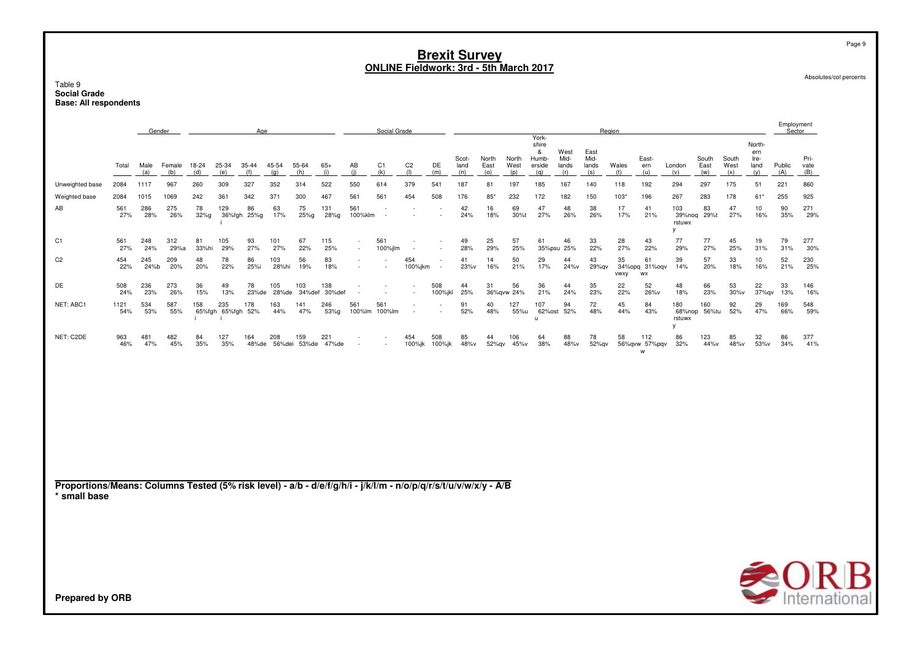Table 9 **Social Grade** Base: All respondents

|                                                                                                                                 |             |             | Gender        |              |                          | Age               |              |                     |               |                | Social Grade         |                          |                          |                      |                      |                      |                                               |                              |                              | Region       |                           |                              |                      |                      |                                      | Employment<br>Sector |                     |
|---------------------------------------------------------------------------------------------------------------------------------|-------------|-------------|---------------|--------------|--------------------------|-------------------|--------------|---------------------|---------------|----------------|----------------------|--------------------------|--------------------------|----------------------|----------------------|----------------------|-----------------------------------------------|------------------------------|------------------------------|--------------|---------------------------|------------------------------|----------------------|----------------------|--------------------------------------|----------------------|---------------------|
|                                                                                                                                 | Total       | Male<br>(a) | Female<br>(b) | 18-24<br>(d) | 25-34<br>(e)             | 35-44<br>(f)      | 45-54<br>(q) | 55-64<br>(h)        | $65+$<br>(i)  | AB<br>(i)      | C1<br>(k)            | C <sub>2</sub><br>(1)    | DE<br>(m)                | Scot-<br>land<br>(n) | North<br>East<br>(0) | North<br>West<br>(p) | York-<br>shire<br>&<br>Humb-<br>erside<br>(q) | West<br>Mid-<br>lands<br>(r) | East<br>Mid-<br>lands<br>(s) | Wales<br>(t) | East-<br>ern<br>(u)       | London<br>(v)                | South<br>East<br>(w) | South<br>West<br>(x) | North-<br>ern<br>Ire-<br>land<br>(y) | Public<br>(A)        | Pri-<br>vate<br>(B) |
| Unweighted base                                                                                                                 | 2084        | 1117        | 967           | 260          | 309                      | 327               | 352          | 314                 | 522           | 550            | 614                  | 379                      | 541                      | 187                  | 81                   | 197                  | 185                                           | 167                          | 140                          | 118          | 192                       | 294                          | 297                  | 175                  | 51                                   | 221                  | 860                 |
| Weighted base                                                                                                                   | 2084        | 1015        | 1069          | 242          | 361                      | 342               | 371          | 300                 | 467           | 561            | 561                  | 454                      | 508                      | 176                  | 85*                  | 232                  | 172                                           | 182                          | 150                          | 103"         | 196                       | 267                          | 283                  | 178                  | 61*                                  | 255                  | 925                 |
| AB                                                                                                                              | 561<br>27%  | 286<br>28%  | 275<br>26%    | 78<br>32%g   | 129                      | 86<br>36%fgh 25%g | 63<br>17%    | 75<br>25%g          | 131<br>28%g   | 561<br>100%klm | $\sim$               |                          | $\overline{\phantom{a}}$ | 42<br>24%            | 16<br>18%            | 69<br>30%t           | 47<br>27%                                     | 48<br>26%                    | 38<br>26%                    | 17<br>17%    | 41<br>21%                 | 103<br>39%noq<br>rstuwx<br>V | 83<br>29%t           | 47<br>27%            | 10<br>16%                            | 90<br>35%            | 271<br>29%          |
| C <sub>1</sub>                                                                                                                  | 561<br>27%  | 248<br>24%  | 312<br>29%a   | 81<br>33%hi  | 105<br>29%               | 93<br>27%         | 101<br>27%   | 67<br>22%           | 115<br>25%    | $\sim$         | 561<br>100%jlm       | $\overline{\phantom{a}}$ | $\sim$<br>$\sim$         | 49<br>28%            | 25<br>29%            | 57<br>25%            | 61                                            | 46<br>35%psu 25%             | 33<br>22%                    | 28<br>27%    | 43<br>22%                 | 77<br>29%                    | 77<br>27%            | 45<br>25%            | 19<br>31%                            | 79<br>31%            | 277<br>30%          |
| C <sub>2</sub>                                                                                                                  | 454<br>22%  | 245<br>24%b | 209<br>20%    | 48<br>20%    | 78<br>22%                | 86<br>25%i        | 103<br>28%hi | 56<br>19%           | 83<br>18%     |                |                      | 454<br>100%jkm           |                          | 41<br>23%v           | 14<br>16%            | 50<br>21%            | 29<br>17%                                     | 44<br>24%v                   | 43<br>29%qv                  | 35<br>vwxy   | 61<br>34%opg 31%oqv<br>WX | 39<br>14%                    | 57<br>20%            | 33<br>18%            | 10<br>16%                            | 52<br>21%            | 230<br>25%          |
| DE                                                                                                                              | 508<br>24%  | 236<br>23%  | 273<br>26%    | 36<br>15%    | 49<br>13%                | 78<br>23%de       | 105<br>28%de | 103<br>34%def       | 138<br>30%def |                |                      |                          | 508<br>100%jkl           | 44<br>25%            | 31                   | 56<br>36%gvw 24%     | 36<br>21%                                     | 44<br>24%                    | 35<br>23%                    | 22<br>22%    | 52<br>26%v                | 48<br>18%                    | 66<br>23%            | 53<br>$30\%$ v       | 22<br>37%qv                          | 33<br>13%            | 146<br>16%          |
| NET: ABC1                                                                                                                       | 1121<br>54% | 534<br>53%  | 587<br>55%    | 158          | 235<br>65%fgh 65%fgh 52% | 178               | 163<br>44%   | 141<br>47%          | 246<br>53%g   | 561            | 561<br>100%lm 100%lm |                          |                          | 91<br>52%            | 40<br>48%            | 127<br>55%u          | 107<br>u                                      | 94<br>62%ost 52%             | 72<br>48%                    | 45<br>44%    | 84<br>43%                 | 180<br>rstuwx<br>y           | 160<br>68%nop 56%tu  | 92<br>52%            | 29<br>47%                            | 169<br>66%           | 548<br>59%          |
| NET: C2DE                                                                                                                       | 963<br>46%  | 481<br>47%  | 482<br>45%    | 84<br>35%    | 127<br>35%               | 164<br>48%de      | 208          | 159<br>56%dei 53%de | 221<br>47%de  |                |                      | 454<br>100%jk            | 508<br>100%jk            | 85<br>48%v           | 44<br>52%gv          | 106<br>45%v          | 64<br>38%                                     | 88<br>48%v                   | 78<br>52%qv                  | 58           | 112<br>56%qvw 57%pqv<br>W | 86<br>32%                    | 123<br>44%v          | 85<br>48%v           | 32<br>53%v                           | 86<br>34%            | 377<br>41%          |
| Proportions/Means: Columns Tested (5% risk level) - a/b - d/e/f/g/h/i - j/k/l/m - n/o/p/q/r/s/t/u/v/w/x/y - A/B<br>* small base |             |             |               |              |                          |                   |              |                     |               |                |                      |                          |                          |                      |                      |                      |                                               |                              |                              |              |                           |                              |                      |                      |                                      |                      |                     |
| <b>Prepared by ORB</b>                                                                                                          |             |             |               |              |                          |                   |              |                     |               |                |                      |                          |                          |                      |                      |                      |                                               |                              |                              |              |                           |                              |                      |                      |                                      |                      | <b>SORB</b>         |

Absolutes/col percents

Page 9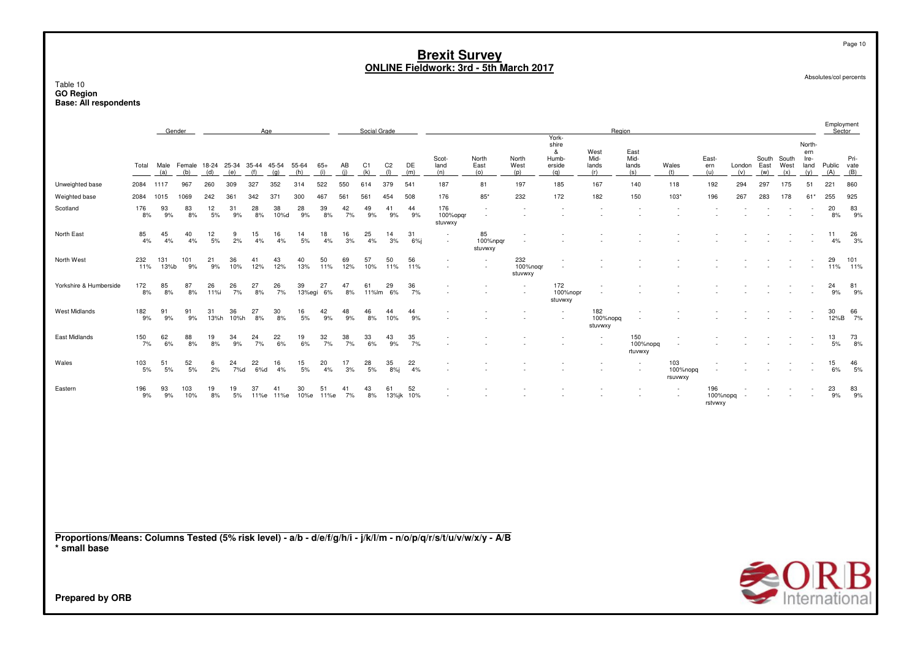## Table 10 **GO Region Base: All respondents**

|                                                                                                                                 |             |             | Gender                                |            |            |            | Age        |              |              |           | Social Grade |                       |           |                            |                           |                            |                                               | Region                             |                              |                            |                            |               |                      |                      |                                      |               | Employment<br>Sector |
|---------------------------------------------------------------------------------------------------------------------------------|-------------|-------------|---------------------------------------|------------|------------|------------|------------|--------------|--------------|-----------|--------------|-----------------------|-----------|----------------------------|---------------------------|----------------------------|-----------------------------------------------|------------------------------------|------------------------------|----------------------------|----------------------------|---------------|----------------------|----------------------|--------------------------------------|---------------|----------------------|
|                                                                                                                                 | Total       | Male<br>(a) | Female 18-24 25-34 35-44 45-54<br>(b) | (d)        | (e)        | (f)        | (q)        | 55-64<br>(h) | $65+$<br>(i) | AB<br>(i) | C1<br>(k)    | C <sub>2</sub><br>(1) | DE<br>(m) | Scot-<br>land<br>(n)       | North<br>East<br>(0)      | North<br>West<br>(p)       | York-<br>shire<br>&<br>Humb-<br>erside<br>(q) | West<br>Mid-<br>lands<br>(r)       | East<br>Mid-<br>lands<br>(s) | Wales<br>(t)               | East-<br>ern<br>(u)        | London<br>(v) | South<br>East<br>(w) | South<br>West<br>(x) | North-<br>ern<br>Ire-<br>land<br>(y) | Public<br>(A) | Pri-<br>vate<br>(B)  |
| Unweighted base                                                                                                                 | 2084        | 1117        | 967                                   | 260        | 309        | 327        | 352        | 314          | 522          | 550       | 614          | 379                   | 541       | 187                        | 81                        | 197                        | 185                                           | 167                                | 140                          | 118                        | 192                        | 294           | 297                  | 175                  | 51                                   | 221           | 860                  |
| Weighted base                                                                                                                   | 2084        | 1015        | 1069                                  | 242        | 361        | 342        | 371        | 300          | 467          | 561       | 561          | 454                   | 508       | 176                        | $85*$                     | 232                        | 172                                           | 182                                | 150                          | $103*$                     | 196                        | 267           | 283                  | 178                  | $61*$                                | 255           | 925                  |
| Scotland                                                                                                                        | 176<br>8%   | 93<br>9%    | 83<br>8%                              | 12<br>5%   | 31<br>9%   | 28<br>8%   | 38<br>10%d | 28<br>9%     | 39<br>8%     | 42<br>7%  | 49<br>9%     | 41<br>9%              | 44<br>9%  | 176<br>100%opgr<br>stuvwxy | ٠<br>$\sim$               |                            |                                               | $\sim$<br>$\overline{\phantom{a}}$ |                              |                            |                            |               |                      |                      |                                      | 20<br>8%      | 83<br>9%             |
| North East                                                                                                                      | 85<br>4%    | 45<br>4%    | 40<br>4%                              | 12<br>$5%$ | 9<br>2%    | 15<br>4%   | 16<br>4%   | 14<br>5%     | 18<br>4%     | 16<br>3%  | 25<br>4%     | 14<br>3%              | 31<br>6%  | $\sim$<br>$\sim$           | 85<br>100%npqr<br>stuvwxy | ÷.                         |                                               |                                    |                              |                            |                            |               |                      |                      |                                      | 11<br>4%      | 26<br>3%             |
| North West                                                                                                                      | 232<br>11%  | 131<br>13%b | 101<br>9%                             | 21<br>9%   | 36<br>10%  | 41<br>12%  | 43<br>12%  | 40<br>13%    | 50<br>11%    | 69<br>12% | 57<br>10%    | 50<br>11%             | 56<br>11% | $\sim$<br>$\sim$           |                           | 232<br>100%nogr<br>stuvwxy |                                               |                                    |                              |                            |                            |               |                      |                      |                                      | 29<br>11%     | 101<br>11%           |
| Yorkshire & Humberside                                                                                                          | 172<br>8%   | 85<br>8%    | 87<br>8%                              | 26<br>11%i | 26<br>7%   | 27<br>8%   | 26<br>7%   | 39<br>13%egi | 27<br>6%     | 47<br>8%  | 61<br>11%lm  | 29<br>6%              | 36<br>7%  |                            |                           |                            | 172<br>100%nopr<br>stuvwxy                    |                                    |                              |                            |                            |               |                      |                      |                                      | 24<br>9%      | 81<br>9%             |
| West Midlands                                                                                                                   | 182<br>$9%$ | 91<br>9%    | 91<br>9%                              | 31<br>13%h | 36<br>10%h | 27<br>8%   | 30<br>8%   | 16<br>5%     | 42<br>9%     | 48<br>9%  | 46<br>8%     | 44<br>10%             | 44<br>9%  |                            |                           |                            | $\sim$                                        | 182<br>100%nopq<br>stuvwxy         | $\overline{\phantom{a}}$     |                            |                            |               |                      |                      |                                      | 30<br>12%B    | 66<br>7%             |
| East Midlands                                                                                                                   | 150<br>7%   | 62<br>6%    | 88<br>8%                              | 19<br>8%   | 34<br>9%   | 24<br>7%   | 22<br>6%   | 19<br>6%     | 32<br>7%     | 38<br>7%  | 33<br>6%     | 43<br>9%              | 35<br>7%  |                            |                           |                            |                                               | ÷<br>٠                             | 150<br>100%nopq<br>rtuvwxy   |                            |                            |               |                      |                      |                                      | 13<br>5%      | 73<br>8%             |
| Wales                                                                                                                           | 103<br>5%   | 51<br>5%    | 52<br>5%                              | 6<br>2%    | 24<br>7%d  | 22<br>6%d  | 16<br>4%   | 15<br>5%     | 20<br>4%     | 17<br>3%  | 28<br>5%     | 35<br>8%j             | 22<br>4%  | $\sim$                     |                           |                            |                                               |                                    | ٠                            | 103<br>100%nopq<br>rsuvwxy |                            |               |                      |                      |                                      | 15<br>6%      | 46<br>5%             |
| Eastern                                                                                                                         | 196<br>9%   | 93<br>9%    | 103<br>10%                            | 19<br>8%   | 19<br>5%   | 37<br>11%e | 41<br>11%e | 30<br>10%e   | 51<br>11%e   | 41<br>7%  | 43<br>8%     | 61<br>13%jk           | 52<br>10% |                            |                           |                            |                                               |                                    |                              | ٠                          | 196<br>100%nopq<br>rstvwxy |               |                      |                      |                                      | 23<br>9%      | 83<br>9%             |
| Proportions/Means: Columns Tested (5% risk level) - a/b - d/e/f/g/h/i - j/k/l/m - n/o/p/q/r/s/t/u/v/w/x/y - A/B<br>* small base |             |             |                                       |            |            |            |            |              |              |           |              |                       |           |                            |                           |                            |                                               |                                    |                              |                            |                            |               |                      |                      |                                      |               |                      |



Page 10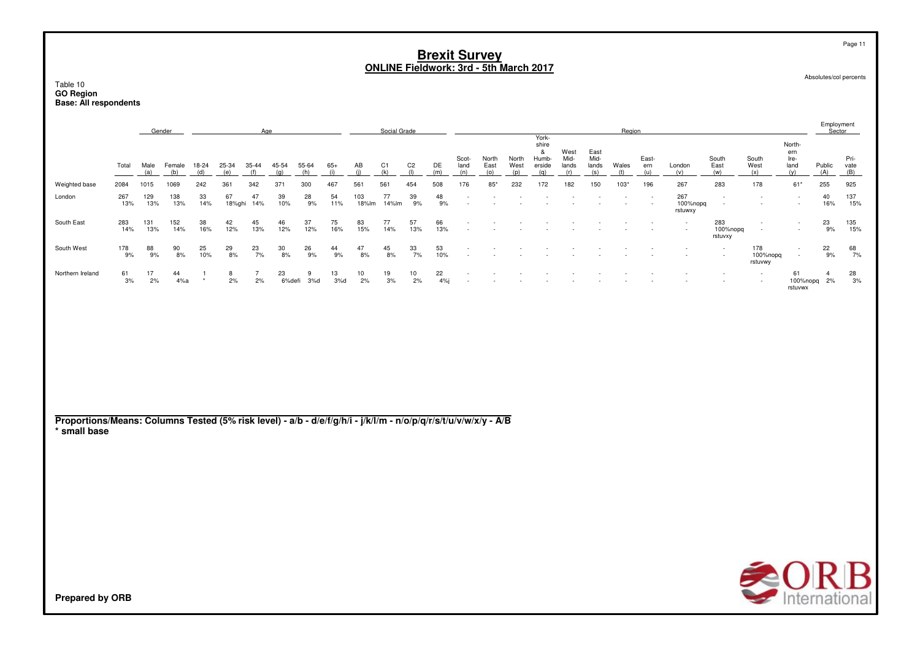|                  |            |            | Gender        |           |              | Age       |                  |           |           |              | Social Grade |           |           |               |                      |               |                                   |                       |                       | Region         |              |                            |                            |                                                      |                               | Employment<br>Sector |                     |
|------------------|------------|------------|---------------|-----------|--------------|-----------|------------------|-----------|-----------|--------------|--------------|-----------|-----------|---------------|----------------------|---------------|-----------------------------------|-----------------------|-----------------------|----------------|--------------|----------------------------|----------------------------|------------------------------------------------------|-------------------------------|----------------------|---------------------|
|                  | Total      | Male       | Female<br>(b) | 18-24     | 25-34        | $35 - 44$ | 45-54            | 55-64     | $65+$     | AB           | C1           | C2        | DE        | Scot-<br>land | North<br>East<br>(0) | North<br>West | York-<br>shire<br>Humb-<br>erside | West<br>Mid-<br>lands | East<br>Mid-<br>lands | Wales          | East-<br>ern | London                     | South<br>East              | South<br>West                                        | North-<br>ern<br>Ire-<br>land | Public<br>(A)        | Pri-<br>vate<br>(B) |
| Weighted base    | 2084       | 1015       | 1069          | 242       | 361          | 342       | 371              | 300       | 467       | 561          | 561          | 454       | 508       | 176           | $85^{\circ}$         | 232           | 172                               | 182                   | 150                   | 103*           | 196          | 267                        | 283                        | 178                                                  | $61*$                         | 255                  | 925                 |
| London           | 267<br>13% | 129<br>13% | 138<br>13%    | 33<br>14% | 67<br>18%ghi | 47<br>14% | 39<br>10%        | 28<br>9%  | 54<br>11% | 103<br>18%lm | 77<br>14%lm  | 39<br>9%  | 48<br>9%  | $\sim$        |                      |               |                                   |                       |                       | <b>Section</b> | $\sim$       | 267<br>100%nopq<br>rstuwxy | $\sim$                     | $\overline{\phantom{a}}$<br>$\overline{\phantom{a}}$ | $\sim$<br>$\sim$              | 40<br>16%            | 137<br>15%          |
| South East       | 283<br>14% | 131<br>13% | 152<br>14%    | 38<br>16% | 42<br>12%    | 45<br>13% | 46<br>12%        | 37<br>12% | 75<br>16% | 83<br>15%    | 77<br>14%    | 57<br>13% | 66<br>13% |               |                      |               |                                   |                       |                       |                |              | $\sim$<br>$\sim$           | 283<br>100%nopg<br>rstuvxy | $\overline{\phantom{a}}$<br>$\sim$                   | $\sim$<br>$\sim$              | 23<br>9%             | 135<br>15%          |
| South West       | 178<br>9%  | 88<br>9%   | 90<br>8%      | 25<br>10% | 29<br>8%     | 23<br>7%  | $\frac{30}{8\%}$ | 26<br>9%  | 44<br>9%  | 47<br>8%     | 45<br>8%     | 33<br>7%  | 53<br>10% |               |                      |               |                                   |                       |                       |                |              |                            |                            | 178<br>100%nopg<br>rstuvwy                           | $\sim$<br>. .                 | 22<br>9%             | 68<br>7%            |
| Northern Ireland | 61<br>3%   | 17<br>2%   | 44<br>4%a     |           | 8<br>2%      | 2%        | 23<br>6%defi     | 3%d       | 13<br>3%d | 10<br>2%     | 19<br>3%     | 10<br>2%  | 22<br>4%  |               |                      |               |                                   |                       |                       |                |              |                            |                            | $\sim$<br>$\sim$                                     | 61<br>100%nopq<br>rstuvwx     | 2%                   | 28<br>3%            |

**Proportions/Means: Columns Tested (5% risk level) - a/b - d/e/f/g/h/i - j/k/l/m - n/o/p/q/r/s/t/u/v/w/x/y - A/B\* small base**



Table 10 **GO Region Base: All respondents**

Page 11

Employment

Absolutes/col percents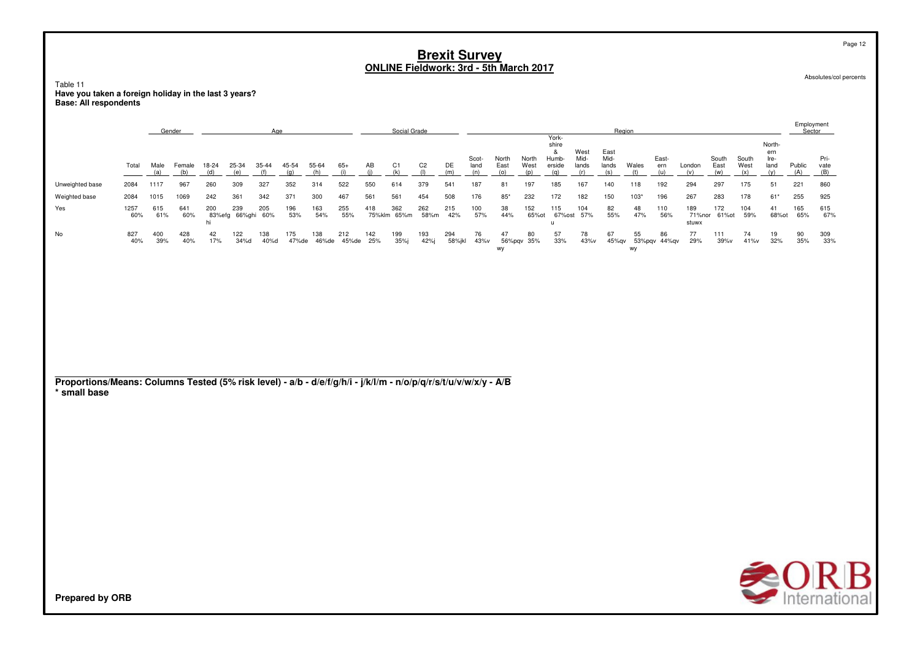Table 11 Have you taken a foreign holiday in the last 3 years?<br>Base: All respondents

|                                                                                                                                 |             |             | Gender        |                     |               | Age          |              |              |              |            | Social Grade          |                       |               |                      |                      |                      |                                               |                              |                              | Region       |                     |                        |                      |                      |                                      | Employment<br>Sector |                     |
|---------------------------------------------------------------------------------------------------------------------------------|-------------|-------------|---------------|---------------------|---------------|--------------|--------------|--------------|--------------|------------|-----------------------|-----------------------|---------------|----------------------|----------------------|----------------------|-----------------------------------------------|------------------------------|------------------------------|--------------|---------------------|------------------------|----------------------|----------------------|--------------------------------------|----------------------|---------------------|
|                                                                                                                                 | Total       | Male<br>(a) | Female<br>(b) | 18-24<br>(d)        | 25-34<br>(e)  | 35-44<br>(f) | 45-54<br>(q) | 55-64<br>(h) | $65+$<br>(i) | AB<br>(i)  | C <sub>1</sub><br>(k) | C <sub>2</sub><br>(1) | DE<br>(m)     | Scot-<br>land<br>(n) | North<br>East<br>(o) | North<br>West<br>(p) | York-<br>shire<br>&<br>Humb-<br>erside<br>(q) | West<br>Mid-<br>lands<br>(r) | East<br>Mid-<br>lands<br>(s) | Wales<br>(t) | East-<br>ern<br>(u) | London<br>(v)          | South<br>East<br>(w) | South<br>West<br>(x) | North-<br>ern<br>Ire-<br>land<br>(v) | Public<br>(A)        | Pri-<br>vate<br>(B) |
| Unweighted base                                                                                                                 | 2084        | 1117        | 967           | 260                 | 309           | 327          | 352          | 314          | 522          | 550        | 614                   | 379                   | 541           | 187                  | 81                   | 197                  | 185                                           | 167                          | 140                          | 118          | 192                 | 294                    | 297                  | 175                  | 51                                   | 221                  | 860                 |
| Weighted base                                                                                                                   | 2084        | 1015        | 1069          | 242                 | 361           | 342          | 371          | 300          | 467          | 561        | 561                   | 454                   | 508           | 176                  | $85*$                | 232                  | 172                                           | 182                          | 150                          | $103*$       | 196                 | 267                    | 283                  | 178                  | $61*$                                | 255                  | 925                 |
| Yes                                                                                                                             | 1257<br>60% | 615<br>61%  | 641<br>60%    | 200<br>83%efg<br>hi | 239<br>66%ghi | 205<br>60%   | 196<br>53%   | 163<br>54%   | 255<br>55%   | 418        | 362<br>75%klm 65%m    | 262<br>58%m           | 215<br>42%    | 100<br>57%           | 38<br>44%            | 152<br>65% ot        | 115<br>67%ost<br>$\mathsf{u}$                 | 104<br>57%                   | 82<br>55%                    | 48<br>47%    | 110<br>56%          | 189<br>71%nor<br>stuwx | 172<br>61% ot        | 104<br>59%           | 41<br>68% ot                         | 165<br>65%           | 615<br>67%          |
| No                                                                                                                              | 827<br>40%  | 400<br>39%  | 428<br>40%    | 42<br>17%           | 122<br>34%d   | 138<br>40%d  | 175<br>47%de | 138<br>46%de | 212<br>45%de | 142<br>25% | 199<br>35%j           | 193<br>42%j           | 294<br>58%jkl | 76<br>43%v           | 47<br>wy             | 80<br>56%pqv 35%     | 57<br>33%                                     | 78<br>43%v                   | 67<br>45%qv                  | 55<br>wy     | 86<br>53%pqv 44%qv  | 77<br>29%              | 111<br>39%v          | 74<br>41%v           | 19<br>32%                            | 90<br>35%            | 309<br>33%          |
|                                                                                                                                 |             |             |               |                     |               |              |              |              |              |            |                       |                       |               |                      |                      |                      |                                               |                              |                              |              |                     |                        |                      |                      |                                      |                      |                     |
|                                                                                                                                 |             |             |               |                     |               |              |              |              |              |            |                       |                       |               |                      |                      |                      |                                               |                              |                              |              |                     |                        |                      |                      |                                      |                      |                     |
| Proportions/Means: Columns Tested (5% risk level) - a/b - d/e/f/g/h/i - j/k/l/m - n/o/p/q/r/s/t/u/v/w/x/y - A/B<br>* small base |             |             |               |                     |               |              |              |              |              |            |                       |                       |               |                      |                      |                      |                                               |                              |                              |              |                     |                        |                      |                      |                                      |                      |                     |
|                                                                                                                                 |             |             |               |                     |               |              |              |              |              |            |                       |                       |               |                      |                      |                      |                                               |                              |                              |              |                     |                        |                      |                      |                                      |                      |                     |
|                                                                                                                                 |             |             |               |                     |               |              |              |              |              |            |                       |                       |               |                      |                      |                      |                                               |                              |                              |              |                     |                        |                      |                      |                                      |                      |                     |
|                                                                                                                                 |             |             |               |                     |               |              |              |              |              |            |                       |                       |               |                      |                      |                      |                                               |                              |                              |              |                     |                        |                      |                      |                                      |                      |                     |
|                                                                                                                                 |             |             |               |                     |               |              |              |              |              |            |                       |                       |               |                      |                      |                      |                                               |                              |                              |              |                     |                        |                      |                      |                                      |                      |                     |
|                                                                                                                                 |             |             |               |                     |               |              |              |              |              |            |                       |                       |               |                      |                      |                      |                                               |                              |                              |              |                     |                        |                      |                      |                                      |                      |                     |
|                                                                                                                                 |             |             |               |                     |               |              |              |              |              |            |                       |                       |               |                      |                      |                      |                                               |                              |                              |              |                     |                        |                      |                      |                                      |                      |                     |
| <b>Prepared by ORB</b>                                                                                                          |             |             |               |                     |               |              |              |              |              |            |                       |                       |               |                      |                      |                      |                                               |                              |                              |              |                     |                        |                      |                      |                                      |                      | <b>SORB</b>         |

Page 12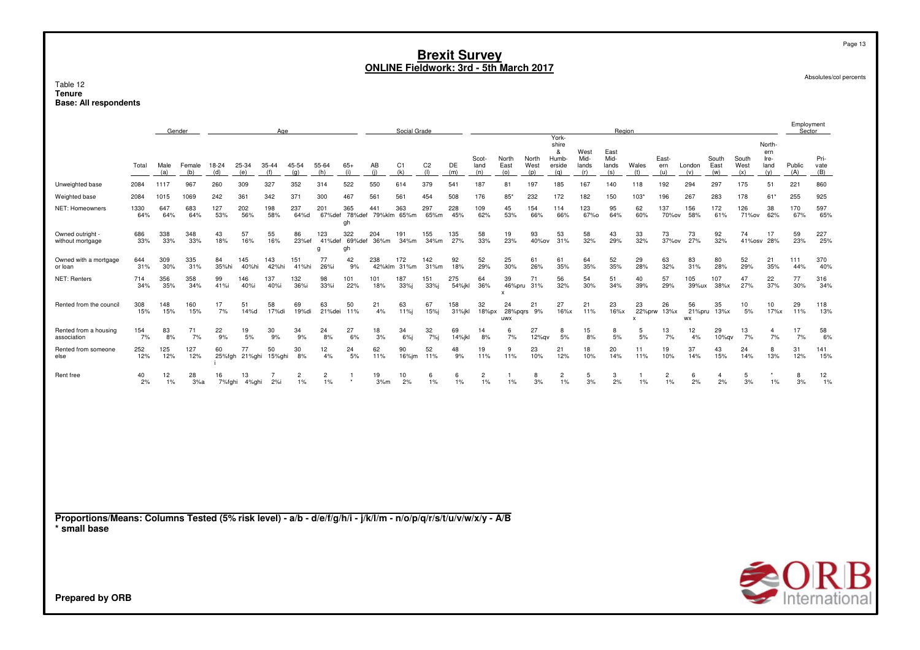|                                                                                                                                 |             |             | Gender        |              |              | Age          |                      |                      |               |                           | Social Grade          |                       |               |                      |                             |                      |                                               |                              |                              | Region             |                      |                 |                      |                      |                                      | Employment<br>Sector      |                     |
|---------------------------------------------------------------------------------------------------------------------------------|-------------|-------------|---------------|--------------|--------------|--------------|----------------------|----------------------|---------------|---------------------------|-----------------------|-----------------------|---------------|----------------------|-----------------------------|----------------------|-----------------------------------------------|------------------------------|------------------------------|--------------------|----------------------|-----------------|----------------------|----------------------|--------------------------------------|---------------------------|---------------------|
|                                                                                                                                 | Total       | Male<br>(a) | Female<br>(b) | 18-24<br>(d) | 25-34<br>(e) | 35-44<br>(f) | 45-54<br>(q)         | 55-64<br>(h)         | $65+$<br>(i)  | AB<br>(i)                 | C <sub>1</sub><br>(k) | C <sub>2</sub><br>(1) | DE<br>(m)     | Scot-<br>land<br>(n) | North<br>East<br>(0)        | North<br>West<br>(p) | York-<br>shire<br>&<br>Humb-<br>erside<br>(q) | West<br>Mid-<br>lands<br>(r) | East<br>Mid-<br>lands<br>(s) | Wales<br>(t)       | East-<br>ern<br>(u)  | London<br>(v)   | South<br>East<br>(w) | South<br>West<br>(x) | North-<br>ern<br>Ire-<br>land<br>(y) | Public<br>(A)             | Pri-<br>vate<br>(B) |
| Unweighted base                                                                                                                 | 2084        | 1117        | 967           | 260          | 309          | 327          | 352                  | 314                  | 522           | 550                       | 614                   | 379                   | 541           | 187                  | 81                          | 197                  | 185                                           | 167                          | 140                          | 118                | 192                  | 294             | 297                  | 175                  | 51                                   | 221                       | 860                 |
| Weighted base                                                                                                                   | 2084        | 1015        | 1069          | 242          | 361          | 342          | 371                  | 300                  | 467           | 561                       | 561                   | 454                   | 508           | 176                  | $85*$                       | 232                  | 172                                           | 182                          | 150                          | $103*$             | 196                  | 267             | 283                  | 178                  | 61'                                  | 255                       | 925                 |
| NET: Homeowners                                                                                                                 | 1330<br>64% | 647<br>64%  | 683<br>64%    | 127<br>53%   | 202<br>56%   | 198<br>58%   | 237<br>64%d          | 201<br>67%def        | 365<br>gh     | 441<br>78%def 79%klm 65%m | 363                   | 297<br>65%m           | 228<br>45%    | 109<br>62%           | 45<br>53%                   | 154<br>66%           | 114<br>66%                                    | 123<br>67%0                  | 95<br>64%                    | 62<br>60%          | 137<br>70%ov         | 156<br>58%      | 172<br>61%           | 126<br>71%ov         | 38<br>62%                            | 170<br>67%                | 597<br>65%          |
| Owned outright -<br>without mortgage                                                                                            | 686<br>33%  | 338<br>33%  | 348<br>33%    | 43<br>18%    | 57<br>16%    | 55<br>16%    | 86<br>23%ef          | 123<br>41%def<br>q   | 322<br>gh     | 204<br>69%def 36%m        | 191<br>34%m           | 155<br>34%m           | 135<br>27%    | 58<br>33%            | 19<br>23%                   | 93<br>40%ov          | 53<br>31%                                     | 58<br>32%                    | 43<br>29%                    | 33<br>32%          | 73<br>37%ov          | 73<br>27%       | 92<br>32%            | 74<br>41%osv         | 17<br>28%                            | 59<br>23%                 | 227<br>25%          |
| Owned with a mortgage<br>or loan                                                                                                | 644<br>31%  | 309<br>30%  | 335<br>31%    | 84<br>35%hi  | 145<br>40%hi | 143<br>42%hi | 151<br>41%hi         | 77<br>26%i           | 42<br>9%      | 238                       | 172<br>42%klm 31%m    | 142<br>31%m           | 92<br>18%     | 52<br>29%            | 25<br>30%                   | 61<br>26%            | 61<br>35%                                     | 64<br>35%                    | 52<br>35%                    | 29<br>28%          | 63<br>32%            | 83<br>31%       | 80<br>28%            | 52<br>29%            | 21<br>35%                            | 111<br>44%                | 370<br>40%          |
| <b>NET: Renters</b>                                                                                                             | 714<br>34%  | 356<br>35%  | 358<br>34%    | 99<br>41%i   | 146<br>40%i  | 137<br>40%i  | 132<br>36%i          | 98<br>33%i           | 101<br>22%    | 101<br>18%                | 187<br>33%j           | 151<br>33%j           | 275<br>54%jkl | 64<br>36%            | 39<br>46%pru<br>$\mathbf x$ | 71<br>31%            | 56<br>32%                                     | 54<br>30%                    | 51<br>34%                    | 40<br>39%          | 57<br>29%            | 105<br>39%ux    | 107<br>38%x          | 47<br>27%            | 22<br>37%                            | 77<br>30%                 | 316<br>34%          |
| Rented from the council                                                                                                         | 308<br>15%  | 148<br>15%  | 160<br>15%    | 17<br>7%     | 51<br>14%d   | 58<br>17%di  | 69<br>19%di          | 63<br>21%dei         | 50<br>11%     | 21<br>4%                  | 63<br>11%i            | 67<br>15%i            | 158<br>31%jkl | 32<br>18%px          | 24<br>28%pqrs 9%<br>uwx     | 21                   | 27<br>16%x                                    | 21<br>11%                    | 23<br>16%x                   | 23<br>$\mathsf{x}$ | 26<br>22%prw 13%x    | 56<br><b>WX</b> | 35<br>21%pru 13%x    | 10<br>5%             | 10<br>17%x                           | 29<br>11%                 | 118<br>13%          |
| Rented from a housing<br>association                                                                                            | 154<br>7%   | 83<br>8%    | 71<br>7%      | 22<br>9%     | 19<br>5%     | 30<br>9%     | 34<br>9%             | 24<br>8%             | 27<br>6%      | 18<br>3%                  | 34<br>6%              | 32<br>7%j             | 69<br>14%jkl  | 14<br>8%             | 6<br>7%                     | 27<br>12%gv          | 8<br>5%                                       | 15<br>8%                     | 8<br>5%                      | -5<br>5%           | 13<br>7%             | 12<br>4%        | 29<br>10%qv          | 13<br>7%             | $\overline{4}$<br>7%                 | 17<br>7%                  | 58<br>6%            |
| Rented from someone<br>else                                                                                                     | 252<br>12%  | 125<br>12%  | 127<br>12%    | 60<br>25%fgh | 77<br>21%ghi | 50<br>15%ghi | 30<br>8%             | 12<br>4%             | 24<br>5%      | 62<br>11%                 | 90<br>16%jm           | 52<br>11%             | 48<br>9%      | 19<br>11%            | 9<br>11%                    | 23<br>10%            | 21<br>12%                                     | 18<br>10%                    | 20<br>14%                    | 11<br>11%          | 19<br>10%            | 37<br>14%       | 43<br>15%            | 24<br>14%            | 8<br>13%                             | 31<br>12%                 | 141<br>15%          |
| Rent free                                                                                                                       | 40<br>2%    | 12<br>1%    | 28<br>3%a     | 16<br>7%fghi | 13<br>4%ghi  | 2%           | $\overline{2}$<br>1% | $\overline{2}$<br>1% | -1<br>$\star$ | 19<br>3%m                 | 10<br>2%              | 6<br>1%               | 6<br>1%       | $\overline{2}$<br>1% | $\mathbf{1}$<br>1%          | 8<br>3%              | $\overline{2}$<br>1%                          | 5<br>3%                      | 3<br>2%                      | 1%                 | $\overline{2}$<br>1% | 6<br>2%         | 4<br>2%              | 5<br>3%              | $1\%$                                | 8<br>3%                   | 12<br>1%            |
|                                                                                                                                 |             |             |               |              |              |              |                      |                      |               |                           |                       |                       |               |                      |                             |                      |                                               |                              |                              |                    |                      |                 |                      |                      |                                      |                           |                     |
| Proportions/Means: Columns Tested (5% risk level) - a/b - d/e/f/g/h/i - j/k/l/m - n/o/p/q/r/s/t/u/v/w/x/y - A/B<br>* small base |             |             |               |              |              |              |                      |                      |               |                           |                       |                       |               |                      |                             |                      |                                               |                              |                              |                    |                      |                 |                      |                      |                                      |                           |                     |
|                                                                                                                                 |             |             |               |              |              |              |                      |                      |               |                           |                       |                       |               |                      |                             |                      |                                               |                              |                              |                    |                      |                 |                      |                      |                                      | $\triangle$ $\cap$ $\Box$ |                     |

Absolutes/col percents

Page 13

**SORB**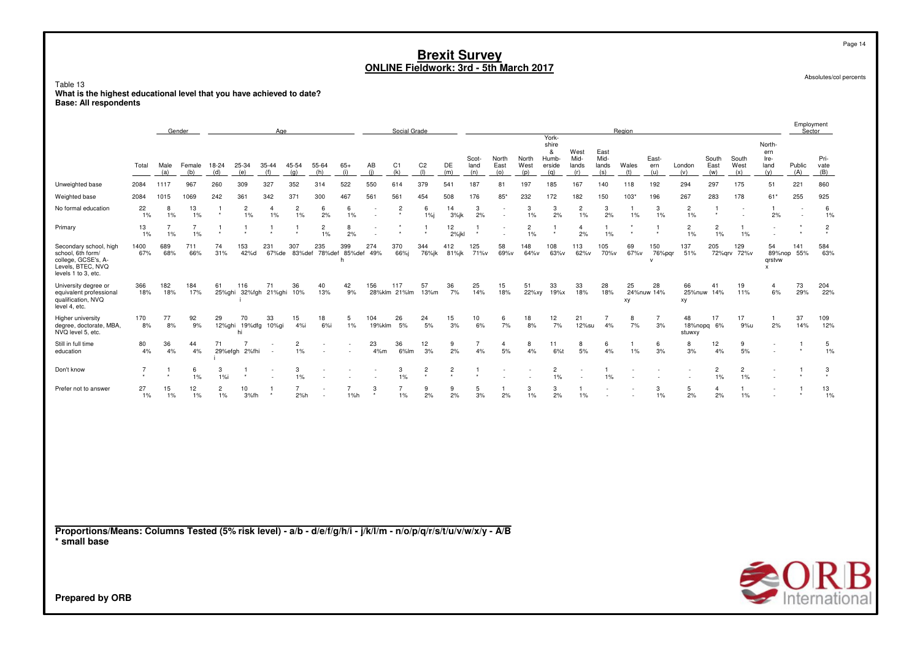Table 13 **What is the highest educational level that you have achieved to date?Base: All respondents**

EmploymentGender<u>r Age</u> e Region Region Region Social Grade Region Region Region Region Sector Sector Sector Sector Sector Sector Sector Sector  $\mu$ Yorkshiree North-& West East ern Scot-Scot- North<br>Jand East North Humb- Mid- Mid- East- South South Ire- Pri-TotalMale Female emale 18-24 25-34 35-44 45-54 55-64 65-<br>(b) (d) (e) (f) (g) (b) (i)  $AB$ B C1 C2 DE land East West erside lands lands Wales ern London East West land Public vater<br>"C1 C2 DE land East West erside lands lands was ern London East West land Public van  $(a)$  (b) (d) (e) (f) (g) (h) (i) (j) (k) (l) (m) (n) (o) (p) (q) (r) (s) (t) (u) (v) (w) (x) (y) (A) (B) Unweighted base <sup>2084</sup> <sup>1117</sup> <sup>967</sup> <sup>260</sup> <sup>309</sup> <sup>327</sup> <sup>352</sup> <sup>314</sup> <sup>522</sup> <sup>550</sup> <sup>614</sup> <sup>379</sup> <sup>541</sup> <sup>187</sup> <sup>81</sup> <sup>197</sup> <sup>185</sup> <sup>167</sup> <sup>140</sup> <sup>118</sup> <sup>192</sup> <sup>294</sup> <sup>297</sup> <sup>175</sup> <sup>51</sup> <sup>221</sup> <sup>860</sup> Weighted base <sup>2084</sup> <sup>1015</sup> <sup>1069</sup> <sup>242</sup> <sup>361</sup> <sup>342</sup> <sup>371</sup> <sup>300</sup> <sup>467</sup> <sup>561</sup> <sup>561</sup> <sup>454</sup> <sup>508</sup> <sup>176</sup> 85\* <sup>232</sup> <sup>172</sup> <sup>182</sup> <sup>150</sup> 103\* <sup>196</sup> <sup>267</sup> <sup>283</sup> <sup>178</sup> 61\* <sup>255</sup> <sup>925</sup> No formal educationn 22 8 13 1 2 4 2 6 6 - 2 6 14 3 - 3 3 2 3 1 3 2 1 - 1 - 6 1% 1% 1% \* 1% 1% 1% 2% 1% - \* 1%j 3%jk 2% - 1% 2% 1% 2% 1% 1% 1% \* - 2% - 1% Primaryy 13  $\frac{3}{2}$  7 7 1 1 1 1 2 8 - 1 1  $\frac{1}{2}$  1 - 2 1 4 1  $\frac{1}{2}$  1 - 2 2 1  $\frac{1}{2}$ 1% 1% 1% \* \* \* \* 1% 2% - \* \* 2%jkl \* - 1% \* 2% 1% \* \* 1% 1% 1% - \* \* Secondary school, high <sup>1400</sup> <sup>689</sup> <sup>711</sup> <sup>74</sup> <sup>153</sup> <sup>231</sup> <sup>307</sup> <sup>235</sup> <sup>399</sup> <sup>274</sup> <sup>370</sup> <sup>344</sup> <sup>412</sup> <sup>125</sup> <sup>58</sup> <sup>148</sup> <sup>108</sup> <sup>113</sup> <sup>105</sup> <sup>69</sup> <sup>150</sup> <sup>137</sup> <sup>205</sup> <sup>129</sup> <sup>54</sup> <sup>141</sup> <sup>584</sup> school, 6th form/ 67% 68% 66% 31% 42%d 67%de 83%def 78%def 85%def 49% 66%j 76%jk 81%jk 71%v 69%v 64%v 63%v 62%v 70%v 67%v 76%pqr 51% 72%qrv 72%v 89%nop 55% 63% college, GCSE's, Ah ann an t-ainm an t-ainm an t-ainm an t-ainm an t-ainm an t-ainm an t-ainm an t-ainm an t-ainm an t-ainm an th which is a state of the control of the control of the control of the control of the control of the control of the control of the control of the control of the control of the control of the control of the control of the c Levels, BTEC, NVQ<u>x</u> levels 1 to 3, etc. University degree or 366 <sup>182</sup> <sup>184</sup> <sup>61</sup> <sup>116</sup> <sup>71</sup> <sup>36</sup> <sup>40</sup> <sup>42</sup> <sup>156</sup> <sup>117</sup> <sup>57</sup> <sup>36</sup> <sup>25</sup> <sup>15</sup> <sup>51</sup> <sup>33</sup> <sup>33</sup> <sup>28</sup> <sup>25</sup> <sup>28</sup> <sup>66</sup> <sup>41</sup> <sup>19</sup> <sup>4</sup> <sup>73</sup> <sup>204</sup> equivalent professional 18% 18% 17% 25%ghi 32%fgh 21%ghi 10% 13% 9% 28%klm 21%lm 13%m 7% 14% 18% 22%xy 19%x 18% 18% 24%nuw 14% 25%nuw 14% 11% 6% 29% 22% qualification, NVQ <sup>i</sup> xy xy level 4, etc.Higher university <sup>170</sup> <sup>77</sup> <sup>92</sup> <sup>29</sup> <sup>70</sup> <sup>33</sup> <sup>15</sup> <sup>18</sup> <sup>5</sup> <sup>104</sup> <sup>26</sup> <sup>24</sup> <sup>15</sup> <sup>10</sup> <sup>6</sup> <sup>18</sup> <sup>12</sup> <sup>21</sup> <sup>7</sup> <sup>8</sup> <sup>7</sup> <sup>48</sup> <sup>17</sup> <sup>17</sup> <sup>1</sup> <sup>37</sup> <sup>109</sup> degree, doctorate, MBA, 8% 8% 9% 12%ghi 19%dfg 10%gi 4%i 6%i 1% 19%klm 5% 5% 3% 6% 7% 8% 7% 12%su 4% 7% 3% 18%nopq 6% 9%u 2% 14% 12% NVQ level 5, etc.hi stuwxy hi stuwxy and the studies of the studies of the studies of the studies of the studies of the studies Still in full time <sup>80</sup> <sup>36</sup> <sup>44</sup> <sup>71</sup> <sup>7</sup> - <sup>2</sup> - - <sup>23</sup> <sup>36</sup> <sup>12</sup> <sup>9</sup> <sup>7</sup> <sup>4</sup> <sup>8</sup> <sup>11</sup> <sup>8</sup> <sup>6</sup> <sup>1</sup> <sup>6</sup> <sup>8</sup> <sup>12</sup> <sup>9</sup> - <sup>1</sup> <sup>5</sup> education $10$   $4\%$  4% 4% 29%efgh 2%fhi - 1% - - 4%m 6%lm 3% 2% 4% 5% 4% 6%t 5% 4% 1% 3% 3% 4% 5% - \* 1% Don't know <sup>7</sup> <sup>1</sup> <sup>6</sup> <sup>3</sup> <sup>1</sup> - <sup>3</sup> - - - <sup>3</sup> <sup>2</sup> <sup>2</sup> <sup>1</sup> - - <sup>2</sup> - <sup>1</sup> - - - <sup>2</sup> <sup>2</sup> - <sup>1</sup> <sup>3</sup> 1% 1%i \* - 1% - - - 1% \* \* \* - - 1% - 1% - - - 1% 1% - \* \* Prefer not to answer <sup>27</sup> <sup>15</sup> <sup>12</sup> <sup>2</sup> <sup>10</sup> <sup>1</sup> <sup>7</sup> - <sup>7</sup> <sup>3</sup> <sup>7</sup> <sup>9</sup> <sup>9</sup> <sup>5</sup> <sup>1</sup> <sup>3</sup> <sup>3</sup> <sup>1</sup> - - <sup>3</sup> <sup>5</sup> <sup>4</sup> <sup>1</sup> - <sup>1</sup> <sup>13</sup> 1%1% 1% 1% 3%fh \* 2%h - 1%h \* 1% 2% 2% 3% 2% 1% 2% 1% - - 1% 2% 2% 1% - \* 1%

**Proportions/Means: Columns Tested (5% risk level) - a/b - d/e/f/g/h/i - j/k/l/m - n/o/p/q/r/s/t/u/v/w/x/y - A/B\* small base**

**Prepared by ORB**

Page 14

Absolutes/col percents

International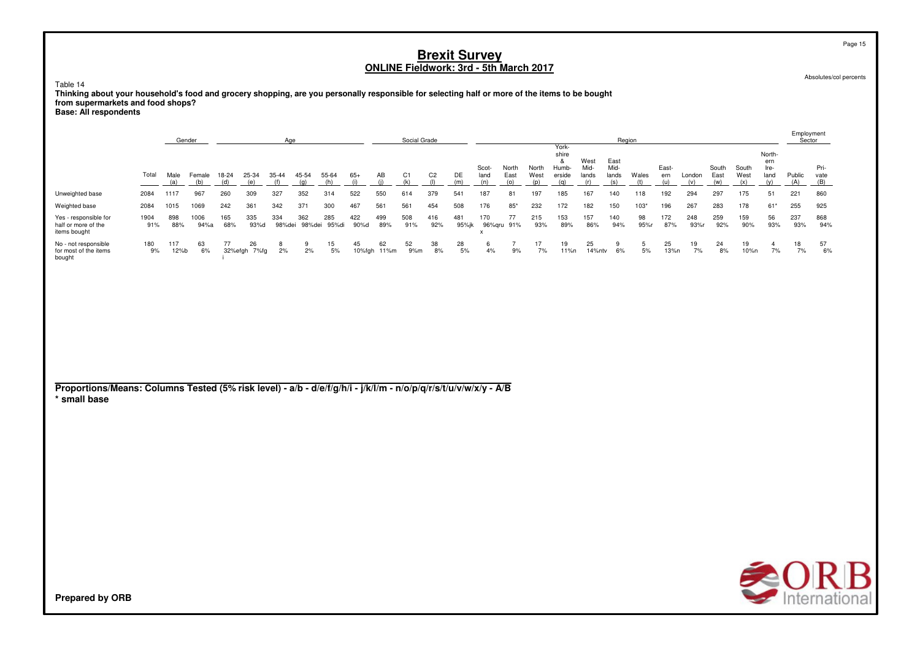Table 14

**Thinking about your household's food and grocery shopping, are you personally responsible for selecting half or more of the items to be bought from supermarkets and food shops?**

**Base: All respondents**

|                                                                                                                                 |             | Gender<br>Age |               |              |                    |               |               |              |              |                   | Social Grade |                       |              |                                  |                      |                      |                                               |                              |                              | Region       |                     |               |                      |                      |                                      | Employment    | Sector              |
|---------------------------------------------------------------------------------------------------------------------------------|-------------|---------------|---------------|--------------|--------------------|---------------|---------------|--------------|--------------|-------------------|--------------|-----------------------|--------------|----------------------------------|----------------------|----------------------|-----------------------------------------------|------------------------------|------------------------------|--------------|---------------------|---------------|----------------------|----------------------|--------------------------------------|---------------|---------------------|
|                                                                                                                                 | Total       | Male<br>(a)   | Female<br>(b) | 18-24<br>(d) | 25-34<br>(e)       | 35-44<br>(f)  | 45-54<br>(q)  | 55-64<br>(h) | $65+$<br>(i) | AB<br>(i)         | C1<br>(k)    | C <sub>2</sub><br>(1) | DE<br>(m)    | Scot-<br>land<br>(n)             | North<br>East<br>(o) | North<br>West<br>(p) | York-<br>shire<br>&<br>Humb-<br>erside<br>(q) | West<br>Mid-<br>lands<br>(r) | East<br>Mid-<br>lands<br>(s) | Wales<br>(t) | East-<br>ern<br>(u) | London<br>(v) | South<br>East<br>(w) | South<br>West<br>(x) | North-<br>ern<br>Ire-<br>land<br>(y) | Public<br>(A) | Pri-<br>vate<br>(B) |
| Unweighted base                                                                                                                 | 2084        | 1117          | 967           | 260          | 309                | 327           | 352           | 314          | 522          | 550               | 614          | 379                   | 541          | 187                              | 81                   | 197                  | 185                                           | 167                          | 140                          | 118          | 192                 | 294           | 297                  | 175                  | 51                                   | 221           | 860                 |
| Weighted base                                                                                                                   | 2084        | 1015          | 1069          | 242          | 361                | 342           | 371           | 300          | 467          | 561               | 561          | 454                   | 508          | 176                              | $85*$                | 232                  | 172                                           | 182                          | 150                          | 103*         | 196                 | 267           | 283                  | 178                  | 61*                                  | 255           | 925                 |
| Yes - responsible for<br>half or more of the<br>items bought                                                                    | 1904<br>91% | 898<br>88%    | 1006<br>94%a  | 165<br>68%   | 335<br>93%d        | 334<br>98%dei | 362<br>98%dei | 285<br>95%di | 422<br>90%d  | 499<br>89%        | 508<br>91%   | 416<br>92%            | 481<br>95%jk | 170<br>$\boldsymbol{\mathsf{x}}$ | 77<br>96%qru 91%     | 215<br>93%           | 153<br>89%                                    | 157<br>86%                   | 140<br>94%                   | 98<br>95%r   | 172<br>87%          | 248<br>93%r   | 259<br>92%           | 159<br>90%           | 56<br>93%                            | 237<br>93%    | 868<br>94%          |
| No - not responsible<br>for most of the items<br>bought                                                                         | 180<br>9%   | 117<br>12%b   | 63<br>6%      | 77           | 26<br>32%efgh 7%fg | 8<br>2%       | 9<br>2%       | 15<br>$5%$   | 45           | 62<br>10%fgh 11%m | 52<br>9%m    | 38<br>8%              | 28<br>5%     | 6<br>4%                          | $\overline{7}$<br>9% | 17<br>7%             | 19<br>11%n                                    | 25<br>14%ntv                 | 9<br>6%                      | 5<br>$5%$    | 25<br>13%n          | 19<br>7%      | 24<br>8%             | 19<br>10%n           | $\overline{4}$<br>7%                 | 18<br>7%      | 57<br>6%            |
| Proportions/Means: Columns Tested (5% risk level) - a/b - d/e/f/g/h/i - j/k/l/m - n/o/p/q/r/s/t/u/v/w/x/y - A/B<br>* small base |             |               |               |              |                    |               |               |              |              |                   |              |                       |              |                                  |                      |                      |                                               |                              |                              |              |                     |               |                      |                      | <b>200</b>                           |               |                     |

Absolutes/col percents

Page 15

**SORB**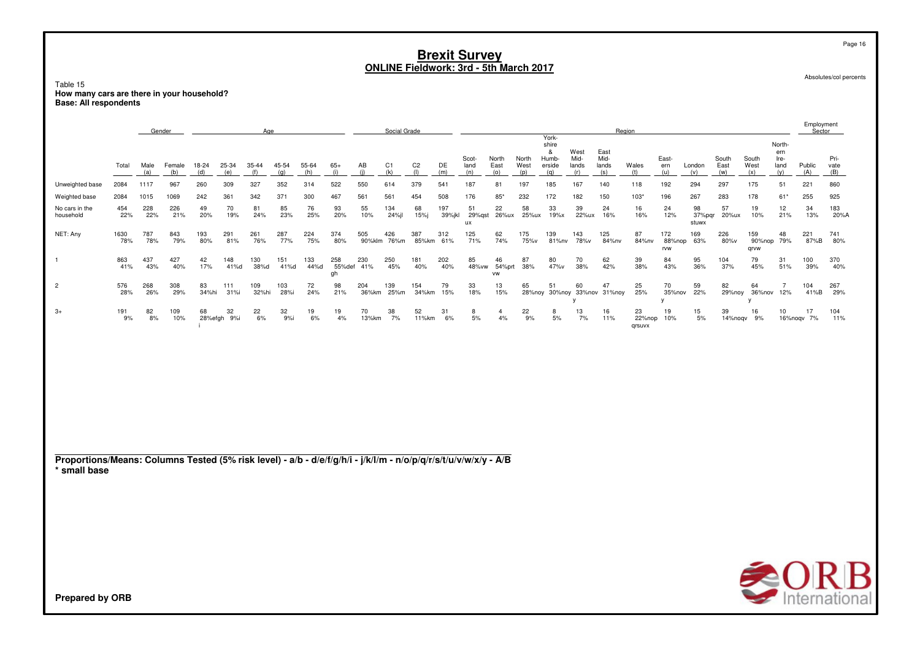Page 16

Absolutes/col percents

Table 15 How many cars are there in your household?<br>Base: All respondents

|                                                                                                                                 |             |             | Gender        |              |                   | Age          |              |              | Social Grade        |              |                    |                       |               |                      |                           |                      |                                               | Region                       |                              |                        |                      |                       |                      | Employment<br>Sector  |                                      |                  |                     |
|---------------------------------------------------------------------------------------------------------------------------------|-------------|-------------|---------------|--------------|-------------------|--------------|--------------|--------------|---------------------|--------------|--------------------|-----------------------|---------------|----------------------|---------------------------|----------------------|-----------------------------------------------|------------------------------|------------------------------|------------------------|----------------------|-----------------------|----------------------|-----------------------|--------------------------------------|------------------|---------------------|
|                                                                                                                                 | Total       | Male<br>(a) | Female<br>(b) | 18-24<br>(d) | 25-34<br>(e)      | 35-44<br>(f) | 45-54<br>(q) | 55-64<br>(h) | $65+$<br>(i)        | AB<br>(i)    | C1<br>(k)          | C <sub>2</sub><br>(1) | DE<br>(m)     | Scot-<br>land<br>(n) | North<br>East<br>(0)      | North<br>West<br>(p) | York-<br>shire<br>&<br>Humb-<br>erside<br>(q) | West<br>Mid-<br>lands<br>(r) | East<br>Mid-<br>lands<br>(s) | Wales<br>(t)           | East-<br>ern<br>(u)  | London<br>(v)         | South<br>East<br>(w) | South<br>West<br>(x)  | North-<br>ern<br>Ire-<br>land<br>(y) | Public<br>(A)    | Pri-<br>vate<br>(B) |
| Unweighted base                                                                                                                 | 2084        | 1117        | 967           | 260          | 309               | 327          | 352          | 314          | 522                 | 550          | 614                | 379                   | 541           | 187                  | 81                        | 197                  | 185                                           | 167                          | 140                          | 118                    | 192                  | 294                   | 297                  | 175                   | 51                                   | 221              | 860                 |
| Weighted base                                                                                                                   | 2084        | 1015        | 1069          | 242          | 361               | 342          | 371          | 300          | 467                 | 561          | 561                | 454                   | 508           | 176                  | $85*$                     | 232                  | 172                                           | 182                          | 150                          | $103*$                 | 196                  | 267                   | 283                  | 178                   | 61*                                  | 255              | 925                 |
| No cars in the<br>household                                                                                                     | 454<br>22%  | 228<br>22%  | 226<br>21%    | 49<br>20%    | 70<br>19%         | 81<br>24%    | 85<br>23%    | 76<br>25%    | 93<br>20%           | 55<br>10%    | 134<br>24%jl       | 68<br>15%j            | 197<br>39%jkl | 51<br>29%gst<br>ux   | 22<br>26%ux               | 58<br>25%ux          | 33<br>19%x                                    | 39<br>22%ux                  | 24<br>16%                    | 16<br>16%              | 24<br>12%            | 98<br>37%pqr<br>stuwx | 57<br>20%ux          | 19<br>10%             | 12<br>21%                            | 34<br>13%        | 183<br>20%A         |
| NET: Any                                                                                                                        | 1630<br>78% | 787<br>78%  | 843<br>79%    | 193<br>80%   | 291<br>81%        | 261<br>76%   | 287<br>77%   | 224<br>75%   | 374<br>80%          | 505          | 426<br>90%klm 76%m | 387<br>85%km          | 312<br>61%    | 125<br>71%           | 62<br>74%                 | 175<br>75%v          | 139<br>81%nv                                  | 143<br>78%v                  | 125<br>84%nv                 | 87<br>84%nv            | 172<br>88%nop<br>rvw | 169<br>63%            | 226<br>80%v          | 159<br>90%nop<br>qrvw | 48<br>79%                            | 221<br>87%B      | 741<br>80%          |
| $\overline{1}$                                                                                                                  | 863<br>41%  | 437<br>43%  | 427<br>40%    | 42<br>17%    | 148<br>41%d       | 130<br>38%d  | 151<br>41%d  | 133<br>44%d  | 258<br>55%def<br>gh | 230<br>41%   | 250<br>45%         | 181<br>40%            | 202<br>40%    | 85<br>48% vw         | 46<br>54%prt<br><b>VW</b> | 87<br>38%            | 80<br>47%v                                    | 70<br>38%                    | 62<br>42%                    | 39<br>38%              | 84<br>43%            | 95<br>36%             | 104<br>37%           | 79<br>45%             | 31<br>51%                            | 100<br>39%       | 370<br>40%          |
| $\overline{2}$                                                                                                                  | 576<br>28%  | 268<br>26%  | 308<br>29%    | 83<br>34%hi  | 111<br>31%i       | 109<br>32%hi | 103<br>28%i  | 72<br>24%    | 98<br>21%           | 204<br>36%km | 139<br>25%m        | 154<br>34%km          | 79<br>15%     | 33<br>18%            | 13<br>15%                 | 65<br>28%noy         | 51                                            | 60<br>V                      | 47<br>30%noy 33%nov 31%noy   | 25<br>25%              | 70<br>35%nov<br>V    | 59<br>22%             | 82<br>29%noy         | 64<br>36%nov<br>v     | $\overline{7}$<br>12%                | 104<br>41%B      | 267<br>29%          |
| $3+$                                                                                                                            | 191<br>9%   | 82<br>8%    | 109<br>10%    | 68           | 32<br>28%efgh 9%i | 22<br>6%     | 32<br>9%i    | 19<br>6%     | 19<br>4%            | 70<br>13%km  | 38<br>7%           | 52<br>11%km           | 31<br>6%      | 8<br>5%              | 4<br>4%                   | 22<br>9%             | 8<br>5%                                       | 13<br>7%                     | 16<br>11%                    | 23<br>22%nop<br>qrsuvx | 19<br>10%            | 15<br>5%              | 39<br>14%noqv        | 16<br>9%              | 10                                   | 17<br>16%nogv 7% | 104<br>11%          |
|                                                                                                                                 |             |             |               |              |                   |              |              |              |                     |              |                    |                       |               |                      |                           |                      |                                               |                              |                              |                        |                      |                       |                      |                       |                                      |                  |                     |
| Proportions/Means: Columns Tested (5% risk level) - a/b - d/e/f/g/h/i - j/k/l/m - n/o/p/q/r/s/t/u/v/w/x/y - A/B<br>* small base |             |             |               |              |                   |              |              |              |                     |              |                    |                       |               |                      |                           |                      |                                               |                              |                              |                        |                      |                       |                      |                       |                                      |                  |                     |
|                                                                                                                                 |             |             |               |              |                   |              |              |              |                     |              |                    |                       |               |                      |                           |                      |                                               |                              |                              |                        |                      |                       |                      |                       |                                      |                  |                     |
|                                                                                                                                 |             |             |               |              |                   |              |              |              |                     |              |                    |                       |               |                      |                           |                      |                                               |                              |                              |                        |                      |                       |                      |                       |                                      |                  |                     |
|                                                                                                                                 |             |             |               |              |                   |              |              |              |                     |              |                    |                       |               |                      |                           |                      |                                               |                              |                              |                        |                      |                       |                      |                       |                                      |                  | <b>SORB</b>         |
| <b>Prepared by ORB</b>                                                                                                          |             |             |               |              |                   |              |              |              |                     |              |                    |                       |               |                      |                           |                      |                                               |                              |                              |                        |                      |                       |                      |                       |                                      |                  |                     |

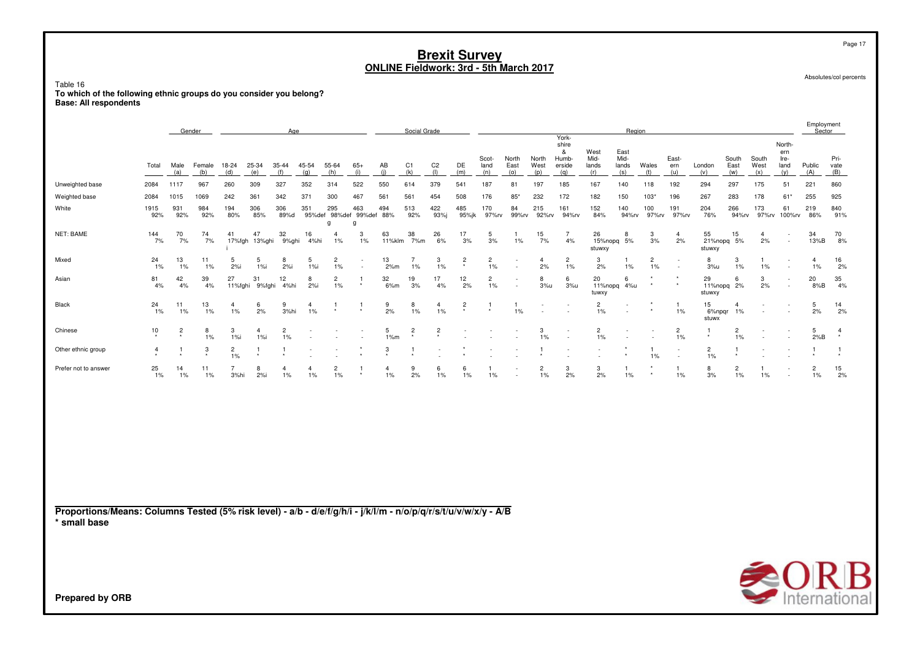Table 16**To which of the following ethnic groups do you consider you belong? Base: All respondents**

| Gender<br>Age                                                                                                                   |                |                |               |                         |                       |                      |                         |                                      |              |                      | Social Grade              |                       |                  |                      |                      |                         |                                               |                              | Region                       |                      |                      |                         |                      |                      |                                      | Employment<br>Sector    |                     |
|---------------------------------------------------------------------------------------------------------------------------------|----------------|----------------|---------------|-------------------------|-----------------------|----------------------|-------------------------|--------------------------------------|--------------|----------------------|---------------------------|-----------------------|------------------|----------------------|----------------------|-------------------------|-----------------------------------------------|------------------------------|------------------------------|----------------------|----------------------|-------------------------|----------------------|----------------------|--------------------------------------|-------------------------|---------------------|
|                                                                                                                                 | Total          | Male<br>(a)    | Female<br>(b) | 18-24<br>(d)            | 25-34<br>(e)          | 35-44<br>(f)         | 45-54<br>(q)            | 55-64<br>(h)                         | $65+$<br>(i) | AB<br>(i)            | C <sub>1</sub><br>(k)     | C <sub>2</sub><br>(1) | DE<br>(m)        | Scot-<br>land<br>(n) | North<br>East<br>(0) | North<br>West<br>(p)    | York-<br>shire<br>&<br>Humb-<br>erside<br>(q) | West<br>Mid-<br>lands<br>(r) | East<br>Mid-<br>lands<br>(s) | Wales<br>(t)         | East-<br>ern<br>(u)  | London<br>(v)           | South<br>East<br>(w) | South<br>West<br>(x) | North-<br>ern<br>Ire-<br>land<br>(y) | Public<br>(A)           | Pri-<br>vate<br>(B) |
| Unweighted base                                                                                                                 | 2084           | 1117           | 967           | 260                     | 309                   | 327                  | 352                     | 314                                  | 522          | 550                  | 614                       | 379                   | 541              | 187                  | 81                   | 197                     | 185                                           | 167                          | 140                          | 118                  | 192                  | 294                     | 297                  | 175                  | 51                                   | 221                     | 860                 |
| Weighted base                                                                                                                   | 2084           | 1015           | 1069          | 242                     | 361                   | 342                  | 371                     | 300                                  | 467          | 561                  | 561                       | 454                   | 508              | 176                  | $85*$                | 232                     | 172                                           | 182                          | 150                          | 103"                 | 196                  | 267                     | 283                  | 178                  | $61*$                                | 255                     | 925                 |
| White                                                                                                                           | 1915<br>92%    | 931<br>92%     | 984<br>92%    | 194<br>80%              | 306<br>85%            | 306<br>89%d          | 351                     | 295<br>95%def 98%def 99%def 88%<br>a | 463<br>g     | 494                  | 513<br>92%                | 422<br>93%j           | 485<br>95%jk     | 170<br>97%rv         | 84<br>99%rv          | 215<br>92%rv            | 161<br>94%rv                                  | 152<br>84%                   | 140<br>94%rv                 | 100<br>97%rv         | 191<br>97%rv         | 204<br>76%              | 266<br>94%rv         | 173<br>97%rv         | 61<br>100%rv                         | 219<br>86%              | 840<br>91%          |
| NET: BAME                                                                                                                       | 144<br>7%      | 70<br>7%       | 74<br>7%      | 41<br>17%fgh            | 47<br>13%ghi          | 32<br>9%ghi          | 16<br>4%hi              | $\overline{4}$<br>1%                 | -3<br>$1\%$  | 63<br>11%klm         | 38<br>7%m                 | 26<br>6%              | 17<br>3%         | 5<br>3%              | 1%                   | 15<br>7%                | $\overline{7}$<br>4%                          | 26<br>15%nopq<br>stuwxy      | 8<br>5%                      | 3<br>3%              | $\overline{4}$<br>2% | 55<br>21%nopq<br>stuwxy | 15<br>5%             | $\overline{4}$<br>2% | $\sim$<br>$\sim$                     | 34<br>13%B              | 70<br>8%            |
| Mixed                                                                                                                           | 24<br>1%       | 13<br>1%       | 11<br>1%      | 5<br>2%                 | 5<br>1%i              | 8<br>$2%$ i          | 5<br>1%                 | $\overline{c}$<br>1%                 |              | 13<br>2%m            | $\overline{7}$<br>1%      | 3<br>$1\%$            | $\overline{c}$   | $\overline{c}$<br>1% |                      | $\overline{4}$<br>2%    | $\overline{c}$<br>1%                          | 3<br>2%                      | -1.<br>$1\%$                 | $\overline{c}$<br>1% |                      | 8<br>3%u                | 3<br>1%              | $\overline{1}$<br>1% | $\sim$                               | $\overline{a}$<br>$1\%$ | 16<br>2%            |
| Asian                                                                                                                           | 81<br>4%       | 42<br>4%       | 39<br>4%      | 27<br>11%fghi           | 31<br>9%fghi          | 12<br>4%hi           | 8<br>2%                 | $\overline{c}$<br>1%                 | -1           | 32<br>6%m            | 19<br>3%                  | 17<br>4%              | $\frac{12}{2\%}$ | $\overline{c}$<br>1% |                      | 8<br>3%u                | 6<br>3%u                                      | 20<br>tuwxy                  | 6<br>11%nopq 4%u             |                      |                      | 29<br>stuwxy            | 6<br>11%nopg 2%      | 3<br>2%              |                                      | 20<br>8%B               | 35<br>4%            |
| Black                                                                                                                           | 24<br>1%       | 11<br>1%       | 13<br>1%      | $\overline{4}$<br>$1\%$ | 6<br>2%               | 9<br>3%hi            | $\overline{4}$<br>1%    | -1                                   | -1           | 9<br>2%              | 8<br>$1\%$                | $\overline{4}$<br>1%  | $\overline{c}$   | -1                   | -1<br>1%             | ٠                       | $\sim$                                        | $\overline{c}$<br>1%         |                              |                      | -1<br>1%             | 15<br>6%npqr<br>stuwx   | 4<br>1%              |                      | $\sim$                               | 5<br>2%                 | 14<br>2%            |
| Chinese                                                                                                                         | 10             | $\overline{c}$ | 8<br>1%       | 3<br>1%                 | $\overline{4}$<br>1%i | $\overline{2}$<br>1% |                         |                                      |              | 5<br>1%m             | $\overline{c}$<br>$\star$ | $\overline{c}$        |                  |                      |                      | 3<br>$1\%$              |                                               | $\overline{2}$<br>1%         |                              |                      | $\overline{a}$<br>1% | -1                      | $\overline{2}$<br>1% |                      |                                      | 5<br>2%B                | $\overline{4}$      |
| Other ethnic group                                                                                                              | $\overline{4}$ |                | 3             | $\overline{c}$<br>1%    | 1                     |                      |                         |                                      |              | $\mathbf{3}$         |                           |                       |                  |                      |                      |                         |                                               |                              |                              | 1%                   | $\sim$<br>$\sim$     | $\overline{c}$<br>$1\%$ | -1                   |                      |                                      |                         |                     |
| Prefer not to answer                                                                                                            | 25<br>1%       | 14<br>1%       | 11<br>1%      | $\overline{7}$<br>3%hi  | 8<br>2%i              | 4<br>1%              | $\overline{4}$<br>$1\%$ | $\overline{c}$<br>1%                 | -1           | $\overline{4}$<br>1% | 9<br>2%                   | 6<br>1%               | 6<br>1%          | -1<br>1%             |                      | $\overline{c}$<br>$1\%$ | 3<br>2%                                       | 3<br>2%                      | -1<br>1%                     |                      | -1.<br>1%            | 8<br>3%                 | 2<br>1%              | -1<br>1%             | $\sim$                               | $\overline{2}$<br>$1\%$ | 15<br>2%            |
| Proportions/Means: Columns Tested (5% risk level) - a/b - d/e/f/g/h/i - j/k/l/m - n/o/p/q/r/s/t/u/v/w/x/y - A/B<br>* small base |                |                |               |                         |                       |                      |                         |                                      |              |                      |                           |                       |                  |                      |                      |                         |                                               |                              |                              |                      |                      |                         |                      |                      |                                      |                         |                     |
| <b>Prepared by ORB</b>                                                                                                          |                |                |               |                         |                       |                      |                         |                                      |              |                      |                           |                       |                  |                      |                      |                         |                                               |                              |                              |                      |                      |                         |                      |                      |                                      |                         | <b>SORB</b>         |

Absolutes/col percents

Page 17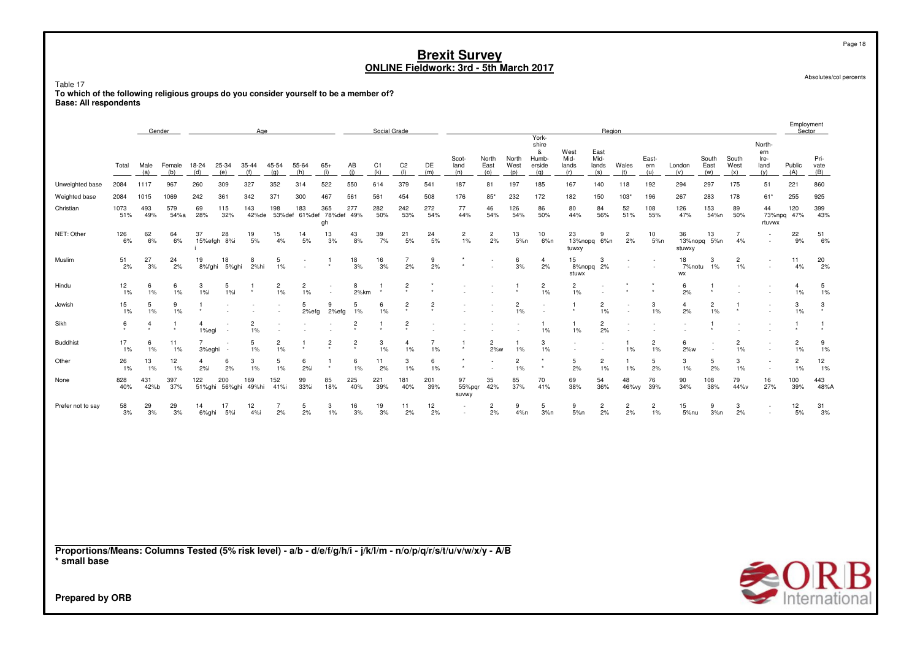Table 17 To which of the following religious groups do you consider yourself to be a member of?<br>Base: All respondents

|                                                                                                                                 |              |             | Gender        |                          |                      | Age                     |                      |                         |                                |                | Social Grade |                          |                      |                         |                       |                         |                                               |                              | Region                       |                      |                          |                         |                      |                      |                                      | Employment<br>Sector    |                         |
|---------------------------------------------------------------------------------------------------------------------------------|--------------|-------------|---------------|--------------------------|----------------------|-------------------------|----------------------|-------------------------|--------------------------------|----------------|--------------|--------------------------|----------------------|-------------------------|-----------------------|-------------------------|-----------------------------------------------|------------------------------|------------------------------|----------------------|--------------------------|-------------------------|----------------------|----------------------|--------------------------------------|-------------------------|-------------------------|
|                                                                                                                                 | Total        | Male<br>(a) | Female<br>(b) | 18-24<br>(d)             | 25-34<br>(e)         | 35-44<br>(f)            | 45-54<br>(q)         | 55-64<br>(h)            | $65+$<br>(i)                   | AB<br>(i)      | C1<br>(k)    | C <sub>2</sub><br>$($  ) | DE<br>(m)            | Scot-<br>land<br>(n)    | North<br>East<br>(0)  | North<br>West<br>(p)    | York-<br>shire<br>&<br>Humb-<br>erside<br>(q) | West<br>Mid-<br>lands<br>(r) | East<br>Mid-<br>lands<br>(s) | Wales<br>(t)         | East-<br>ern<br>(u)      | London<br>(v)           | South<br>East<br>(w) | South<br>West<br>(x) | North-<br>ern<br>Ire-<br>land<br>(v) | Public<br>(A)           | Pri-<br>vate<br>(B)     |
| Unweighted base                                                                                                                 | 2084         | 1117        | 967           | 260                      | 309                  | 327                     | 352                  | 314                     | 522                            | 550            | 614          | 379                      | 541                  | 187                     | 81                    | 197                     | 185                                           | 167                          | 140                          | 118                  | 192                      | 294                     | 297                  | 175                  | 51                                   | 221                     | 860                     |
| Weighted base                                                                                                                   | 2084         | 1015        | 1069          | 242                      | 361                  | 342                     | 371                  | 300                     | 467                            | 561            | 561          | 454                      | 508                  | 176                     | 85'                   | 232                     | 172                                           | 182                          | 150                          | $103*$               | 196                      | 267                     | 283                  | 178                  | $61*$                                | 255                     | 925                     |
| Christian                                                                                                                       | 1073<br>51%  | 493<br>49%  | 579<br>54%a   | 69<br>28%                | 115<br>32%           | 143<br>42%de            | 198<br>53%def        | 183                     | 365<br>61%def 78%def 49%<br>gh | 277            | 282<br>50%   | 242<br>53%               | 272<br>54%           | 77<br>44%               | 46<br>54%             | 126<br>54%              | 86<br>50%                                     | 80<br>44%                    | 84<br>56%                    | 52<br>51%            | 108<br>55%               | 126<br>47%              | 153<br>54%n          | 89<br>50%            | 44<br>73%npq<br>rtuvwx               | 120<br>47%              | 399<br>43%              |
| NET: Other                                                                                                                      | 126<br>6%    | 62<br>6%    | 64<br>6%      | 37                       | 28<br>15%efgh 8%i    | 19<br>5%                | 15<br>4%             | 14<br>5%                | 13<br>3%                       | 43<br>8%       | 39<br>7%     | 21<br>$5%$               | 24<br>5%             | $\overline{c}$<br>$1\%$ | $\overline{2}$<br>2%  | 13<br>5%n               | 10<br>6%n                                     | 23<br>13%nopq<br>tuwxy       | 9<br>6%n                     | $\overline{c}$<br>2% | 10<br>5%n                | 36<br>13%nopq<br>stuwxy | 13<br>5%n            | $\overline{7}$<br>4% | ٠                                    | 22<br>9%                | 51<br>6%                |
| Muslim                                                                                                                          | 51<br>2%     | 27<br>3%    | 24<br>2%      | 19<br>8%fghi             | 18<br>5%ghi          | 8<br>2%hi               | 5<br>$1\%$           |                         |                                | 18<br>3%       | 16<br>3%     | $\overline{7}$<br>2%     | 9<br>2%              |                         |                       | 6<br>3%                 | $\overline{4}$<br>2%                          | 15<br>8%nopq<br>stuwx        | 3<br>2%                      |                      | $\overline{\phantom{a}}$ | 18<br>7%notu<br>WX      | 3<br>1%              | $\overline{2}$<br>1% | ٠<br>٠                               | 11<br>4%                | 20<br>2%                |
| Hindu                                                                                                                           | 12<br>1%     | 6<br>$1\%$  | 6<br>1%       | 3<br>1%                  | 5<br>1%i             |                         | $\overline{c}$<br>1% | $\overline{c}$<br>$1\%$ | ٠<br>$\overline{\phantom{a}}$  | 8<br>2%km      |              | $\overline{c}$           |                      |                         |                       | -1                      | $\overline{c}$<br>$1\%$                       | $\overline{c}$<br>$1\%$      |                              |                      |                          | 6<br>2%                 | -1                   |                      |                                      | $\overline{4}$<br>$1\%$ | $\overline{5}$<br>$1\%$ |
| Jewish                                                                                                                          | 15<br>1%     | 5<br>1%     | 9<br>1%       | 1                        |                      |                         |                      | 5<br>2%efg              | 9<br>2%efg                     | 5<br>1%        | 6<br>1%      | $\overline{c}$           | $\overline{c}$       |                         |                       | $\overline{c}$<br>$1\%$ |                                               |                              | $\overline{2}$<br>$1\%$      | $\sim$               | 3<br>1%                  | $\overline{4}$<br>2%    | $\overline{c}$<br>1% |                      |                                      | 3<br>$1\%$              | $\mathbf 3$             |
| Sikh                                                                                                                            | 6<br>$\star$ | 4           | 1             | 4<br>1%egi               |                      | $\overline{2}$<br>$1\%$ |                      |                         |                                | 2              |              | 2                        |                      |                         |                       |                         | 1.<br>1%                                      | 1<br>1%                      | $\overline{c}$<br>2%         |                      |                          |                         | -1                   |                      |                                      | -1                      | -1                      |
| <b>Buddhist</b>                                                                                                                 | 17<br>1%     | 6<br>1%     | 11<br>1%      | $\overline{7}$<br>3%eghi |                      | 5<br>1%                 | $\overline{c}$<br>1% |                         | $\overline{2}$                 | $\overline{2}$ | 3<br>1%      | $\overline{4}$<br>1%     | $\overline{7}$<br>1% | 1                       | $\overline{c}$<br>2%w | $\mathbf{1}$<br>$1\%$   | 3<br>1%                                       |                              |                              | 1<br>1%              | $\overline{c}$<br>1%     | 6<br>2%w                |                      | $\overline{c}$<br>1% |                                      | $\overline{c}$<br>1%    | 9<br>$1\%$              |
| Other                                                                                                                           | 26<br>1%     | 13<br>1%    | 12<br>1%      | 4<br>2%i                 | 6<br>2%              | 3<br>$1\%$              | 5<br>$1\%$           | 6<br>2%i                |                                | 6<br>1%        | 11<br>2%     | 3<br>1%                  | 6<br>1%              | ٠                       |                       | $\overline{2}$<br>$1\%$ | ٠<br>۰                                        | 5<br>2%                      | $\overline{2}$<br>1%         | 1<br>$1\%$           | 5<br>2%                  | 3<br>1%                 | 5<br>2%              | 3<br>1%              | $\overline{\phantom{a}}$             | $\overline{c}$<br>$1\%$ | 12<br>1%                |
| None                                                                                                                            | 828<br>40%   | 431<br>42%b | 397<br>37%    | 122                      | 200<br>51%ghi 56%ghi | 169<br>49%hi            | 152<br>41%i          | 99<br>33%i              | 85<br>18%                      | 225<br>40%     | 221<br>39%   | 181<br>40%               | 201<br>39%           | 97<br>55%pqr<br>suvwy   | 35<br>42%             | 85<br>37%               | 70<br>41%                                     | 69<br>38%                    | 54<br>36%                    | 48<br>46%vy          | 76<br>39%                | 90<br>34%               | 108<br>38%           | 79<br>44%v           | 16<br>27%                            | 100<br>39%              | 443<br>48%A             |
| Prefer not to say                                                                                                               | 58<br>3%     | 29<br>3%    | 29<br>3%      | 14<br>6%ghi              | 17<br>5%i            | 12<br>4%i               | $\overline{7}$<br>2% | 5<br>2%                 | 3<br>1%                        | 16<br>3%       | 19<br>3%     | 11<br>2%                 | 12<br>2%             |                         | $\overline{c}$<br>2%  | 9<br>4%n                | 5<br>3%n                                      | 9<br>5%n                     | $\overline{c}$<br>2%         | $\overline{c}$<br>2% | $\overline{2}$<br>1%     | 15<br>5%nu              | 9<br>3%n             | 3<br>2%              | $\overline{\phantom{a}}$             | 12<br>5%                | 31<br>3%                |
| Proportions/Means: Columns Tested (5% risk level) - a/b - d/e/f/g/h/i - j/k/l/m - n/o/p/q/r/s/t/u/v/w/x/y - A/B<br>* small base |              |             |               |                          |                      |                         |                      |                         |                                |                |              |                          |                      |                         |                       |                         |                                               |                              |                              |                      |                          |                         |                      |                      |                                      |                         |                         |
| Droporod by ODD                                                                                                                 |              |             |               |                          |                      |                         |                      |                         |                                |                |              |                          |                      |                         |                       |                         |                                               |                              |                              |                      |                          |                         |                      |                      |                                      |                         | $\triangle$ OR          |

Absolutes/col percents

Page 18

International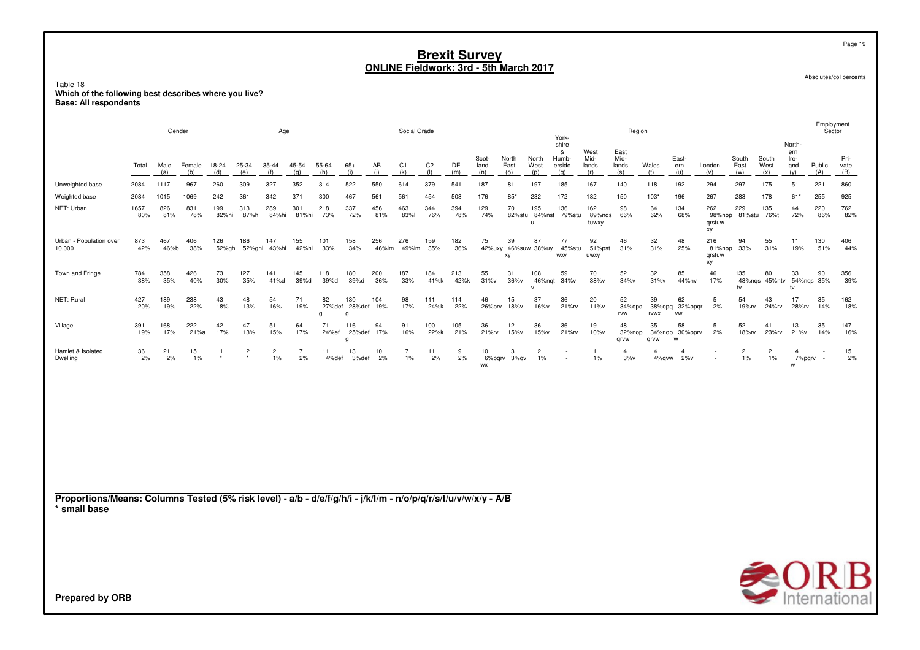Table 18 Which of the following best describes where you live?<br>Base: All respondents

|                                                                                                                                 |             |             | Gender        |                |               | Age                  |                      |              |                           |              | Social Grade            |                          |             |                           |                      |                               | York-                                |                              | Region                       |                             |                             |                               |                         |                         |                                     | Employment<br>Sector     |                     |
|---------------------------------------------------------------------------------------------------------------------------------|-------------|-------------|---------------|----------------|---------------|----------------------|----------------------|--------------|---------------------------|--------------|-------------------------|--------------------------|-------------|---------------------------|----------------------|-------------------------------|--------------------------------------|------------------------------|------------------------------|-----------------------------|-----------------------------|-------------------------------|-------------------------|-------------------------|-------------------------------------|--------------------------|---------------------|
|                                                                                                                                 | Total       | Male<br>(a) | Female<br>(b) | 18-24<br>(d)   | 25-34<br>(e)  | 35-44<br>(f)         | 45-54<br>(q)         | 55-64<br>(h) | $65+$<br>(i)              | AB<br>(i)    | C1<br>(k)               | C <sub>2</sub><br>$($  ) | DE<br>(m)   | Scot-<br>land<br>(n)      | North<br>East<br>(o) | North<br>West<br>(p)          | shire<br>&<br>Humb-<br>erside<br>(q) | West<br>Mid-<br>lands<br>(r) | East<br>Mid-<br>lands<br>(s) | Wales<br>(t)                | East-<br>ern<br>(u)         | London<br>(v)                 | South<br>East<br>(w)    | South<br>West<br>(x)    | North<br>ern<br>Ire-<br>land<br>(y) | Public<br>(A)            | Pri-<br>vate<br>(B) |
| Unweighted base                                                                                                                 | 2084        | 1117        | 967           | 260            | 309           | 327                  | 352                  | 314          | 522                       | 550          | 614                     | 379                      | 541         | 187                       | 81                   | 197                           | 185                                  | 167                          | 140                          | 118                         | 192                         | 294                           | 297                     | 175                     | 51                                  | 221                      | 860                 |
| Weighted base                                                                                                                   | 2084        | 1015        | 1069          | 242            | 361           | 342                  | 371                  | 300          | 467                       | 561          | 561                     | 454                      | 508         | 176                       | 85*                  | 232                           | 172                                  | 182                          | 150                          | 103'                        | 196                         | 267                           | 283                     | 178                     | 61*                                 | 255                      | 925                 |
| NET: Urban                                                                                                                      | 1657<br>80% | 826<br>81%  | 831<br>78%    | 199<br>82%hi   | 313<br>87%hi  | 289<br>84%hi         | 301<br>81%hi         | 218<br>73%   | 337<br>72%                | 456<br>81%   | 463<br>83%              | 344<br>76%               | 394<br>78%  | 129<br>74%                | 70<br>82%stu         | 195<br>84%nst<br>u            | 136<br>79%stu                        | 162<br>89%nqs<br>tuwxy       | 98<br>66%                    | 64<br>62%                   | 134<br>68%                  | 262<br>98%nop<br>qrstuw<br>хy | 229<br>81%stu           | 135<br>76%t             | 44<br>72%                           | 220<br>86%               | 762<br>82%          |
| Urban - Population over<br>10,000                                                                                               | 873<br>42%  | 467<br>46%b | 406<br>38%    | 126<br>52%ghi  | 186<br>52%ghi | 147<br>43%hi         | 155<br>42%hi         | 101<br>33%   | 158<br>34%                | 256<br>46%lm | 276<br>49%lm            | 159<br>35%               | 182<br>36%  | 75                        | 39<br>xy             | 87<br>42%uxy 46%suw 38%uy     | 77<br>45%stu<br><b>WXV</b>           | 92<br>51%pst<br>uwxy         | 46<br>31%                    | 32<br>31%                   | 48<br>25%                   | 216<br>81%nop<br>grstuw<br>хy | 94<br>33%               | 55<br>31%               | 11<br>19%                           | 130<br>51%               | 406<br>44%          |
| Town and Fringe                                                                                                                 | 784<br>38%  | 358<br>35%  | 426<br>40%    | 73<br>30%      | 127<br>35%    | 141<br>41%d          | 145<br>39%d          | 118<br>39%d  | 180<br>39%d               | 200<br>36%   | 187<br>33%              | 184<br>41%k              | 213<br>42%k | 55<br>31%v                | 31<br>36%v           | 108<br>46%nqt<br>$\mathsf{v}$ | 59<br>34%v                           | 70<br>38%v                   | 52<br>34%v                   | 32<br>31%v                  | 85<br>44%nv                 | 46<br>17%                     | 135<br>tv               | 80<br>48%ngs 45%ntv     | 33<br>54%ngs 35%<br>tv              | 90                       | 356<br>39%          |
| NET: Rural                                                                                                                      | 427<br>20%  | 189<br>19%  | 238<br>22%    | 43<br>18%      | 48<br>13%     | 54<br>16%            | 71<br>19%            | 82<br>g      | 130<br>27%def 28%def<br>q | 104<br>19%   | 98<br>17%               | 111<br>24%k              | 114<br>22%  | 46<br>26%prv              | 15<br>18%v           | 37<br>16%v                    | 36<br>21% <sub>N</sub>               | 20<br>11%v                   | 52<br>34%opq<br>rvw          | 39<br>38%opq<br><b>rvwx</b> | 62<br>32%opqr<br><b>VW</b>  | 5<br>2%                       | 54<br>19%rv             | 43<br>24%rv             | 17<br>28%rv                         | 35<br>14%                | 162<br>18%          |
| Village                                                                                                                         | 391<br>19%  | 168<br>17%  | 222<br>21%a   | 42<br>17%      | 47<br>13%     | 51<br>15%            | 64<br>17%            | 71<br>24%ef  | 116<br>25%def<br>a        | 94<br>17%    | 91<br>16%               | 100<br>22%k              | 105<br>21%  | 36<br>21%rv               | 12<br>15%v           | 36<br>15%v                    | 36<br>21% <sub>N</sub>               | 19<br>10%v                   | 48<br>32%nop<br>qrvw         | 35<br>34%nop<br>grvw        | 58<br>30%oprv<br>W          | 5<br>2%                       | 52<br>18% <sub>rv</sub> | 41<br>23%rv             | 13<br>21%v                          | 35<br>14%                | 147<br>16%          |
| Hamlet & Isolated<br>Dwelling                                                                                                   | 36<br>2%    | 21<br>2%    | 15<br>1%      | $\overline{1}$ | $\frac{2}{x}$ | $\overline{c}$<br>1% | $\overline{7}$<br>2% | 11<br>4%def  | 13<br>3%def               | 10<br>2%     | $\overline{7}$<br>$1\%$ | 11<br>2%                 | 9<br>2%     | 10<br>6%pqrv<br><b>WX</b> | 3<br>3%qv            | $\overline{2}$<br>$1\%$       |                                      | -1<br>1%                     | $\overline{4}$<br>3%v        | $\overline{4}$              | $\overline{4}$<br>4%gvw 2%v |                               | $\overline{c}$<br>$1\%$ | $\overline{2}$<br>$1\%$ | $\overline{4}$<br>7%pqrv<br>w       | $\overline{\phantom{a}}$ | 15<br>2%            |
|                                                                                                                                 |             |             |               |                |               |                      |                      |              |                           |              |                         |                          |             |                           |                      |                               |                                      |                              |                              |                             |                             |                               |                         |                         |                                     |                          |                     |
|                                                                                                                                 |             |             |               |                |               |                      |                      |              |                           |              |                         |                          |             |                           |                      |                               |                                      |                              |                              |                             |                             |                               |                         |                         |                                     |                          |                     |
|                                                                                                                                 |             |             |               |                |               |                      |                      |              |                           |              |                         |                          |             |                           |                      |                               |                                      |                              |                              |                             |                             |                               |                         |                         |                                     |                          |                     |
| Proportions/Means: Columns Tested (5% risk level) - a/b - d/e/f/g/h/i - j/k/l/m - n/o/p/q/r/s/t/u/v/w/x/y - A/B<br>* small base |             |             |               |                |               |                      |                      |              |                           |              |                         |                          |             |                           |                      |                               |                                      |                              |                              |                             |                             |                               |                         |                         |                                     |                          |                     |
|                                                                                                                                 |             |             |               |                |               |                      |                      |              |                           |              |                         |                          |             |                           |                      |                               |                                      |                              |                              |                             |                             |                               |                         |                         |                                     |                          |                     |
|                                                                                                                                 |             |             |               |                |               |                      |                      |              |                           |              |                         |                          |             |                           |                      |                               |                                      |                              |                              |                             |                             |                               |                         |                         |                                     |                          |                     |
|                                                                                                                                 |             |             |               |                |               |                      |                      |              |                           |              |                         |                          |             |                           |                      |                               |                                      |                              |                              |                             |                             |                               |                         |                         | $\bigotimes_{\text{International}}$ |                          |                     |
| <b>Prepared by ORB</b>                                                                                                          |             |             |               |                |               |                      |                      |              |                           |              |                         |                          |             |                           |                      |                               |                                      |                              |                              |                             |                             |                               |                         |                         |                                     |                          |                     |

Page 19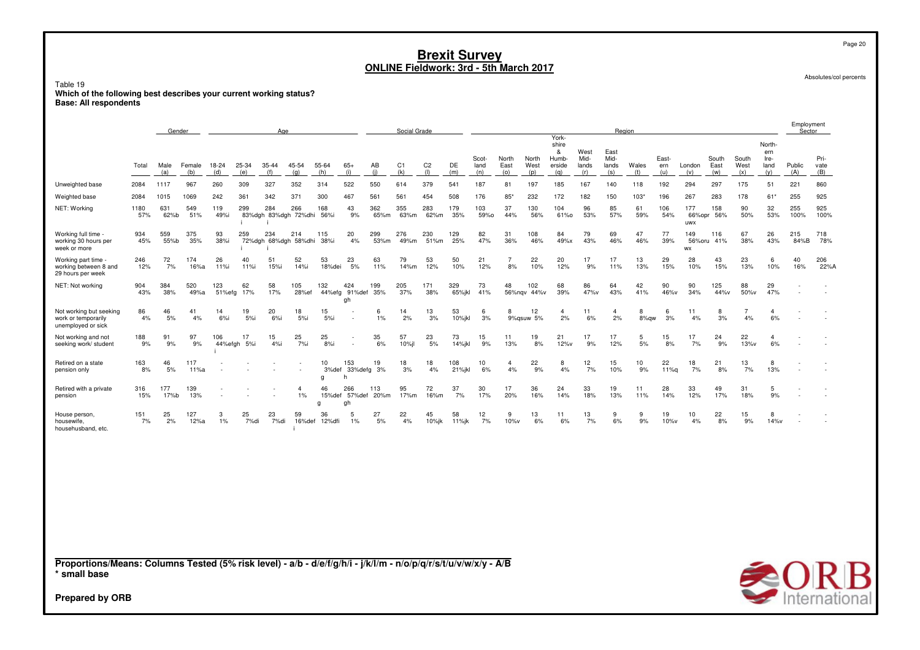Table 19 **Which of the following best describes your current working status?Base: All respondents**

EmploymentGender<u>r Age</u> e Region Region Region Region Region Region Region Region Region Region Region Region Region Region Region Region Region Region Region Region Region Region Region Region Region Region Region Region Region Region Region Reg Yorkshiree North-&& West East ern<br>ernb Mid Mid – Fast – Cauth Cauth Inc. Scot-Scot- North<br>Jand Fast North Humb- Mid- Mid- East- South South Ire- Pri-Total Male Female 18-24 25-34 35-44 45-54 55-64 65+ $65+$  AB<br>(i) (i) C1 C2 DE land East West erside lands lands Wales ern London East West land Public vate  $(a)$  (b) (d) (e) (f) (g) (h) (i) (j) (k) (l) (m) (n) (o) (p) (q) (r) (s) (t) (u) (v) (w) (x) (y) (A) (B) Unweighted base <sup>2084</sup> <sup>1117</sup> <sup>967</sup> <sup>260</sup> <sup>309</sup> <sup>327</sup> <sup>352</sup> <sup>314</sup> <sup>522</sup> <sup>550</sup> <sup>614</sup> <sup>379</sup> <sup>541</sup> <sup>187</sup> <sup>81</sup> <sup>197</sup> <sup>185</sup> <sup>167</sup> <sup>140</sup> <sup>118</sup> <sup>192</sup> <sup>294</sup> <sup>297</sup> <sup>175</sup> <sup>51</sup> <sup>221</sup> <sup>860</sup> Weighted base <sup>2084</sup> <sup>1015</sup> <sup>1069</sup> <sup>242</sup> <sup>361</sup> <sup>342</sup> <sup>371</sup> <sup>300</sup> <sup>467</sup> <sup>561</sup> <sup>561</sup> <sup>454</sup> <sup>508</sup> <sup>176</sup> 85\* <sup>232</sup> <sup>172</sup> <sup>182</sup> <sup>150</sup> 103\* <sup>196</sup> <sup>267</sup> <sup>283</sup> <sup>178</sup> 61\* <sup>255</sup> <sup>925</sup> NET: Working <sup>1180</sup> <sup>631</sup> <sup>549</sup> <sup>119</sup> <sup>299</sup> <sup>284</sup> <sup>266</sup> <sup>168</sup> <sup>43</sup> <sup>362</sup> <sup>355</sup> <sup>283</sup> <sup>179</sup> <sup>103</sup> <sup>37</sup> <sup>130</sup> <sup>104</sup> <sup>96</sup> <sup>85</sup> <sup>61</sup> <sup>106</sup> <sup>177</sup> <sup>158</sup> <sup>90</sup> <sup>32</sup> <sup>255</sup> <sup>925</sup> 57% 62%b 51% 49%i 83%dgh 83%dgh 72%dhi 56%i 9% 65%m 63%m 62%m 35% 59%o 44% 56% 61%o 53% 57% 59% 54% 66%opr 56% 50% 53% 100% 100% i uwxWorking full time - 934 <sup>559</sup> <sup>375</sup> <sup>93</sup> <sup>259</sup> <sup>234</sup> <sup>214</sup> <sup>115</sup> <sup>20</sup> <sup>299</sup> <sup>276</sup> <sup>230</sup> <sup>129</sup> <sup>82</sup> <sup>31</sup> <sup>108</sup> <sup>84</sup> <sup>79</sup> <sup>69</sup> <sup>47</sup> <sup>77</sup> <sup>149</sup> <sup>116</sup> <sup>67</sup> <sup>26</sup> <sup>215</sup> <sup>718</sup> working 30 hours per 45% 55%b 35% 38%i 72%dgh 68%dgh 58%dhi 38%i 4% 53%m 49%m 51%m 25% 47% 36% 46% 49%x 43% 46% 46% 39% 56%oru 41% 38% 43% 84%B 78% week or moree en and the state of the state of the state of the state of the state of the state of the state of the state o<br>In the state of the state of the state of the state of the state of the state of the state of the state of the Working part time 246 <sup>72</sup> <sup>174</sup> <sup>26</sup> <sup>40</sup> <sup>51</sup> <sup>52</sup> <sup>53</sup> <sup>23</sup> <sup>63</sup> <sup>79</sup> <sup>53</sup> <sup>50</sup> <sup>21</sup> <sup>7</sup> <sup>22</sup> <sup>20</sup> <sup>17</sup> <sup>17</sup> <sup>13</sup> <sup>29</sup> <sup>28</sup> <sup>43</sup> <sup>23</sup> <sup>6</sup> <sup>40</sup> <sup>206</sup> working between 8 and 12% 7% 16%a 11%i 11%i 15%i 14%i 18%dei 5% 11% 14%m 12% 10% 12% 8% 10% 12% 9% 11% 13% 15% 10% 15% 13% 10% 16% 22%A 29 hours per weekNET: Not workingg 904 384 520 123 62 58 105 132 424 199 205 171 329 73 48 102 68 86 64 42 90 904 58 64 20 90 125 88 29 - - -<br>43% 38% 49%a 51%efa 17% 17% 28%ef 44%efa 91%def 35% 37% 38% 65%ikl 41% 56%nav 44%v 39% 47%v 43% 41% 48%v 34% 44%v 38% 49%a 51%efg 17% 17% 28%ef 44%efg 91%def 35% 37% 38% 65%jkl 41% 56%nqv 44%v 39% 47%v 43% 41% 46%v 34% 44%v 50%v 47% - - ghNot working but seeking<br>work or temporarily Notworking butseeking 86 46 41 14 19 20 18 15 - 6 14 13 53 6 8 12 4 11 4 8 6 11 8 7 4 - -<br>work.or.temporarily 4% 5% 4% 6%i 5%i 6%i 5%i 5%i - 1% 2% 3% 10%jkl 3% 9%qsuw.5% 2% 6% 2% 8%qw 3% 4% 3% 4% 6% work or temporarily 4%<br>unemployed or sick 5% 4% 6%i 5%i 6%i 5%i 5%i - 1% 2% 3% 10%jkl 3% 9%qsuw 5% 2% 6% 2% 8%qw 3% 4% 3% 4% 6% - - unemployed or sickNot working and not<br>seeking work/ student 188Notworkingand not 188 91 97 106 17 15 25 25 - 35 57 23 73 15 11 19 21 17 17 5 15 17 24 22 4 - -<br>seekingwork/student 9% 9% 9% 44%efgh 5%i 4%i 7%i 8%i - 6% 10%il 5% 14%ikl 9% 13% 8% 12%v 9% 12% 5% 8% 7% 9% 13%v 6% - - 9% 9% 9% 44%efgh 5%i 4%i 7%i 8%i - 6% 10%jl 5% 14%jkl 9% 13% 8% 12%v 9% 12% 5% 8% 7% 9% 13%v 6% - - <sup>i</sup>Retired on a stateRetired on a state 163 46 117 - - - - - 10 153 19 18 18 108 10 4 22 8 12 15 10 22 18 21 13 8 - -<br>pension only 8% 5% 11%a - - - - 3%def 33%defg 3% 3% 4% 21%jkl 6% 4% 9% 4% pension only 8% % 5% 11%a - - - - 3%def 33%defg 3% 3% 4% 21%jkl 6% 4% 9% 4% 7% 10% 9% 11%q 7%<br>\* 3% def 33% defg 3% 3% 4% 21% jkl 6% 4% 9% 4% 7% 10% 9% 11% q7% 8% 7% 13% - - -<br>g h g h Retired with a privateRetired with a private - 316 177 139 - - - - - 4 46 266 113 95 72 37 30 17 36 24 33 19 11 28 33 49 31 5 - -<br>pension - - - - - - - - - - - - - 1% 15%def 57%def 20%m 17%m 16%m 7% 17% 20% 16% 14% 18% 13% 11% 14% 12% 17% 18% 9 n 15% % 17%b 13% - - - 1% 15%def 57%def 20%m 17%m 16%m 7% 17% 20% 16% 14% 18% 13% 11% 14% 12% 17% 18% 9% - -<br>g gh gh House person, 151House person, 151 25 127 3 25 23 59 36 5 27 22 45 58 12 9 13 11 13 9 9 19 10 22 15 8 - -<br>housewife, 7% 2% 12%a 1% 7%di 7%di 16%def 12%dfi 1% 5% 4% 10%jk 1%jk 7% 10%v 7% 6% housewife, 7%<br>househusband, etc. 7% housewife, 7% 2% 12%a 1% 7%di 7%di 16%def 12%dfi 1% 5% 4% 10%jk 11%jk 7% 10%v 6% 6% 7% 6% 9% 10%v 4% 8% 9% 14%v - -<br>househusband, etc. in a complete the complete state of the complete state of the complete state of the complete state of the compl

**Proportions/Means: Columns Tested (5% risk level) - a/b - d/e/f/g/h/i - j/k/l/m - n/o/p/q/r/s/t/u/v/w/x/y - A/B\* small base**



**Prepared by ORB**

Page 20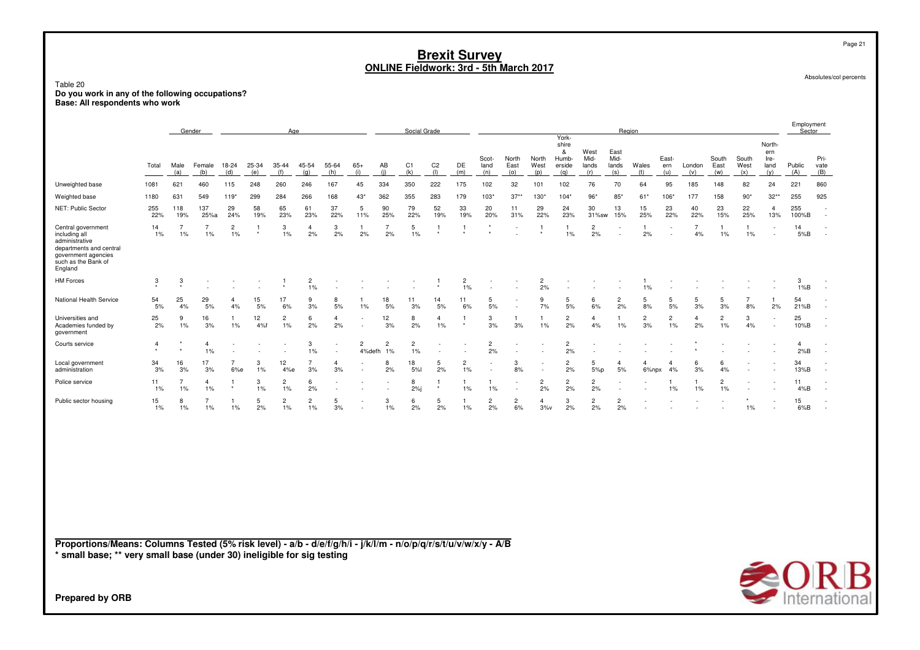| Table 20<br>Do you work in any of the following occupations?                                                                              |                                                                                             |                      |                      |                                  |                  |                         |                      |                               |                          |                      |                       | <b>ONLINE Fieldwork: 3rd - 5th March 2017</b> | <b>Brexit Survey</b>          |                      |                          |                       |                             |                              |                              |                      |                      |                      |                      |                      |                                      |                       | Absolutes/col percents                               |
|-------------------------------------------------------------------------------------------------------------------------------------------|---------------------------------------------------------------------------------------------|----------------------|----------------------|----------------------------------|------------------|-------------------------|----------------------|-------------------------------|--------------------------|----------------------|-----------------------|-----------------------------------------------|-------------------------------|----------------------|--------------------------|-----------------------|-----------------------------|------------------------------|------------------------------|----------------------|----------------------|----------------------|----------------------|----------------------|--------------------------------------|-----------------------|------------------------------------------------------|
|                                                                                                                                           | Base: All respondents who work<br>Social Grade<br>Region<br>Gender<br>Age<br>York-<br>shire |                      |                      |                                  |                  |                         |                      |                               |                          |                      |                       |                                               |                               |                      |                          |                       | Employment<br>Sector        |                              |                              |                      |                      |                      |                      |                      |                                      |                       |                                                      |
|                                                                                                                                           | Total                                                                                       | Male<br>(a)          | Female<br>(b)        | 18-24<br>(d)                     | $25 - 34$<br>(e) | $35 - 44$<br>(f)        | 45-54<br>(q)         | 55-64<br>(h)                  | $65+$<br>(i)             | AB<br>(i)            | C <sub>1</sub><br>(k) | C <sub>2</sub><br>(1)                         | DE<br>(m)                     | Scot-<br>land<br>(n) | North<br>East<br>(0)     | North<br>West<br>(p)  | &<br>Humb-<br>erside<br>(q) | West<br>Mid-<br>lands<br>(r) | East<br>Mid-<br>lands<br>(s) | Wales<br>(t)         | East-<br>ern<br>(u)  | London<br>(v)        | South<br>East<br>(w) | South<br>West<br>(x) | North-<br>ern<br>Ire-<br>land<br>(y) | Public<br>(A)         | Pri-<br>vate<br>(B)                                  |
| Unweighted base                                                                                                                           | 1081                                                                                        | 621                  | 460                  | 115                              | 248              | 260                     | 246                  | 167                           | 45                       | 334                  | 350                   | 222                                           | 175                           | 102                  | 32                       | 101                   | 102                         | 76                           | 70                           | 64                   | 95                   | 185                  | 148                  | 82                   | 24                                   | 221                   | 860                                                  |
| Weighted base                                                                                                                             | 1180                                                                                        | 631                  | 549                  | 119*                             | 299              | 284                     | 266                  | 168                           | 43*                      | 362                  | 355                   | 283                                           | 179                           | 103'                 | $37**$                   | $130*$                | $104*$                      | $96*$                        | $85^\circ$                   | 61*                  | 106*                 | 177                  | 158                  | $90*$                | $32**$                               | 255                   | 925                                                  |
| NET: Public Sector                                                                                                                        | 255<br>22%                                                                                  | 118<br>19%           | 137<br>25%a          | 29<br>24%                        | 58<br>19%        | 65<br>23%               | 61<br>23%            | 37<br>22%                     | 5<br>11%                 | 90<br>25%            | 79<br>22%             | 52<br>19%                                     | 33<br>19%                     | 20<br>20%            | 11<br>31%                | 29<br>22%             | 24<br>23%                   | 30<br>31%sw                  | 13<br>15%                    | 15<br>25%            | 23<br>22%            | 40<br>22%            | 23<br>15%            | 22<br>25%            | $\overline{4}$<br>13%                | 255<br>100%B          | $\sim$<br>$\overline{a}$                             |
| Central government<br>including all<br>administrative<br>departments and central<br>government agencies<br>such as the Bank of<br>England | 14<br>1%                                                                                    | 1%                   | $\overline{7}$<br>1% | $\overline{2}$<br>1%             |                  | 3<br>1%                 | 4<br>2%              | 3<br>2%                       | -1<br>2%                 | 2%                   | 5<br>1%               |                                               |                               |                      |                          |                       | 1<br>1%                     | $\overline{2}$<br>2%         |                              | $\overline{1}$<br>2% | ×                    | $\overline{7}$<br>4% | -1<br>1%             | -1<br>1%             |                                      | 14<br>5%B             | $\overline{\phantom{a}}$                             |
| <b>HM Forces</b>                                                                                                                          | 3                                                                                           | 3                    |                      |                                  |                  |                         | 2<br>1%              |                               |                          |                      |                       |                                               | $\overline{\mathbf{c}}$<br>1% |                      |                          | $\overline{2}$<br>2%  |                             |                              |                              | $1\%$                |                      |                      |                      |                      |                                      | 3<br>1%B              | $\sim$                                               |
| National Health Service                                                                                                                   | 54<br>5%                                                                                    | 25<br>4%             | 29<br>5%             | $\overline{4}$<br>4%             | 15<br>5%         | 17<br>6%                | 9<br>3%              | 8<br>5%                       | -1<br>1%                 | 18<br>5%             | 11<br>3%              | 14<br>5%                                      | 11<br>6%                      | 5<br>5%              |                          | 9<br>7%               | 5<br>5%                     | 6<br>6%                      | $\overline{c}$<br>2%         | 5<br>8%              | 5<br>5%              | 5<br>3%              | 5<br>3%              | $\overline{7}$<br>8% | $\overline{1}$<br>2%                 | 54<br>21%B            | $\overline{\phantom{a}}$                             |
| Universities and<br>Academies funded by<br>government                                                                                     | 25<br>2%                                                                                    | 9<br>1%              | 16<br>3%             | 1<br>$1\%$                       | 12<br>4%f        | $\overline{2}$<br>1%    | 6<br>2%              | $\overline{4}$<br>2%          |                          | 12<br>3%             | 8<br>2%               | $\overline{4}$<br>$1\%$                       | $\star$                       | 3<br>3%              | 3%                       | $\mathbf{1}$<br>1%    | $\overline{2}$<br>2%        | -4<br>4%                     | $\mathbf{1}$<br>$1\%$        | $\overline{2}$<br>3% | $\overline{2}$<br>1% | $\overline{4}$<br>2% | $\overline{2}$<br>1% | 3<br>4%              | ٠                                    | 25<br>10%B            | $\overline{\phantom{a}}$<br>$\overline{\phantom{a}}$ |
| Courts service                                                                                                                            | $\overline{4}$<br>$\star$                                                                   |                      | $\overline{4}$<br>1% | $\overline{a}$<br>$\overline{a}$ |                  |                         | 3<br>1%              | $\overline{\phantom{a}}$<br>× | $\overline{2}$<br>4%defh | $\overline{2}$<br>1% | $\overline{2}$<br>1%  |                                               |                               | $\overline{2}$<br>2% | $\overline{\phantom{a}}$ |                       | $\overline{2}$<br>2%        |                              |                              |                      |                      |                      |                      |                      |                                      | $\overline{4}$<br>2%B | $\sim$                                               |
| Local government<br>administration                                                                                                        | 34<br>3%                                                                                    | 16<br>3%             | 17<br>3%             | $\overline{7}$<br>6%e            | 3<br>$1\%$       | 12<br>4%e               | 7<br>3%              | $\overline{4}$<br>3%          |                          | 8<br>2%              | 18<br>5%l             | 5<br>2%                                       | $\overline{2}$<br>1%          | $\sim$<br>$\sim$     | 3<br>8%                  | ٠<br>$\sim$           | $\overline{2}$<br>2%        | -5<br>5%p                    | $\overline{4}$<br>5%         | 4<br>6%npx           | 4<br>4%              | 6<br>3%              | 6<br>4%              |                      |                                      | 34<br>13%B            | $\overline{\phantom{a}}$<br>$\overline{\phantom{a}}$ |
| Police service                                                                                                                            | 11<br>1%                                                                                    | $\overline{7}$<br>1% | $\overline{a}$<br>1% |                                  | 3<br>1%          | $\overline{2}$<br>1%    | 6<br>2%              | $\sim$                        |                          | $\sim$               | 8<br>2%               |                                               | 1<br>1%                       | $1\%$                | $\overline{\phantom{a}}$ | $\overline{2}$<br>2%  | $\overline{2}$<br>2%        | $\overline{2}$<br>2%         |                              |                      | $1\%$                | $\mathbf{1}$<br>1%   | $\overline{2}$<br>1% |                      |                                      | 11<br>4%B             | $\sim$<br>$\sim$                                     |
| Public sector housing                                                                                                                     | 15<br>$1\%$                                                                                 | 8<br>1%              | 7<br>$1\%$           | $1\%$                            | 5<br>2%          | $\overline{c}$<br>$1\%$ | $\overline{2}$<br>1% | 5<br>3%                       |                          | 3<br>1%              | 6<br>2%               | 5<br>2%                                       | $1\%$                         | $\overline{2}$<br>2% | $\overline{2}$<br>6%     | $\overline{4}$<br>3%v | 3<br>2%                     | $\overline{2}$<br>2%         | $\overline{c}$<br>2%         |                      |                      |                      |                      | $1\%$                | $\overline{\phantom{a}}$             | 15<br>6%B             | $\overline{\phantom{a}}$<br>$\sim$                   |

**Proportions/Means: Columns Tested (5% risk level) - a/b - d/e/f/g/h/i - j/k/l/m - n/o/p/q/r/s/t/u/v/w/x/y - A/B \* small base; \*\* very small base (under 30) ineligible for sig testing**

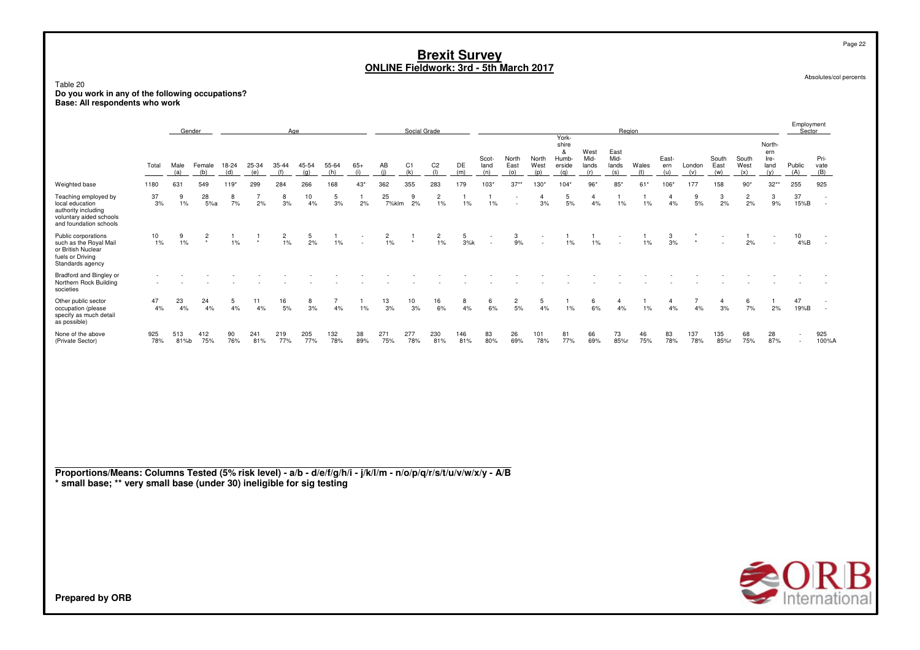Table 20**Do you work in any of the following occupations? Base: All respondents who work**

|                                                                                                                     |                          |             | Gender                    |              |              | Age                  |              |              |              |             | Social Grade          |                         |            |                      |                      |                      |                                               |                              | Region                       |              |                     |               |                      |                      |                                      | Employment<br>Sector |                     |
|---------------------------------------------------------------------------------------------------------------------|--------------------------|-------------|---------------------------|--------------|--------------|----------------------|--------------|--------------|--------------|-------------|-----------------------|-------------------------|------------|----------------------|----------------------|----------------------|-----------------------------------------------|------------------------------|------------------------------|--------------|---------------------|---------------|----------------------|----------------------|--------------------------------------|----------------------|---------------------|
|                                                                                                                     | Total                    | Male<br>(a) | Female<br>(b)             | 18-24<br>(d) | 25-34<br>(e) | $35 - 44$<br>(f)     | 45-54<br>(a) | 55-64<br>(h) | $65+$<br>(i) | AB<br>(i)   | C <sub>1</sub><br>(k) | C <sub>2</sub><br>(1)   | DE<br>(m)  | Scot-<br>land<br>(n) | North<br>East<br>(o) | North<br>West<br>(p) | York-<br>shire<br>&<br>Humb-<br>erside<br>(a) | West<br>Mid-<br>lands<br>(r) | East<br>Mid-<br>lands<br>(s) | Wales<br>(t) | East-<br>ern<br>(u) | London<br>(v) | South<br>East<br>(w) | South<br>West<br>(x) | North-<br>ern<br>Ire-<br>land<br>(y) | Public<br>(A)        | Pri-<br>vate<br>(B) |
| Weighted base                                                                                                       | 1180                     | 631         | 549                       | $119*$       | 299          | 284                  | 266          | 168          | $43*$        | 362         | 355                   | 283                     | 179        | 103"                 | $37**$               | $130*$               | $104*$                                        | $96*$                        | $85*$                        | $61*$        | 106*                | 177           | 158                  | $90*$                | $32**$                               | 255                  | 925                 |
| Teaching employed by<br>local education<br>authority including<br>voluntary aided schools<br>and foundation schools | 37<br>3%                 | 9<br>$1\%$  | 28<br>5%a                 | 8<br>7%      | 2%           | 8<br>3%              | 10<br>4%     | 5<br>3%      | 2%           | 25<br>7%klm | 9<br>2%               | $\overline{c}$<br>1%    | 1%         | 1%                   |                      | 3%                   | 5<br>5%                                       | $\overline{4}$<br>4%         | 1%                           | 1%           | 4%                  | 9<br>5%       | 3<br>2%              | $\overline{c}$<br>2% | 3<br>9%                              | 37<br>15%B           | $\sim$<br>$\sim$    |
| Public corporations<br>such as the Royal Mail<br>or British Nuclear<br>fuels or Driving<br>Standards agency         | $\frac{10}{1\%}$         | 9<br>1%     | $\overline{c}$<br>$\star$ | 1%           | $\star$      | $\overline{c}$<br>1% | 5<br>2%      | 1%           | $\sim$       | 2<br>1%     | $\star$               | $\overline{c}$<br>$1\%$ | 5<br>3%k   | $\sim$               | 3<br>9%              | $\sim$               | 1%                                            | 1%                           |                              | 1%           | 3<br>3%             | $\bullet$     | $\sim$               | 2%                   | $\sim$                               | 10<br>4%B            | $\sim$              |
| Bradford and Bingley or<br>Northern Rock Building<br>societies                                                      | $\overline{\phantom{a}}$ |             |                           |              |              |                      |              |              |              |             |                       |                         |            |                      |                      |                      |                                               |                              |                              |              |                     |               |                      |                      |                                      |                      |                     |
| Other public sector<br>occupation (please<br>specify as much detail<br>as possible)                                 | 47<br>4%                 | 23<br>4%    | 24<br>4%                  | 5<br>4%      | 11<br>4%     | 16<br>5%             | 8<br>3%      | 4%           | 1%           | 13<br>3%    | 10<br>3%              | 16<br>6%                | 8<br>4%    | 6<br>6%              | $\overline{c}$<br>5% | 5<br>4%              | 1%                                            | 6<br>6%                      | 4<br>4%                      | 1%           | 4%                  | 4%            | 3%                   | 6<br>7%              | -1<br>2%                             | 47<br>19%B           | $\sim$<br>$\sim$    |
| None of the above<br>(Private Sector)                                                                               | 925<br>78%               | 513<br>81%b | 412<br>75%                | 90<br>76%    | 241<br>81%   | 219<br>77%           | 205<br>77%   | 132<br>78%   | 38<br>89%    | 271<br>75%  | 277<br>78%            | 230<br>81%              | 146<br>81% | 83<br>80%            | 26<br>69%            | 101<br>78%           | 81<br>77%                                     | 66<br>69%                    | 73<br>85%r                   | 46<br>75%    | 83<br>78%           | 137<br>78%    | 135<br>85%r          | 68<br>75%            | 28<br>87%                            | ۰.                   | 925<br>100%A        |
|                                                                                                                     |                          |             |                           |              |              |                      |              |              |              |             |                       |                         |            |                      |                      |                      |                                               |                              |                              |              |                     |               |                      |                      |                                      |                      |                     |

**Proportions/Means: Columns Tested (5% risk level) - a/b - d/e/f/g/h/i - j/k/l/m - n/o/p/q/r/s/t/u/v/w/x/y - A/B \* small base; \*\* very small base (under 30) ineligible for sig testing**



Absolutes/col percents

Page 22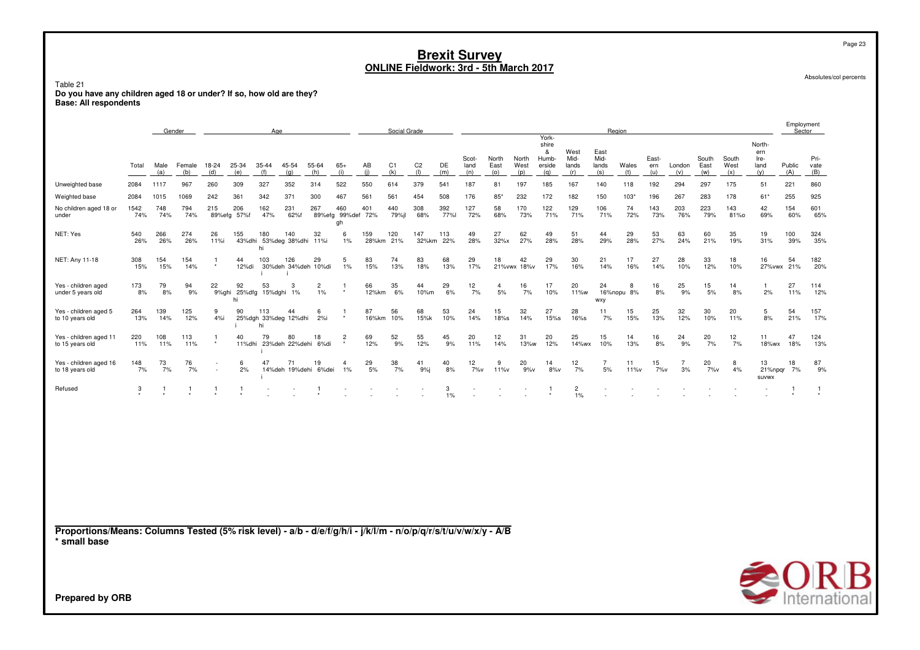Table 21 no you have any children aged 18 or under? If so, how old are they?<br>Base: All respondents

|                                                                                                                                 |             | Gender      |               |                |                    | Age                               |                           |                                  |                                |              | Social Grade          |                       |             |                      |                      |                      |                                               |                              |                              | Region          |                     |                      |                      |                      |                                      | Employment       | Sector              |
|---------------------------------------------------------------------------------------------------------------------------------|-------------|-------------|---------------|----------------|--------------------|-----------------------------------|---------------------------|----------------------------------|--------------------------------|--------------|-----------------------|-----------------------|-------------|----------------------|----------------------|----------------------|-----------------------------------------------|------------------------------|------------------------------|-----------------|---------------------|----------------------|----------------------|----------------------|--------------------------------------|------------------|---------------------|
|                                                                                                                                 | Total       | Male<br>(a) | Female<br>(b) | 18-24<br>(d)   | 25-34<br>(e)       | $35 - 44$<br>(f)                  | 45-54<br>(q)              | 55-64<br>(h)                     | $65+$<br>(i)                   | AB<br>(i)    | C <sub>1</sub><br>(k) | C <sub>2</sub><br>(1) | DE<br>(m)   | Scot-<br>land<br>(n) | North<br>East<br>(0) | North<br>West<br>(p) | York-<br>shire<br>&<br>Humb-<br>erside<br>(q) | West<br>Mid-<br>lands<br>(r) | East<br>Mid-<br>lands<br>(s) | Wales<br>(t)    | East-<br>ern<br>(u) | London<br>(v)        | South<br>East<br>(w) | South<br>West<br>(x) | North-<br>ern<br>Ire-<br>land<br>(y) | Public<br>(A)    | Pri-<br>vate<br>(B) |
| Unweighted base                                                                                                                 | 2084        | 1117        | 967           | 260            | 309                | 327                               | 352                       | 314                              | 522                            | 550          | 614                   | 379                   | 541         | 187                  | 81                   | 197                  | 185                                           | 167                          | 140                          | 118             | 192                 | 294                  | 297                  | 175                  | 51                                   | 221              | 860                 |
| Weighted base                                                                                                                   | 2084        | 1015        | 1069          | 242            | 361                | 342                               | 371                       | 300                              | 467                            | 561          | 561                   | 454                   | 508         | 176                  | $85*$                | 232                  | 172                                           | 182                          | 150                          | 103'            | 196                 | 267                  | 283                  | 178                  | 61*                                  | 255              | 925                 |
| No children aged 18 or<br>under                                                                                                 | 1542<br>74% | 748<br>74%  | 794<br>74%    | 215            | 206<br>89%efg 57%f | 162<br>47%                        | 231<br>62%f               | 267                              | 460<br>89%efg 99%def 72%<br>gh | 401          | 440<br>79%jl          | 308<br>68%            | 392<br>77%l | 127<br>72%           | 58<br>68%            | 170<br>73%           | 122<br>71%                                    | 129<br>71%                   | 106<br>71%                   | 74<br>72%       | 143<br>73%          | 203<br>76%           | 223<br>79%           | 143<br>81%0          | 42<br>69%                            | 154<br>60%       | 601<br>65%          |
| NET: Yes                                                                                                                        | 540<br>26%  | 266<br>26%  | 274<br>26%    | 26<br>11%i     | 155<br>43%dhi      | 180<br>hi                         | 140<br>53%deg 38%dhi 11%i | 32                               | 6<br>$1\%$                     | 159<br>28%km | 120<br>21%            | 147<br>32%km          | 113<br>22%  | 49<br>28%            | 27<br>32%x           | 62<br>27%            | 49<br>28%                                     | 51<br>28%                    | 44<br>29%                    | 29<br>28%       | 53<br>27%           | 63<br>24%            | 60<br>21%            | 35<br>19%            | 19<br>31%                            | 100<br>39%       | 324<br>35%          |
| NET: Any 11-18                                                                                                                  | 308<br>15%  | 154<br>15%  | 154<br>14%    | -1             | 44<br>12%di        | 103                               | 126                       | 29<br>30%deh 34%deh 10%di        | 5<br>1%                        | 83<br>15%    | 74<br>13%             | 83<br>18%             | 68<br>13%   | 29<br>17%            | 18                   | 42<br>21% vwx 18% v  | 29<br>17%                                     | 30<br>16%                    | 21<br>14%                    | 17<br>16%       | 27<br>14%           | 28<br>10%            | 33<br>12%            | 18<br>10%            | 16                                   | 54<br>27%vwx 21% | 182<br>20%          |
| Yes - children aged<br>under 5 years old                                                                                        | 173<br>8%   | 79<br>8%    | 94<br>9%      | 22<br>9%ghi    | 92<br>hi           | 53<br>25%dfg 15%dghi 1%           | 3                         | $\overline{c}$<br>$1\%$          |                                | 66<br>12%km  | 35<br>6%              | 44<br>10%m            | 29<br>6%    | 12<br>7%             | $\overline{4}$<br>5% | 16<br>7%             | 17<br>10%                                     | 20<br>11%w                   | 24<br>wxy                    | 8<br>16%nopu 8% | 16<br>8%            | 25<br>9%             | 15<br>5%             | 14<br>8%             | $\mathbf{1}$<br>2%                   | 27<br>11%        | 114<br>12%          |
| Yes - children aged 5<br>to 10 years old                                                                                        | 264<br>13%  | 139<br>14%  | 125<br>12%    | 9<br>4%i       | 90                 | 113<br>25%dgh 33%deg 12%dhi<br>hi | 44                        | 6<br>2%i                         |                                | 87<br>16%km  | 56<br>10%             | 68<br>15%k            | 53<br>10%   | 24<br>14%            | 15<br>18%s           | 32<br>14%            | 27<br>15%s                                    | 28<br>16%s                   | 11<br>7%                     | 15<br>15%       | 25<br>13%           | 32<br>12%            | 30<br>10%            | 20<br>11%            | 5<br>8%                              | 54<br>21%        | 157<br>17%          |
| Yes - children aged 11<br>to 15 years old                                                                                       | 220<br>11%  | 108<br>11%  | 113<br>11%    | $\overline{1}$ | 40                 | 79                                | 80                        | 18<br>11%dhi 23%deh 22%dehi 6%di | $\overline{2}$                 | 69<br>12%    | 52<br>9%              | 55<br>12%             | 45<br>9%    | 20<br>11%            | 12<br>14%            | 31<br>13%w           | 20<br>12%                                     | 25<br>14%wx                  | 15<br>10%                    | 14<br>13%       | 16<br>8%            | 24<br>9%             | 20<br>7%             | 12<br>7%             | 11<br>18%wx                          | 47<br>18%        | 124<br>13%          |
| Yes - children aged 16<br>to 18 years old                                                                                       | 148<br>7%   | 73<br>7%    | 76<br>7%      |                | 6<br>2%            | 47                                | 71                        | 19<br>14%deh 19%dehi 6%dei       | $\overline{a}$<br>1%           | 29<br>5%     | 38<br>7%              | 41<br>9%              | 40<br>8%    | 12<br>7%v            | 9<br>11%v            | 20<br>9%v            | 14<br>8%v                                     | 12<br>7%                     | $\overline{7}$<br>5%         | 11<br>11%v      | 15<br>7%v           | $\overline{7}$<br>3% | 20<br>7%v            | 8<br>4%              | 13<br><b>SUVWX</b>                   | 18<br>21%npgr 7% | 87<br>9%            |
| Refused                                                                                                                         | 3           | -1          | 1             | $\mathbf{1}$   |                    |                                   |                           |                                  |                                |              |                       |                       | 3<br>$1\%$  |                      |                      |                      |                                               | $\overline{c}$<br>1%         |                              |                 |                     |                      |                      |                      |                                      |                  | 1                   |
|                                                                                                                                 |             |             |               |                |                    |                                   |                           |                                  |                                |              |                       |                       |             |                      |                      |                      |                                               |                              |                              |                 |                     |                      |                      |                      |                                      |                  |                     |
| Proportions/Means: Columns Tested (5% risk level) - a/b - d/e/f/g/h/i - j/k/l/m - n/o/p/q/r/s/t/u/v/w/x/y - A/B<br>* small base |             |             |               |                |                    |                                   |                           |                                  |                                |              |                       |                       |             |                      |                      |                      |                                               |                              |                              |                 |                     |                      |                      |                      |                                      |                  |                     |
|                                                                                                                                 |             |             |               |                |                    |                                   |                           |                                  |                                |              |                       |                       |             |                      |                      |                      |                                               |                              |                              |                 |                     |                      |                      |                      | $\bigotimes_{\text{Interna}} R$      |                  | $\bigcirc$ R        |
| <b>Prepared by ORB</b>                                                                                                          |             |             |               |                |                    |                                   |                           |                                  |                                |              |                       |                       |             |                      |                      |                      |                                               |                              |                              |                 |                     |                      |                      |                      |                                      |                  |                     |

Absolutes/col percents



Page 23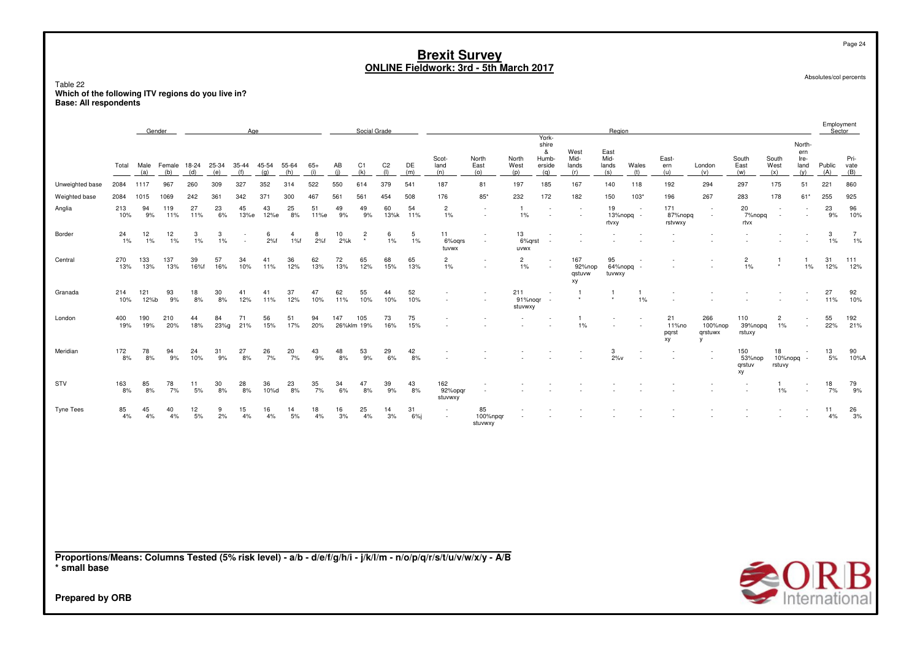Table 22**Which of the following ITV regions do you live in? Base: All respondents**

|                  |            | Gender      |             |            |                                      | Age        |              |                       |              |           | Social Grade              |                       |           |                           |                           |                             |                                               |                               | Region                       |                                       |                            |                                           |                               |                           |                                      | <b>Ellibio</b> Allielii<br>Sector |                         |
|------------------|------------|-------------|-------------|------------|--------------------------------------|------------|--------------|-----------------------|--------------|-----------|---------------------------|-----------------------|-----------|---------------------------|---------------------------|-----------------------------|-----------------------------------------------|-------------------------------|------------------------------|---------------------------------------|----------------------------|-------------------------------------------|-------------------------------|---------------------------|--------------------------------------|-----------------------------------|-------------------------|
|                  | Total      | (a)         | (b)         | (d)        | Male Female 18-24 25-34 35-44<br>(e) | (f)        | 45-54<br>(q) | 55-64<br>(h)          | $65+$<br>(i) | AB<br>(i) | C <sub>1</sub><br>(k)     | C <sub>2</sub><br>(1) | DE<br>(m) | Scot-<br>land<br>(n)      | North<br>East<br>(o)      | North<br>West<br>(p)        | York-<br>shire<br>&<br>Humb-<br>erside<br>(q) | West<br>Mid-<br>lands<br>(r)  | East<br>Mid-<br>lands<br>(s) | Wales<br>(t)                          | East-<br>ern<br>(u)        | London<br>(v)                             | South<br>East<br>(w)          | South<br>West<br>(x)      | North-<br>ern<br>Ire-<br>land<br>(y) | Public<br>(A)                     | Pri-<br>vate<br>(B)     |
| Unweighted base  | 2084       | 1117        | 967         | 260        | 309                                  | 327        | 352          | 314                   | 522          | 550       | 614                       | 379                   | 541       | 187                       | 81                        | 197                         | 185                                           | 167                           | 140                          | 118                                   | 192                        | 294                                       | 297                           | 175                       | 51                                   | 221                               | 860                     |
| Weighted base    | 2084       | 1015        | 1069        | 242        | 361                                  | 342        | 371          | 300                   | 467          | 561       | 561                       | 454                   | 508       | 176                       | $85*$                     | 232                         | 172                                           | 182                           | 150                          | $103*$                                | 196                        | 267                                       | 283                           | 178                       | $61*$                                | 255                               | 925                     |
| Anglia           | 213<br>10% | 94<br>9%    | 119<br>11%  | 27<br>11%  | 23<br>6%                             | 45<br>13%e | 43<br>12%e   | 25<br>8%              | 51<br>11%e   | 49<br>9%  | 49<br>9%                  | 60<br>13%k            | 54<br>11% | $\overline{c}$<br>1%      | $\sim$<br>$\sim$          | -1<br>1%                    | $\overline{\phantom{a}}$<br>$\sim$            | $\sim$<br>$\sim$              | 19<br>rtvxy                  | $\sim$<br>$13\%$ nopg -               | 171<br>87%nopg<br>rstvwxy  | $\sim$<br>$\sim$                          | 20<br>7%nopq<br>rtvx          | $\sim$<br>$\sim$          | $\sim$<br>$\sim$                     | 23<br>9%                          | 96<br>10%               |
| Border           | 24<br>1%   | 12<br>$1\%$ | 12<br>$1\%$ | 3<br>$1\%$ | 3<br>1%                              | $\sim$     | 6<br>2%f     | $\overline{4}$<br>1%f | 8<br>2%f     | 10<br>2%k | $\overline{c}$<br>$\star$ | 6<br>1%               | 5<br>1%   | 11<br>6%oqrs<br>tuvwx     | $\sim$<br>$\sim$          | 13<br>6%grst<br>uvwx        | $\sim$<br>$\overline{\phantom{a}}$            | ٠<br>×                        | $\sim$<br>$\sim$             |                                       |                            | $\sim$<br>×.                              |                               |                           | $\sim$<br>$\sim$                     | 3<br>$1\%$                        | $\overline{7}$<br>$1\%$ |
| Central          | 270<br>13% | 133<br>13%  | 137<br>13%  | 39<br>16%f | 57<br>16%                            | 34<br>10%  | 41<br>11%    | 36<br>12%             | 62<br>13%    | 72<br>13% | 65<br>12%                 | 68<br>15%             | 65<br>13% | $\overline{c}$<br>1%      |                           | $\overline{2}$<br>1%        | $\sim$                                        | 167<br>92%nop<br>qstuvw<br>xy | 95<br>tuvwxy                 | $\overline{\phantom{a}}$<br>64%nopg - | ×.                         | $\sim$                                    | $\overline{c}$<br>$1\%$       | $\overline{1}$<br>$\star$ | -1<br>1%                             | 31<br>12%                         | 111<br>12%              |
| Granada          | 214<br>10% | 121<br>12%b | 93<br>9%    | 18<br>8%   | 30<br>8%                             | 41<br>12%  | 41<br>11%    | 37<br>12%             | 47<br>10%    | 62<br>11% | 55<br>10%                 | 44<br>10%             | 52<br>10% | $\sim$<br>$\sim$          |                           | 211<br>91%nogr -<br>stuvwxy | $\overline{\phantom{a}}$                      |                               | ٠                            | 1%                                    | ٠                          |                                           |                               |                           |                                      | 27<br>11%                         | 92<br>10%               |
| London           | 400<br>19% | 190<br>19%  | 210<br>20%  | 44<br>18%  | 84<br>23%g                           | 71<br>21%  | 56<br>15%    | 51<br>17%             | 94<br>20%    | 147       | 105<br>26%klm 19%         | 73<br>16%             | 75<br>15% |                           |                           | $\sim$                      |                                               | $\overline{1}$<br>1%          | ٠<br>$\sim$                  | ×.                                    | 21<br>11%no<br>pqrst<br>xy | 266<br>100%nop<br>grstuwx<br>$\mathsf{v}$ | 110<br>39%nopq<br>rstuxy      | $\overline{c}$<br>1%      | $\sim$<br>$\sim$                     | 55<br>22%                         | 192<br>21%              |
| Meridian         | 172<br>8%  | 78<br>8%    | 94<br>9%    | 24<br>10%  | 31<br>9%                             | 27<br>8%   | 26<br>7%     | 20<br>7%              | 43<br>9%     | 48<br>8%  | 53<br>9%                  | 29<br>6%              | 42<br>8%  |                           |                           |                             |                                               | ×                             | 3<br>$2\%v$                  | $\overline{\phantom{a}}$<br>$\sim$    | $\overline{a}$             | $\sim$                                    | 150<br>53%nop<br>grstuv<br>xy | 18<br>10%nopq<br>rstuvy   | $\sim$<br>$\sim$                     | 13<br>5%                          | 90<br>10%A              |
| STV              | 163<br>8%  | 85<br>8%    | 78<br>7%    | 11<br>5%   | 30<br>8%                             | 28<br>8%   | 36<br>10%d   | 23<br>8%              | 35<br>7%     | 34<br>6%  | 47<br>8%                  | 39<br>9%              | 43<br>8%  | 162<br>92%opqr<br>stuvwxy |                           |                             |                                               |                               |                              |                                       |                            |                                           |                               | $\overline{1}$<br>1%      | $\sim$<br>×                          | 18<br>7%                          | 79<br>9%                |
| <b>Tyne Tees</b> | 85<br>4%   | 45<br>4%    | 40<br>4%    | 12<br>5%   | 9<br>2%                              | 15<br>4%   | 16<br>4%     | 14<br>5%              | 18<br>4%     | 16<br>3%  | 25<br>4%                  | 14<br>3%              | 31<br>6%  | $\sim$<br>$\sim$          | 85<br>100%npgr<br>stuvwxy | ٠<br>÷                      |                                               |                               |                              |                                       |                            |                                           |                               |                           | $\sim$                               | 11<br>4%                          | 26<br>3%                |
|                  |            |             |             |            |                                      |            |              |                       |              |           |                           |                       |           |                           |                           |                             |                                               |                               |                              |                                       |                            |                                           |                               |                           |                                      |                                   |                         |
|                  |            |             |             |            |                                      |            |              |                       |              |           |                           |                       |           |                           |                           |                             |                                               |                               |                              |                                       |                            |                                           |                               |                           |                                      |                                   |                         |

**Proportions/Means: Columns Tested (5% risk level) - a/b - d/e/f/g/h/i - j/k/l/m - n/o/p/q/r/s/t/u/v/w/x/y - A/B\* small base**



Absolutes/col percents

Page 24

Employment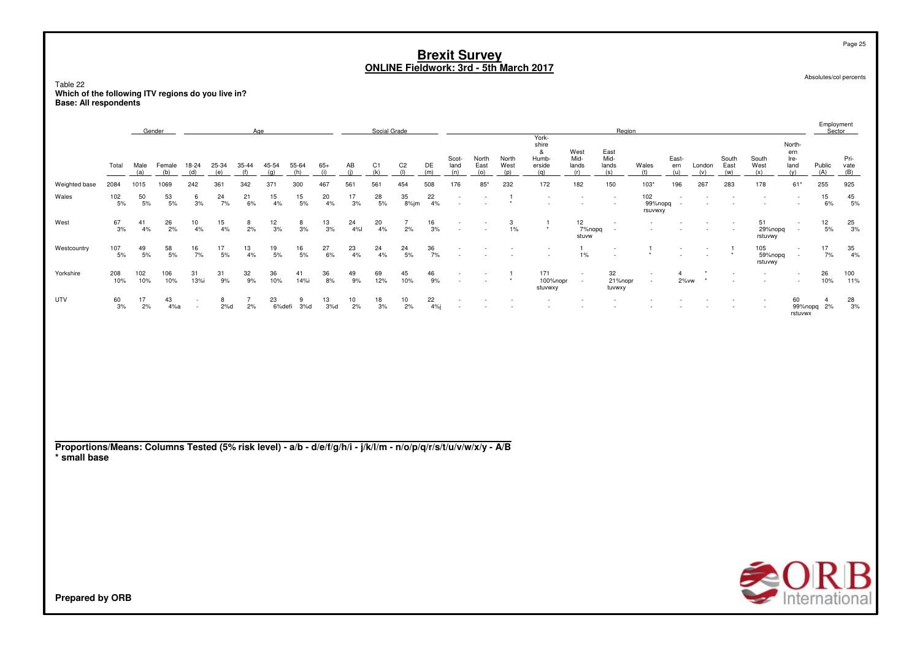Table 22 **Which of the following ITV regions do you live in?Base: All respondents**

|               |                  |                  | Gender        |                                                      |              | Age              |                  |              |             |                  | Social Grade          |                       |           |                      |                      |                      |                                               |                              | Region                       |                           |                                    |               |                                    |                           |                                      | Employment<br>Sector |                     |
|---------------|------------------|------------------|---------------|------------------------------------------------------|--------------|------------------|------------------|--------------|-------------|------------------|-----------------------|-----------------------|-----------|----------------------|----------------------|----------------------|-----------------------------------------------|------------------------------|------------------------------|---------------------------|------------------------------------|---------------|------------------------------------|---------------------------|--------------------------------------|----------------------|---------------------|
|               | Total            | Male<br>(a)      | Female<br>(b) | 18-24<br>(d)                                         | 25-34<br>(e) | $35 - 44$<br>(f) | 45-54<br>(q)     | 55-64<br>(h) | $65+$       | AB               | C <sub>1</sub><br>(k) | C <sub>2</sub><br>(1) | DE<br>(m) | Scot-<br>land<br>(n) | North<br>East<br>(o) | North<br>West<br>(D) | York-<br>shire<br>&<br>Humb-<br>erside<br>(a) | West<br>Mid-<br>lands<br>(r) | East<br>Mid-<br>lands<br>(s) | Wales<br>(t)              | East-<br>ern<br>(u)                | London<br>(v) | South<br>East<br>(w)               | South<br>West<br>(x)      | North-<br>ern<br>Ire-<br>land<br>(v) | Public<br>(A)        | Pri-<br>vate<br>(B) |
| Weighted base | 2084             | 1015             | 1069          | 242                                                  | 361          | 342              | 371              | 300          | 467         | 561              | 561                   | 454                   | 508       | 176                  | 85'                  | 232                  | 172                                           | 182                          | 150                          | $103*$                    | 196                                | 267           | 283                                | 178                       | $61*$                                | 255                  | 925                 |
| Wales         | 102<br>5%        | $50$ $5\%$       | 53<br>$5%$    | 6<br>3%                                              | 24<br>7%     | 21<br>6%         | 15<br>4%         | 15<br>5%     | 20<br>$4\%$ | 17<br>3%         | $^{28}_{\ 5\%}$       | 35<br>8%jm            | 22<br>4%  | ٠<br>٠               |                      |                      |                                               |                              |                              | 102<br>99%nopq<br>rsuvwxy |                                    |               |                                    |                           | ٠<br>$\sim$                          | 15<br>6%             | 45<br>5%            |
| West          | $\frac{67}{3\%}$ | 41<br>4%         | 26<br>2%      | 10<br>4%                                             | 15<br>$4\%$  | 8<br>2%          | 12<br>$3%$       | 8<br>3%      | 13<br>3%    | 24<br>4%         | 20<br>4%              | 2%                    | 16<br>3%  | ٠<br>٠               |                      | 3<br>$1\%$           | $\star$                                       | 12<br>7%nopq<br>stuvw        | <b>1999</b><br>$\sim$        |                           | $\sim$                             | $\sim$        | $\overline{\phantom{a}}$<br>$\sim$ | 51<br>29%nopq<br>rstuvwy  | ٠<br>$\sim$                          | 12<br>$5\%$          | $\frac{25}{3\%}$    |
| Westcountry   | 107<br>5%        | $\frac{49}{5\%}$ | 58<br>$5%$    | 16<br>7%                                             | 17<br>5%     | $\frac{13}{4\%}$ | $\frac{19}{5\%}$ | 16<br>5%     | 27<br>6%    | 23<br>4%         | 24<br>4%              | 24<br>$5\%$           | 36<br>7%  | ٠<br>$\sim$          |                      |                      |                                               | 1%                           | $\sim$                       |                           | $\sim$<br>$\overline{\phantom{a}}$ |               |                                    | 105<br>59%nopq<br>rstuvwy | $\sim$<br>$\sim$                     | 17<br>7%             | 35<br>4%            |
| Yorkshire     | 208<br>10%       | 102<br>10%       | 106<br>10%    | 31<br>13%i                                           | 31<br>9%     | $\frac{32}{9\%}$ | 36<br>10%        | 41<br>14%i   | 36<br>8%    | 49<br>9%         | 69<br>12%             | 45<br>10%             | 46<br>9%  | ٠<br>٠               |                      |                      | 171<br>100%nopr<br>stuvwxy                    | $\sim$<br>$\sim$             | 32<br>21%nopr<br>tuvwxy      | $\sim$<br>$\sim$          | $2\%$ vw                           |               | $\sim$<br>$\sim$                   | $\sim$                    | $\sim$<br>$\sim$                     | 26<br>10%            | 100<br>11%          |
| UTV           | 60<br>3%         | 17<br>2%         | 43<br>4%a     | $\overline{\phantom{a}}$<br>$\overline{\phantom{a}}$ | 8<br>2%d     | 2%               | 23<br>6%defi     | 9<br>3%d     | 13<br>3%d   | $\frac{10}{2\%}$ | $\frac{18}{3%}$       | $\frac{10}{2\%}$      | 22<br>4%j | ٠<br>$\sim$          |                      |                      |                                               |                              |                              |                           |                                    |               |                                    | $\sim$<br>$\sim$          | 60<br>99%nopq 2%<br>rstuvwx          |                      | $\frac{28}{3\%}$    |
|               |                  |                  |               |                                                      |              |                  |                  |              |             |                  |                       |                       |           |                      |                      |                      |                                               |                              |                              |                           |                                    |               |                                    |                           |                                      |                      |                     |
|               |                  |                  |               |                                                      |              |                  |                  |              |             |                  |                       |                       |           |                      |                      |                      |                                               |                              |                              |                           |                                    |               |                                    |                           |                                      |                      |                     |

**Proportions/Means: Columns Tested (5% risk level) - a/b - d/e/f/g/h/i - j/k/l/m - n/o/p/q/r/s/t/u/v/w/x/y - A/B \* small base**



Absolutes/col percents

Page 25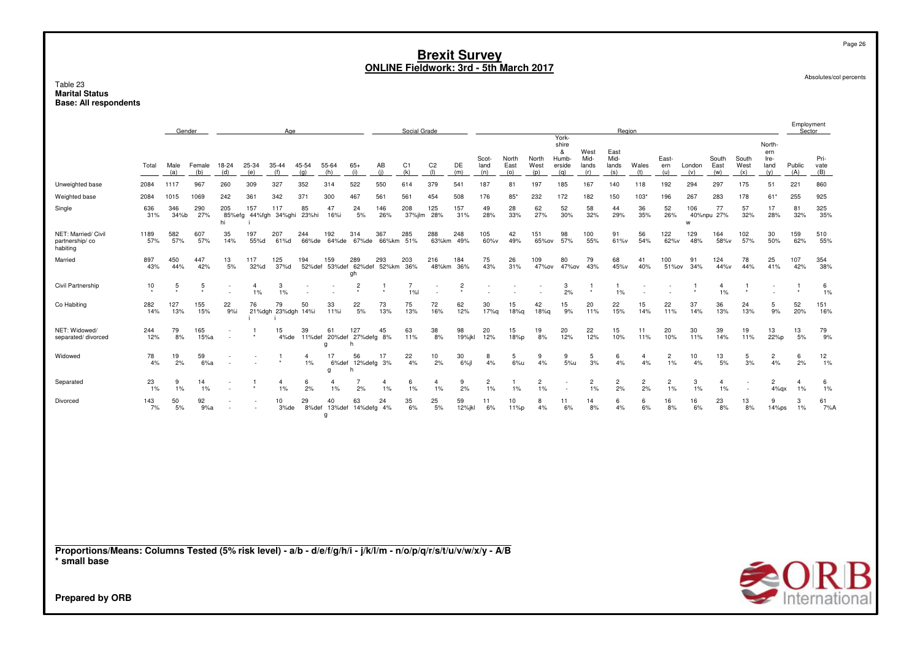#### Table 23 **Marital Status Base: All respondents**

|                                                   |             | Gender      |                |                     |                      | Age                      |              |                   |                                   |              | Social Grade         |                       |                |                      |                      |                      | York-                                |                              | Region                       |                      |                     |               |                      |                      |                                      | Employment<br>Sector |                     |
|---------------------------------------------------|-------------|-------------|----------------|---------------------|----------------------|--------------------------|--------------|-------------------|-----------------------------------|--------------|----------------------|-----------------------|----------------|----------------------|----------------------|----------------------|--------------------------------------|------------------------------|------------------------------|----------------------|---------------------|---------------|----------------------|----------------------|--------------------------------------|----------------------|---------------------|
|                                                   | Total       | Male<br>(a) | Female<br>(b)  | 18-24<br>(d)        | 25-34<br>(e)         | $35 - 44$<br>(f)         | 45-54<br>(a) | 55-64<br>(h)      | $65+$<br>(i)                      | AB<br>(i)    | C1<br>(k)            | C <sub>2</sub><br>(1) | DE<br>(m)      | Scot-<br>land<br>(n) | North<br>East<br>(o) | North<br>West<br>(p) | shire<br>&<br>Humb-<br>erside<br>(a) | West<br>Mid-<br>lands<br>(r) | East<br>Mid-<br>lands<br>(s) | Wales<br>(t)         | East-<br>ern<br>(u) | London<br>(v) | South<br>East<br>(w) | South<br>West<br>(x) | North-<br>ern<br>Ire-<br>land<br>(y) | Public<br>(A)        | Pri-<br>vate<br>(B) |
| Unweighted base                                   | 2084        | 1117        | 967            | 260                 | 309                  | 327                      | 352          | 314               | 522                               | 550          | 614                  | 379                   | 541            | 187                  | 81                   | 197                  | 185                                  | 167                          | 140                          | 118                  | 192                 | 294           | 297                  | 175                  | 51                                   | 221                  | 860                 |
| Weighted base                                     | 2084        | 1015        | 1069           | 242                 | 361                  | 342                      | 371          | 300               | 467                               | 561          | 561                  | 454                   | 508            | 176                  | $85*$                | 232                  | 172                                  | 182                          | 150                          | $103*$               | 196                 | 267           | 283                  | 178                  | $61*$                                | 255                  | 925                 |
| Single                                            | 636<br>31%  | 346<br>34%b | 290<br>27%     | 205<br>85%efg<br>hi | 157                  | 117<br>44%fgh 34%ghi     | 85<br>23%hi  | 47<br>16%i        | 24<br>5%                          | 146<br>26%   | 208<br>37%jlm        | 125<br>28%            | 157<br>31%     | 49<br>28%            | 28<br>33%            | 62<br>27%            | 52<br>30%                            | 58<br>32%                    | 44<br>29%                    | 36<br>35%            | 52<br>26%           | 106<br>W      | 77<br>40%npu 27%     | 57<br>32%            | 17<br>28%                            | 81<br>32%            | 325<br>35%          |
| NET: Married/ Civil<br>partnership/co<br>habiting | 1189<br>57% | 582<br>57%  | 607<br>57%     | 35<br>14%           | 197<br>55%d          | 207<br>61%d              | 244<br>66%de | 192<br>64%de      | 314<br>67%de                      | 367<br>66%km | 285<br>51%           | 288<br>63%km          | 248<br>49%     | 105<br>60%v          | 42<br>49%            | 151<br>65%ov         | 98<br>57%                            | 100<br>55%                   | 91<br>61%v                   | 56<br>54%            | 122<br>62%v         | 129<br>48%    | 164<br>58%v          | 102<br>57%           | 30<br>50%                            | 159<br>62%           | 510<br>55%          |
| Married                                           | 897<br>43%  | 450<br>44%  | 447<br>42%     | 13<br>5%            | 117<br>32%d          | 125<br>37%d              | 194          | 159               | 289<br>52%def 53%def 62%def<br>gh | 293<br>52%km | 203<br>36%           | 216<br>48%km          | 184<br>36%     | 75<br>43%            | 26<br>31%            | 109<br>47%ov         | 80<br>47%ov                          | 79<br>43%                    | 68<br>45%v                   | 41<br>40%            | 100<br>51%ov        | 91<br>34%     | 124<br>44%v          | 78<br>44%            | 25<br>41%                            | 107<br>42%           | 354<br>38%          |
| Civil Partnership                                 | 10          | 5           | 5<br>$\bullet$ |                     | $\overline{4}$<br>1% | 3<br>1%                  |              |                   | $\overline{2}$                    |              | $\overline{7}$<br>1% |                       | $\overline{c}$ |                      |                      |                      | 3<br>2%                              | $\ddot{\phantom{1}}$         | 1%                           |                      |                     |               | 4<br>1%              |                      |                                      |                      | 6<br>1%             |
| Co Habiting                                       | 282<br>14%  | 127<br>13%  | 155<br>15%     | 22<br>9%i           | 76                   | 79<br>21%dgh 23%dgh 14%i | 50           | 33<br>11%i        | 22<br>5%                          | 73<br>13%    | 75<br>13%            | 72<br>16%             | 62<br>12%      | 30<br>17%g           | 15<br>18%q           | 42<br>18%g           | 15<br>9%                             | 20<br>11%                    | 22<br>15%                    | 15<br>14%            | 22<br>11%           | 37<br>14%     | 36<br>13%            | 24<br>13%            | 5<br>9%                              | 52<br>20%            | 151<br>16%          |
| NET: Widowed/<br>separated/divorced               | 244<br>12%  | 79<br>8%    | 165<br>15%a    |                     | $\bullet$            | 15<br>4%de               | 39<br>11%def | 61<br>g           | 127<br>20%def 27%defg 8%          | 45           | 63<br>11%            | 38<br>8%              | 98<br>19%jkl   | 20<br>12%            | 15<br>18%p           | 19<br>8%             | 20<br>12%                            | 22<br>12%                    | 15<br>10%                    | 11<br>11%            | 20<br>10%           | 30<br>11%     | 39<br>14%            | 19<br>11%            | 13<br>22%p                           | 13<br>5%             | 79<br>9%            |
| Widowed                                           | 78<br>4%    | 19<br>2%    | 59<br>6%a      |                     |                      |                          | 1%           | 6%def<br>g        | 56<br>12% defg 3%                 | 17           | 22<br>4%             | 10<br>2%              | 30<br>6%       | 8<br>4%              | 5<br>6%u             | 9<br>4%              | 9<br>5%u                             | 5<br>3%                      | 6<br>4%                      | 4%                   | 2<br>1%             | 10<br>4%      | 13<br>5%             | 5<br>3%              | $\overline{2}$<br>4%                 | 6<br>2%              | 12<br>1%            |
| Separated                                         | 23<br>1%    | 9<br>1%     | 14<br>1%       |                     |                      | 1%                       | 6<br>2%      | 1%                | 2%                                | 4<br>1%      | 6<br>1%              | 1%                    | 9<br>2%        | $\overline{2}$<br>1% | $1\%$                | 2<br>1%              |                                      | $\overline{c}$<br>1%         | 2<br>2%                      | $\overline{c}$<br>2% | $1\%$               | 3<br>1%       | 4<br>1%              |                      | 2<br>$4\%$ gx                        | $\overline{4}$<br>1% | 6<br>1%             |
| Divorced                                          | 143<br>7%   | 50<br>5%    | 92<br>9%a      |                     |                      | 10<br>3%de               | 29<br>8%def  | 40<br>13%def<br>g | 63<br>14% defg 4%                 | 24           | 35<br>6%             | 25<br>5%              | 59<br>12%jkl   | 11<br>6%             | 10<br>11%p           | 8<br>4%              | 11<br>6%                             | 14<br>8%                     | 6<br>4%                      | 6<br>6%              | 16<br>8%            | 16<br>6%      | 23<br>8%             | 13<br>8%             | 9<br>$14\%$ ps                       | 3<br>1%              | 61<br>7%A           |

Proportions/Means: Columns Tested (5% risk level) - a/b - d/e/f/g/h/i - j/k/l/m - n/o/p/q/r/s/t/u/v/w/x/y - A/B<br>\* small base



Page 26

Absolutes/col percents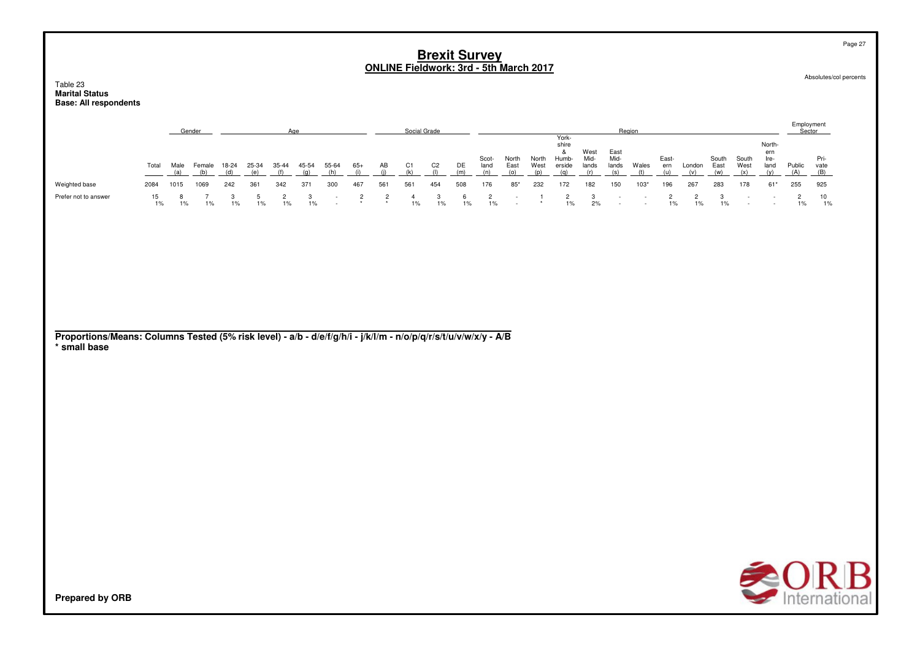#### Table 23 **Marital StatusBase: All respondents**

|                                                                                                                                 |                     |                    | Gender                          |                              |                                |                                | Age                          |                                           |                       |                                   |                                | Social Grade                 |                   |                                |                           |                      |                                               |                              |                                                             | Region           |                             |                             |                            |                         |                                         | Employment<br>Sector           |                     |
|---------------------------------------------------------------------------------------------------------------------------------|---------------------|--------------------|---------------------------------|------------------------------|--------------------------------|--------------------------------|------------------------------|-------------------------------------------|-----------------------|-----------------------------------|--------------------------------|------------------------------|-------------------|--------------------------------|---------------------------|----------------------|-----------------------------------------------|------------------------------|-------------------------------------------------------------|------------------|-----------------------------|-----------------------------|----------------------------|-------------------------|-----------------------------------------|--------------------------------|---------------------|
|                                                                                                                                 | Total               | Male<br>(a)        | Female<br>(b)                   | 18-24<br>(d)                 | 25-34<br>(e)                   | 35-44<br>(f)                   | 45-54<br>(q)                 | 55-64<br>(h)                              | $65+$<br>(i)          | AB<br>(i)                         | C1<br>(k)                      | C <sub>2</sub><br>(1)        | DE<br>(m)         | Scot-<br>land<br>(n)           | North<br>East<br>(0)      | North<br>West<br>(p) | York-<br>shire<br>&<br>Humb-<br>erside<br>(q) | West<br>Mid-<br>lands<br>(r) | East<br>Mid-<br>lands<br>(s)                                | Wales<br>(t)     | East-<br>ern<br>(u)         | London<br>(v)               | South<br>East<br>(w)       | South<br>West<br>(x)    | North-<br>ern<br>Ire-<br>land<br>(y)    | Public<br>(A)                  | Pri-<br>vate<br>(B) |
| Weighted base<br>Prefer not to answer                                                                                           | 2084<br>15<br>$1\%$ | 1015<br>8<br>$1\%$ | 1069<br>$\overline{7}$<br>$1\%$ | 242<br>$\mathbf{3}$<br>$1\%$ | 361<br>$\overline{5}$<br>$1\%$ | 342<br>$\overline{c}$<br>$1\%$ | 371<br>$\mathbf{3}$<br>$1\%$ | 300<br>$\overline{\phantom{a}}$<br>$\sim$ | 467<br>$\overline{c}$ | 561<br>$\overline{c}$<br>$^\star$ | 561<br>$\overline{4}$<br>$1\%$ | 454<br>$\mathbf{3}$<br>$1\%$ | 508<br>6<br>$1\%$ | 176<br>$\overline{c}$<br>$1\%$ | $85*$<br>$\sim$<br>$\sim$ | 232<br>-1            | 172<br>$\overline{c}$<br>$1\%$                | 182<br>$\mathbf{3}$<br>2%    | 150<br>$\overline{\phantom{a}}$<br>$\overline{\phantom{a}}$ | $103*$<br>$\sim$ | 196<br>$\overline{c}$<br>1% | 267<br>$\overline{c}$<br>1% | 283<br>$_{\rm 3}$<br>$1\%$ | 178<br>$\sim$<br>$\sim$ | $61*$<br>$\overline{\phantom{a}}$<br>÷, | 255<br>$\overline{c}$<br>$1\%$ | 925<br>10<br>$1\%$  |
| Proportions/Means: Columns Tested (5% risk level) - a/b - d/e/f/g/h/i - j/k/l/m - n/o/p/q/r/s/t/u/v/w/x/y - A/B<br>* small base |                     |                    |                                 |                              |                                |                                |                              |                                           |                       |                                   |                                |                              |                   |                                |                           |                      |                                               |                              |                                                             |                  |                             |                             |                            |                         |                                         |                                |                     |
|                                                                                                                                 |                     |                    |                                 |                              |                                |                                |                              |                                           |                       |                                   |                                |                              |                   |                                |                           |                      |                                               |                              |                                                             |                  |                             |                             |                            |                         |                                         |                                |                     |
|                                                                                                                                 |                     |                    |                                 |                              |                                |                                |                              |                                           |                       |                                   |                                |                              |                   |                                |                           |                      |                                               |                              |                                                             |                  |                             |                             |                            |                         |                                         |                                |                     |
| <b>Prepared by ORB</b>                                                                                                          |                     |                    |                                 |                              |                                |                                |                              |                                           |                       |                                   |                                |                              |                   |                                |                           |                      |                                               |                              |                                                             |                  |                             |                             |                            |                         |                                         |                                | <b>SORB</b>         |

Page 27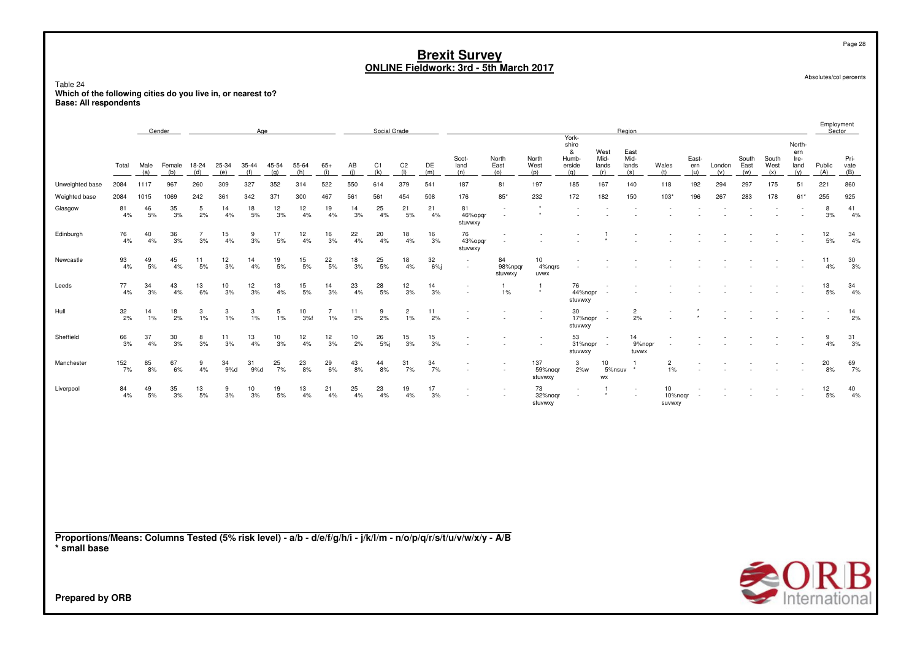Table 24**Which of the following cities do you live in, or nearest to? Base: All respondents**

|                                                                                                                                 |           |             | Gender        |                      |              | Age                |              |              |                      |           | Social Grade |                         |              |                          |                                    |                             |                                        |                       | Region                       |                         |                     |               |                      |                      |                                      | Employment<br>Sector |                     |
|---------------------------------------------------------------------------------------------------------------------------------|-----------|-------------|---------------|----------------------|--------------|--------------------|--------------|--------------|----------------------|-----------|--------------|-------------------------|--------------|--------------------------|------------------------------------|-----------------------------|----------------------------------------|-----------------------|------------------------------|-------------------------|---------------------|---------------|----------------------|----------------------|--------------------------------------|----------------------|---------------------|
|                                                                                                                                 | Total     | Male<br>(a) | Female<br>(b) | 18-24<br>(d)         | 25-34<br>(e) | 35-44<br>(f)       | 45-54<br>(q) | 55-64<br>(h) | $65+$<br>(i)         | AB<br>(i) | C1<br>(k)    | C <sub>2</sub><br>(1)   | DE<br>(m)    | Scot-<br>land<br>(n)     | North<br>East<br>(0)               | North<br>West<br>(p)        | York-<br>shire<br>&<br>Humb-<br>erside | West<br>Mid-<br>lands | East<br>Mid-<br>lands<br>(s) | Wales<br>(t)            | East-<br>ern<br>(u) | London<br>(v) | South<br>East<br>(w) | South<br>West<br>(x) | North-<br>ern<br>Ire-<br>land<br>(y) | Public               | Pri-<br>vate<br>(B) |
| Unweighted base                                                                                                                 | 2084      | 1117        | 967           | 260                  | 309          | 327                | 352          | 314          | 522                  | 550       | 614          | 379                     | 541          | 187                      | 81                                 | 197                         | (q)<br>185                             | (r)<br>167            | 140                          | 118                     | 192                 | 294           | 297                  | 175                  | 51                                   | (A)<br>221           | 860                 |
| Weighted base                                                                                                                   | 2084      | 1015        | 1069          | 242                  | 361          | 342                | 371          | 300          | 467                  | 561       | 561          | 454                     | 508          | 176                      | $85*$                              | 232                         | 172                                    | 182                   | 150                          | $103*$                  | 196                 | 267           | 283                  | 178                  | 61*                                  | 255                  | 925                 |
| Glasgow                                                                                                                         | 81<br>4%  | 46<br>5%    | 35<br>3%      | 5<br>2%              | 14<br>4%     | 18<br>5%           | 12<br>3%     | 12<br>4%     | 19<br>4%             | 14<br>3%  | 25<br>4%     | 21<br>5%                | 21<br>4%     | 81<br>46%opgr<br>stuvwxy | $\overline{\phantom{a}}$<br>$\sim$ | $\star$<br>$\star$          |                                        |                       |                              |                         |                     |               |                      |                      |                                      | 8<br>3%              | 41<br>4%            |
| Edinburgh                                                                                                                       | 76<br>4%  | 40<br>4%    | 36<br>3%      | $\overline{7}$<br>3% | 15<br>4%     | 9<br>3%            | 17<br>5%     | 12<br>4%     | 16<br>3%             | 22<br>4%  | 20<br>4%     | 18<br>4%                | 16<br>3%     | 76<br>43%opqr<br>stuvwxy |                                    |                             |                                        |                       |                              |                         |                     |               |                      |                      |                                      | 12<br>$5\%$          | 34<br>4%            |
| Newcastle                                                                                                                       | 93<br>4%  | 49<br>5%    | 45<br>4%      | 11<br>5%             | 12<br>3%     | 14<br>4%           | 19<br>5%     | 15<br>5%     | 22<br>5%             | 18<br>3%  | 25<br>5%     | 18<br>4%                | 32<br>$6%$ j |                          | 84<br>98%npqr<br>stuvwxy           | 10<br>4%nqrs<br><b>UVWX</b> |                                        |                       |                              |                         |                     |               |                      |                      |                                      | 11<br>4%             | 30<br>3%            |
| Leeds                                                                                                                           | 77<br>4%  | 34<br>3%    | 43<br>4%      | 13<br>6%             | 10<br>3%     | 12<br>3%           | 13<br>4%     | 15<br>$5%$   | 14<br>3%             | 23<br>4%  | 28<br>5%     | 12<br>3%                | 14<br>3%     |                          | $\overline{1}$<br>$1\%$            | $\mathbf{1}$                | 76<br>44%nopr<br>stuvwxy               |                       |                              |                         |                     |               |                      |                      |                                      | 13<br>5%             | 34<br>4%            |
| Hull                                                                                                                            | 32<br>2%  | 14<br>1%    | 18<br>2%      | 3<br>1%              | 3<br>1%      | $\mathbf{3}$<br>1% | 5<br>1%      | 10<br>3%f    | $\overline{7}$<br>1% | 11<br>2%  | 9<br>2%      | $\overline{c}$<br>$1\%$ | 11<br>2%     |                          |                                    |                             | 30<br>17%nopr<br>stuvwxy               |                       | $\overline{c}$<br>2%         |                         |                     |               |                      |                      |                                      |                      | 14<br>2%            |
| Sheffield                                                                                                                       | 66<br>3%  | 37<br>4%    | 30<br>3%      | 8<br>3%              | 11<br>3%     | 13<br>4%           | 10<br>3%     | 12<br>4%     | 12<br>3%             | 10<br>2%  | 26<br>5%     | 15<br>3%                | 15<br>3%     |                          |                                    |                             | 53<br>31%nopr<br>stuvwxy               | ÷.                    | 14<br>9%nopr<br>tuvwx        |                         |                     |               |                      |                      |                                      | 9<br>4%              | 31<br>3%            |
| Manchester                                                                                                                      | 152<br>7% | 85<br>8%    | 67<br>6%      | 9<br>4%              | 34<br>9%d    | 31<br>9%d          | 25<br>7%     | 23<br>8%     | 29<br>6%             | 43<br>8%  | 44<br>8%     | 31<br>7%                | 34<br>7%     |                          |                                    | 137<br>59%noqr<br>stuvwxy   | 3<br>2%w                               | 10<br>5%nsuv<br>WX    |                              | 2<br>1%                 |                     |               |                      |                      |                                      | 20<br>8%             | 69<br>7%            |
| Liverpool                                                                                                                       | 84<br>4%  | 49<br>5%    | 35<br>3%      | 13<br>5%             | 9<br>3%      | 10<br>3%           | 19<br>5%     | 13<br>4%     | 21<br>4%             | 25<br>4%  | 23<br>4%     | 19<br>4%                | 17<br>3%     |                          |                                    | 73<br>32%noqr<br>stuvwxy    | $\sim$                                 |                       |                              | 10<br>10%nogr<br>suvwxy |                     |               |                      |                      |                                      | 12<br>5%             | 40<br>4%            |
| Proportions/Means: Columns Tested (5% risk level) - a/b - d/e/f/g/h/i - j/k/l/m - n/o/p/q/r/s/t/u/v/w/x/y - A/B<br>* small base |           |             |               |                      |              |                    |              |              |                      |           |              |                         |              |                          |                                    |                             |                                        |                       |                              |                         |                     |               |                      |                      |                                      |                      |                     |
| <b>Prepared by ORB</b>                                                                                                          |           |             |               |                      |              |                    |              |              |                      |           |              |                         |              |                          |                                    |                             |                                        |                       |                              |                         |                     |               |                      |                      |                                      |                      | <b>SORB</b>         |

Absolutes/col percents

Page 28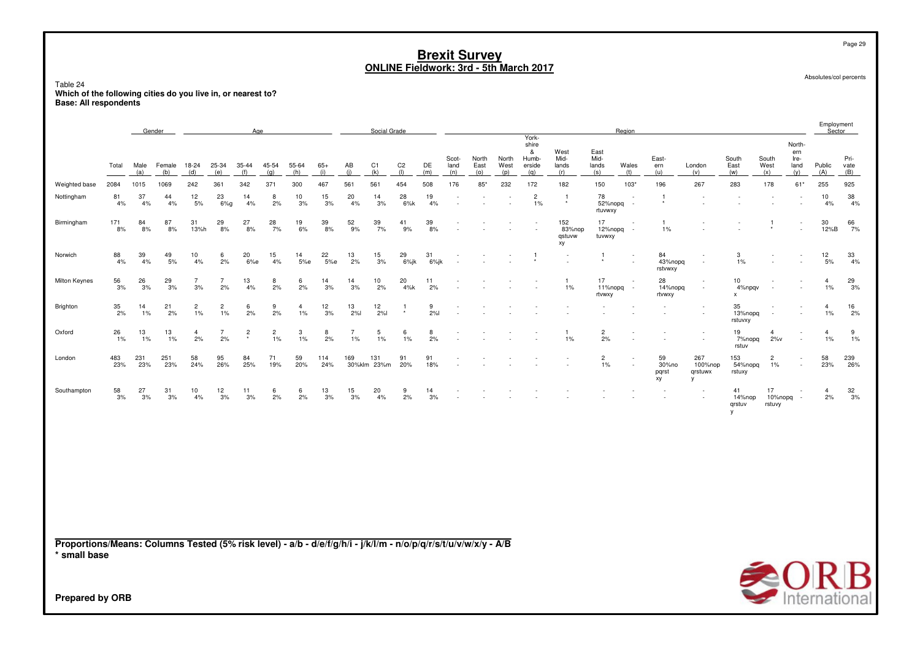Table 24**Which of the following cities do you live in, or nearest to? Base: All respondents**

|                                                                                                                                 |                  |             | Gender        |                      |                         | Age                       |                         |                         |              |                      | Social Grade          |                       |            |                      |                      |                      | York-                                |                               |                              | Region           |                            |                                |                              |                           |                                      | Employment<br>Sector    |                     |
|---------------------------------------------------------------------------------------------------------------------------------|------------------|-------------|---------------|----------------------|-------------------------|---------------------------|-------------------------|-------------------------|--------------|----------------------|-----------------------|-----------------------|------------|----------------------|----------------------|----------------------|--------------------------------------|-------------------------------|------------------------------|------------------|----------------------------|--------------------------------|------------------------------|---------------------------|--------------------------------------|-------------------------|---------------------|
|                                                                                                                                 | Total            | Male<br>(a) | Female<br>(b) | 18-24<br>(d)         | 25-34<br>(e)            | 35-44<br>(f)              | $45 - 54$<br>(q)        | 55-64<br>(h)            | $65+$<br>(i) | AB<br>(i)            | C <sub>1</sub><br>(k) | C <sub>2</sub><br>(1) | DE<br>(m)  | Scot-<br>land<br>(n) | North<br>East<br>(o) | North<br>West<br>(p) | shire<br>&<br>Humb-<br>erside<br>(q) | West<br>Mid-<br>lands<br>(r)  | East<br>Mid-<br>lands<br>(s) | Wales<br>(t)     | East-<br>ern<br>(u)        | London<br>(v)                  | South<br>East<br>(w)         | South<br>West<br>(x)      | North-<br>ern<br>Ire-<br>land<br>(y) | Public<br>(A)           | Pri-<br>vate<br>(B) |
| Weighted base                                                                                                                   | 2084             | 1015        | 1069          | 242                  | 361                     | 342                       | 371                     | 300                     | 467          | 561                  | 561                   | 454                   | 508        | 176                  | $85*$                | 232                  | 172                                  | 182                           | 150                          | $103*$           | 196                        | 267                            | 283                          | 178                       | $61*$                                | 255                     | 925                 |
| Nottingham                                                                                                                      | 81<br>4%         | 37<br>4%    | 44<br>4%      | 12<br>$5%$           | 23<br>$6\%g$            | 14<br>4%                  | 8<br>2%                 | 10<br>3%                | 15<br>3%     | 20<br>4%             | 14<br>3%              | 28<br>6%k             | 19<br>4%   |                      |                      |                      | $\overline{c}$<br>$1\%$              | $\mathbf{1}$<br>$\star$       | 78<br>52%nopq<br>rtuvwxy     | $\sim$<br>$\sim$ | -1                         |                                |                              |                           |                                      | 10<br>4%                | 38<br>4%            |
| Birmingham                                                                                                                      | 171<br>8%        | 84<br>8%    | 87<br>8%      | 31<br>13%h           | 29<br>8%                | 27<br>8%                  | 28<br>7%                | 19<br>6%                | 39<br>8%     | 52<br>9%             | 39<br>7%              | 41<br>9%              | 39<br>8%   |                      |                      |                      |                                      | 152<br>83%nop<br>qstuvw<br>хy | 17<br>12%nopq<br>tuvwxy      | $\sim$           | $\overline{1}$<br>1%       |                                |                              | 1                         |                                      | 30<br>12%B              | 66<br>7%            |
| Norwich                                                                                                                         | 88<br>4%         | 39<br>4%    | 49<br>5%      | 10<br>4%             | 6<br>2%                 | 20<br>6%e                 | 15<br>4%                | 14<br>5%e               | 22<br>5%e    | 13<br>2%             | 15<br>3%              | 29<br>6%jk            | 31<br>6%jk |                      |                      |                      | $\overline{1}$                       |                               | -1                           |                  | 84<br>43%nopq<br>rstvwxy   | ×                              | 3<br>1%                      |                           |                                      | 12<br>$5\%$             | 33<br>4%            |
| Milton Keynes                                                                                                                   | 56<br>3%         | 26<br>3%    | 29<br>3%      | $\overline{7}$<br>3% | $\overline{7}$<br>2%    | 13<br>4%                  | 8<br>2%                 | 6<br>2%                 | 14<br>3%     | 14<br>3%             | 10<br>2%              | 20<br>4%k             | 11<br>2%   |                      |                      |                      |                                      | 1<br>1%                       | 17<br>11%nopq<br>rtvwxy      | $\sim$           | 28<br>14%nopq<br>rtvwxy    | ٠                              | 10<br>4%npgv<br>$\mathbf{x}$ |                           |                                      | $\overline{4}$<br>1%    | $^{29}_{\ 3\%}$     |
| Brighton                                                                                                                        | $\frac{35}{2\%}$ | 14<br>1%    | 21<br>2%      | $\overline{c}$<br>1% | $\overline{c}$<br>$1\%$ | 6<br>2%                   | 9<br>2%                 | $\overline{4}$<br>$1\%$ | 12<br>3%     | 13<br>2%             | 12<br>2%              | ٠                     | 9<br>2%    |                      |                      |                      |                                      |                               |                              |                  |                            |                                | 35<br>13%nopq<br>rstuvxy     |                           |                                      | $\overline{4}$<br>$1\%$ | 16<br>2%            |
| Oxford                                                                                                                          | 26<br>$1\%$      | 13<br>1%    | 13<br>1%      | $\overline{4}$<br>2% | $\overline{7}$<br>2%    | $\overline{c}$<br>$\star$ | $\overline{c}$<br>$1\%$ | 3<br>1%                 | 8<br>2%      | $\overline{7}$<br>1% | 5<br>$1\%$            | 6<br>1%               | 8<br>2%    |                      |                      |                      |                                      | -1<br>1%                      | $\overline{c}$<br>2%         |                  |                            |                                | 19<br>7%nopq<br>rstuv        | $\overline{4}$<br>$2\%$ v |                                      | $\overline{4}$<br>1%    | 9<br>1%             |
| London                                                                                                                          | 483<br>23%       | 231<br>23%  | 251<br>23%    | 58<br>24%            | 95<br>26%               | 84<br>25%                 | 71<br>19%               | 59<br>20%               | 114<br>24%   | 169                  | 131<br>30%klm 23%m    | 91<br>20%             | 91<br>18%  |                      |                      |                      |                                      |                               | $\overline{2}$<br>$1\%$      |                  | 59<br>30%no<br>pqrst<br>xy | 267<br>100%nop<br>qrstuwx<br>۷ | 153<br>54%nopq<br>rstuxy     | $\overline{c}$<br>1%      |                                      | 58<br>23%               | 239<br>26%          |
| Southampton                                                                                                                     | $\frac{58}{3\%}$ | 27<br>3%    | 31<br>3%      | 10<br>4%             | 12<br>3%                | 11<br>3%                  | 6<br>2%                 | 6<br>2%                 | 13<br>3%     | 15<br>3%             | 20<br>4%              | 9<br>2%               | 14<br>3%   |                      |                      |                      |                                      |                               |                              |                  |                            |                                | 41<br>14%nop<br>qrstuv<br>у  | 17<br>10%nopq<br>rstuvy   |                                      | $\overline{4}$<br>2%    | $\frac{32}{3\%}$    |
|                                                                                                                                 |                  |             |               |                      |                         |                           |                         |                         |              |                      |                       |                       |            |                      |                      |                      |                                      |                               |                              |                  |                            |                                |                              |                           |                                      |                         |                     |
|                                                                                                                                 |                  |             |               |                      |                         |                           |                         |                         |              |                      |                       |                       |            |                      |                      |                      |                                      |                               |                              |                  |                            |                                |                              |                           |                                      |                         |                     |
|                                                                                                                                 |                  |             |               |                      |                         |                           |                         |                         |              |                      |                       |                       |            |                      |                      |                      |                                      |                               |                              |                  |                            |                                |                              |                           |                                      |                         |                     |
|                                                                                                                                 |                  |             |               |                      |                         |                           |                         |                         |              |                      |                       |                       |            |                      |                      |                      |                                      |                               |                              |                  |                            |                                |                              |                           |                                      |                         |                     |
| Proportions/Means: Columns Tested (5% risk level) - a/b - d/e/f/g/h/i - j/k/l/m - n/o/p/q/r/s/t/u/v/w/x/y - A/B<br>* small base |                  |             |               |                      |                         |                           |                         |                         |              |                      |                       |                       |            |                      |                      |                      |                                      |                               |                              |                  |                            |                                |                              |                           |                                      |                         |                     |



**Prepared by ORB**

Page 29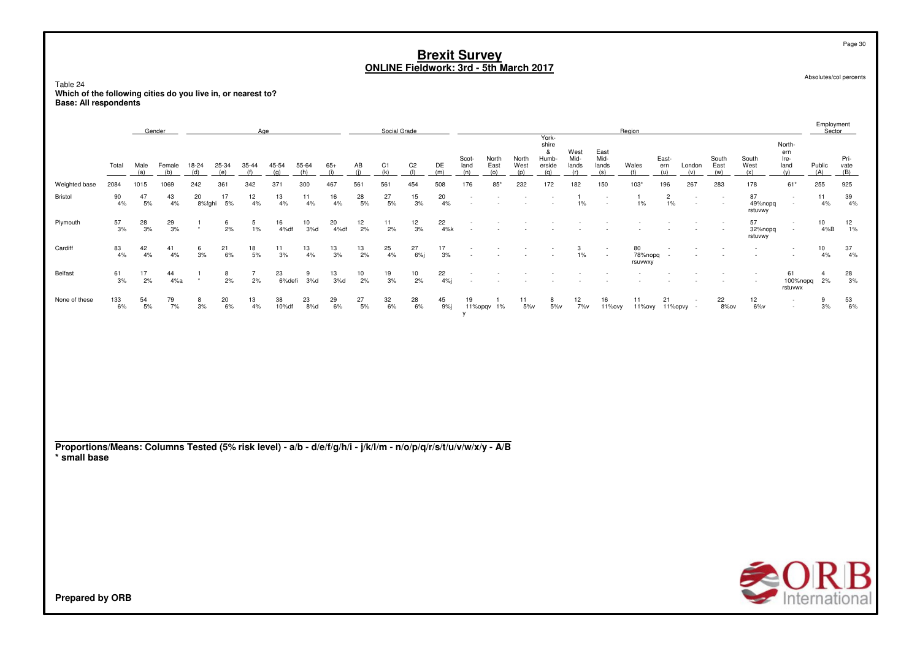Table 24 **Which of the following cities do you live in, or nearest to?Base: All respondents**

**Prepared by ORB**

|                |           |             | Gender          |              |               | Age              |              |              |              |                 | Social Grade          |                          |           |                      |                      |                      |                                               |                       |                                    | Region                   |                         |               |                      |                          |                                      | Employment<br>Sector |                     |
|----------------|-----------|-------------|-----------------|--------------|---------------|------------------|--------------|--------------|--------------|-----------------|-----------------------|--------------------------|-----------|----------------------|----------------------|----------------------|-----------------------------------------------|-----------------------|------------------------------------|--------------------------|-------------------------|---------------|----------------------|--------------------------|--------------------------------------|----------------------|---------------------|
|                | Total     | Male<br>(a) | Female<br>(b)   | 18-24<br>(d) | 25-34<br>(e)  | 35-44<br>(f)     | 45-54<br>(a) | 55-64<br>(h) | $65+$<br>(i) | AB<br>(i)       | C <sub>1</sub><br>(k) | C <sub>2</sub><br>$($  ) | DE<br>(m) | Scot-<br>land<br>(n) | North<br>East<br>(0) | North<br>West<br>(p) | York-<br>shire<br>&<br>Humb-<br>erside<br>(a) | West<br>Mid-<br>lands | East<br>Mid-<br>lands<br>(s)       | Wales<br>(t)             | East-<br>ern<br>(u)     | London<br>(v) | South<br>East<br>(w) | South<br>West<br>(x)     | North-<br>ern<br>Ire-<br>land<br>(v) | Public<br>(A)        | Pri-<br>vate<br>(B) |
| Weighted base  | 2084      | 1015        | 1069            | 242          | 361           | 342              | 371          | 300          | 467          | 561             | 561                   | 454                      | 508       | 176                  | 85*                  | 232                  | 172                                           | 182                   | 150                                | $103*$                   | 196                     | 267           | 283                  | 178                      | $61*$                                | 255                  | 925                 |
| <b>Bristol</b> | 90<br>4%  | 47<br>5%    | 43<br>4%        | 20<br>8%fghi | 17<br>5%      | 12<br>4%         | 13<br>4%     | 11<br>4%     | 16<br>4%     | $^{28}_{\ 5\%}$ | 27<br>5%              | 15<br>3%                 | 20<br>4%  | $\sim$               |                      |                      |                                               | 1%                    | $\sim$<br>$\overline{\phantom{a}}$ | 1%                       | $\overline{2}$<br>$1\%$ | $\sim$<br>٠   | $\sim$<br>$\sim$     | 87<br>49%nopq<br>rstuvwy | $\sim$                               | 11<br>4%             | 39<br>4%            |
| Plymouth       | 57<br>3%  | 28<br>3%    | $\frac{29}{3%}$ | $\star$      | 6<br>2%       | 5<br>$1\%$       | 16<br>4%df   | 10<br>3%d    | 20<br>4%df   | 12<br>2%        | 11<br>2%              | 12<br>3%                 | 22<br>4%k |                      |                      |                      |                                               |                       |                                    |                          |                         |               |                      | 57<br>32%nopq<br>rstuvwy | $\sim$<br>$\sim$                     | 10<br>4%B            | 12<br>1%            |
| Cardiff        | 83<br>4%  | 42<br>4%    | 41<br>4%        | 6<br>3%      | 21<br>6%      | 18<br>5%         | 11<br>3%     | 13<br>4%     | 13<br>3%     | 13<br>2%        | 25<br>4%              | 27<br>6%                 | 17<br>3%  |                      |                      |                      |                                               | 3<br>$1\%$            | $\sim$<br>$\sim$                   | 80<br>78%nopq<br>rsuvwxy |                         |               |                      |                          |                                      | 10<br>4%             | 37<br>4%            |
| Belfast        | 61<br>3%  | 17<br>2%    | 44<br>4%a       | $\star$      | 8<br>2%       | 2%               | 23<br>6%defi | 3%d          | 13<br>3%d    | 10<br>2%        | 19<br>3%              | 10<br>2%                 | 22<br>4%  |                      |                      |                      |                                               |                       |                                    | $\sim$                   |                         |               | $\sim$               |                          | 61<br>100%nopq<br>rstuvwx            | 2%                   | 28<br>3%            |
| None of these  | 133<br>6% | 54<br>5%    | 79<br>7%        | 8<br>3%      | $^{20}_{6\%}$ | $\frac{13}{4\%}$ | 38<br>10%df  | 23<br>8%d    | 29<br>6%     | 27<br>5%        | $\frac{32}{6\%}$      | $^{28}_{6\%}$            | 45<br>9%j | 19                   | 11%opqv 1%           | 11<br>$5\%$          | 8<br>$5\%$                                    | 12<br>7%v             | 16<br>11%ovy                       | 11<br>11%ovy 11%opvy -   | 21                      |               | 22<br>8%ov           | 12<br>$6\%$ v            | $\sim$<br>$\sim$                     | 9<br>3%              | $^{53}_{\ 6\%}$     |
|                |           |             |                 |              |               |                  |              |              |              |                 |                       |                          |           |                      |                      |                      |                                               |                       |                                    |                          |                         |               |                      |                          |                                      |                      |                     |

**Proportions/Means: Columns Tested (5% risk level) - a/b - d/e/f/g/h/i - j/k/l/m - n/o/p/q/r/s/t/u/v/w/x/y - A/B \* small base**

 $\bigcirc$  O R B

Page 30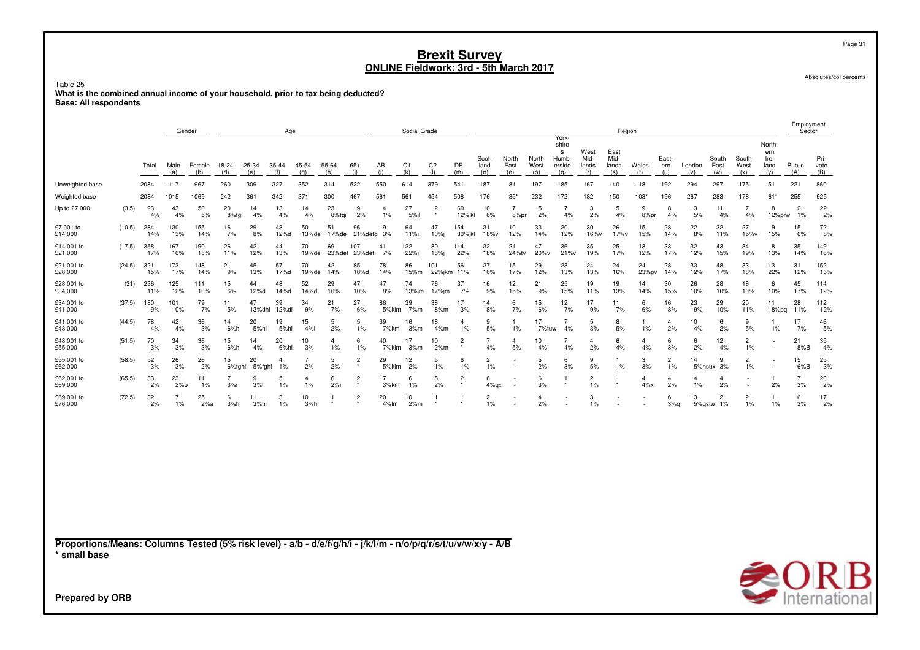Table 25**What is the combined annual income of your household, prior to tax being deducted? Base: All respondents**

|                                                                                                                                                    |        |            | Gender      |               |                      |              | Age                  |                      |              |                |                         | Social Grade          |                          |                      |                      |                      |                      |                                               |                              | Region                       |                      |                      |               |                      |                      |                                      | Employment<br>Sector |                     |
|----------------------------------------------------------------------------------------------------------------------------------------------------|--------|------------|-------------|---------------|----------------------|--------------|----------------------|----------------------|--------------|----------------|-------------------------|-----------------------|--------------------------|----------------------|----------------------|----------------------|----------------------|-----------------------------------------------|------------------------------|------------------------------|----------------------|----------------------|---------------|----------------------|----------------------|--------------------------------------|----------------------|---------------------|
|                                                                                                                                                    |        | Total      | Male<br>(a) | Female<br>(b) | 18-24<br>(d)         | 25-34<br>(e) | 35-44<br>(f)         | 45-54<br>(q)         | 55-64<br>(h) | $65+$<br>(i)   | AB<br>(i)               | C <sub>1</sub><br>(k) | C <sub>2</sub><br>$($  ) | DE<br>(m)            | Scot-<br>land<br>(n) | North<br>East<br>(o) | North<br>West<br>(p) | York-<br>shire<br>&<br>Humb-<br>erside<br>(g) | West<br>Mid-<br>lands<br>(r) | East<br>Mid-<br>lands<br>(s) | Wales<br>(t)         | East-<br>ern<br>(u)  | London<br>(v) | South<br>East<br>(w) | South<br>West<br>(x) | North-<br>ern<br>Ire-<br>land<br>(y) | Public<br>(A)        | Pri-<br>vate<br>(B) |
| Unweighted base                                                                                                                                    |        | 2084       | 1117        | 967           | 260                  | 309          | 327                  | 352                  | 314          | 522            | 550                     | 614                   | 379                      | 541                  | 187                  | 81                   | 197                  | 185                                           | 167                          | 140                          | 118                  | 192                  | 294           | 297                  | 175                  | 51                                   | 221                  | 860                 |
| Weighted base                                                                                                                                      |        | 2084       | 1015        | 1069          | 242                  | 361          | 342                  | 371                  | 300          | 467            | 561                     | 561                   | 454                      | 508                  | 176                  | $85*$                | 232                  | 172<br>$\overline{7}$                         | 182                          | 150                          | $103*$               | 196                  | 267           | 283                  | 178                  | $61*$                                | 255                  | 925                 |
| Up to £7,000                                                                                                                                       | (3.5)  | 93<br>4%   | 43<br>4%    | 50<br>5%      | 20<br>8%fgi          | 14<br>4%     | 13<br>4%             | 14<br>4%             | 23<br>8%fgi  | 9<br>2%        | $\overline{4}$<br>$1\%$ | 27<br>$5%$ jl         | $\overline{2}$           | 60<br>12%jkl         | 10<br>6%             | 7<br>8%pr            | -5<br>2%             | 4%                                            | 3<br>2%                      | 5<br>4%                      | 9<br>8%pr            | 8<br>4%              | 13<br>5%      | 11<br>4%             | $\overline{7}$<br>4% | 8<br>12%prw                          | $\overline{2}$<br>1% | 22<br>2%            |
| £7,001 to<br>£14,000                                                                                                                               | (10.5) | 284<br>14% | 130<br>13%  | 155<br>14%    | 16<br>7%             | 29<br>8%     | 43<br>12%d           | 50<br>$13%$ de       | 51<br>17%de  | 96<br>21%defg  | 19<br>3%                | 64<br>11%j            | 47<br>10%i               | 154<br>30%jkl        | 31<br>18%v           | 10<br>12%            | 33<br>14%            | 20<br>12%                                     | 30<br>16%v                   | 26<br>17%v                   | 15<br>15%            | 28<br>14%            | 22<br>8%      | 32<br>11%            | 27<br>15%v           | 9<br>15%                             | 15<br>6%             | 72<br>8%            |
| £14,001 to<br>£21,000                                                                                                                              | (17.5) | 358<br>17% | 167<br>16%  | 190<br>18%    | 26<br>11%            | 42<br>12%    | 44<br>13%            | 70<br>19%de          | 69<br>23%def | 107<br>23%def  | 41<br>7%                | 122<br>22%j           | 80<br>18%j               | 114<br>22%           | 32<br>18%            | 21<br>24%tv          | 47<br>20%v           | 36<br>21%v                                    | 35<br>19%                    | 25<br>17%                    | 13<br>12%            | 33<br>17%            | 32<br>12%     | 43<br>15%            | 34<br>19%            | 8<br>13%                             | 35<br>14%            | 149<br>16%          |
| £21,001 to<br>£28,000                                                                                                                              | (24.5) | 321<br>15% | 173<br>17%  | 148<br>14%    | 21<br>9%             | 45<br>13%    | 57<br>17%d           | 70<br>19%de          | 42<br>14%    | 85<br>18%d     | 78<br>14%               | 86<br>15%m            | 101<br>22%jkm            | 56<br>11%            | 27<br>16%            | 15<br>17%            | 29<br>12%            | 23<br>13%                                     | 24<br>13%                    | 24<br>16%                    | 24<br>23%pv          | 28<br>14%            | 33<br>12%     | 48<br>17%            | 33<br>18%            | 13<br>22%                            | 31<br>12%            | 152<br>16%          |
| £28,001 to<br>£34,000                                                                                                                              | (31)   | 236<br>11% | 125<br>12%  | 111<br>10%    | 15<br>6%             | 44<br>12%d   | 48<br>14%d           | 52<br>14%d           | 29<br>10%    | 47<br>10%      | 47<br>8%                | 74<br>13%jm           | 76<br>17%jm              | 37<br>7%             | 16<br>9%             | 12<br>15%            | 21<br>9%             | 25<br>15%                                     | 19<br>11%                    | 19<br>13%                    | 14<br>14%            | 30<br>15%            | 26<br>10%     | 28<br>10%            | 18<br>10%            | 6<br>10%                             | 45<br>17%            | 114<br>12%          |
| £34,001 to<br>£41,000                                                                                                                              | (37.5) | 180<br>9%  | 101<br>10%  | 79<br>7%      | 11<br>5%             | 47<br>13%dhi | 39<br>12%di          | 34<br>9%             | 21<br>7%     | 27<br>6%       | 86<br>15%klm            | 39<br>7%m             | 38<br>8%m                | 17<br>3%             | 14<br>8%             | 6<br>7%              | 15<br>6%             | 12<br>7%                                      | 17<br>9%                     | 11<br>7%                     | 6<br>6%              | 16<br>8%             | 23<br>9%      | 29<br>10%            | 20<br>11%            | 11<br>$18%$ pq                       | 28<br>11%            | 112<br>12%          |
| £41,001 to<br>£48,000                                                                                                                              | (44.5) | 78<br>4%   | 42<br>4%    | 36<br>3%      | 14<br>6%hi           | 20<br>5%hi   | 19<br>5%hi           | 15<br>4%             | 5<br>2%      | 5<br>1%        | 39<br>7%km              | 16<br>3%m             | 18<br>4%m                | $\overline{a}$<br>1% | 9<br>5%              | $\mathbf{1}$<br>1%   | 17<br>7%tuw          | $\overline{7}$<br>4%                          | 5<br>3%                      | 8<br>5%                      | 1%                   | $\overline{a}$<br>2% | 10<br>4%      | 6<br>2%              | 9<br>5%              | 1<br>1%                              | 17<br>7%             | 46<br>5%            |
| £48,001 to<br>£55,000                                                                                                                              | (51.5) | 70<br>3%   | 34<br>3%    | 36<br>3%      | 15<br>6%hi           | 14<br>4%i    | 20<br>6%hi           | 10<br>3%             | 4<br>1%      | 6<br>1%        | 40<br>7%klm             | 17<br>3%m             | 10<br>2%m                | $\overline{c}$       | $\overline{7}$<br>4% | 4<br>5%              | 10<br>4%             | $\overline{7}$<br>4%                          | $\overline{4}$<br>2%         | 6<br>4%                      | $\overline{4}$<br>4% | 6<br>3%              | 6<br>2%       | 12<br>4%             | $\overline{c}$<br>1% |                                      | 21<br>8%B            | 35<br>4%            |
| £55,001 to<br>£62,000                                                                                                                              | (58.5) | 52<br>3%   | 26<br>3%    | 26<br>2%      | 15<br>6%fghi         | 20<br>5%fghi | $\overline{4}$<br>1% | 7<br>2%              | 5<br>2%      | 2              | 29<br>5%klm             | 12<br>2%              | 5<br>1%                  | 6<br>$1\%$           | $\overline{2}$<br>1% |                      | 5<br>2%              | 6<br>3%                                       | 9<br>5%                      | 1<br>1%                      | 3<br>3%              | $\overline{2}$<br>1% | 14            | 9<br>5%nsux 3%       | $\overline{c}$<br>1% |                                      | 15<br>6%B            | 25<br>3%            |
| £62,001 to<br>£69,000                                                                                                                              | (65.5) | 33<br>2%   | 23<br>2%b   | 11<br>1%      | $\overline{7}$<br>3% | 9<br>3%      | 5<br>1%              | $\overline{4}$<br>1% | 6<br>2%i     | $\overline{2}$ | 17<br>3%km              | 6<br>1%               | 8<br>2%                  | $\overline{c}$       | 6<br>$4\%$ gx        |                      | 6<br>3%              | 1                                             | $\overline{2}$<br>1%         | 1                            | 4<br>$4\%x$          | 4<br>2%              | 4<br>1%       | 4<br>2%              | $\sim$               | 1<br>2%                              | $\overline{7}$<br>3% | 20<br>2%            |
| £69,001 to<br>£76,000                                                                                                                              | (72.5) | 32<br>2%   | 7<br>$1\%$  | 25<br>2%a     | 6<br>3%hi            | 11<br>3%hi   | 3<br>$1\%$           | 10<br>3%hi           |              |                | 20<br>4%lm              | 10<br>2%m             |                          |                      | $\overline{c}$<br>1% |                      | $\overline{4}$<br>2% |                                               | 3<br>$1\%$                   |                              |                      | 6<br>3%q             | 13<br>5%qstw  | 2<br>1%              | $\overline{2}$<br>1% | 1<br>1%                              | 6<br>3%              | 17<br>2%            |
|                                                                                                                                                    |        |            |             |               |                      |              |                      |                      |              |                |                         |                       |                          |                      |                      |                      |                      |                                               |                              |                              |                      |                      |               |                      |                      |                                      |                      |                     |
| Proportions/Means: Columns Tested (5% risk level) - a/b - d/e/f/g/h/i - j/k/l/m - n/o/p/q/r/s/t/u/v/w/x/y - A/B<br>* small base<br>Droporod by ODD |        |            |             |               |                      |              |                      |                      |              |                |                         |                       |                          |                      |                      |                      |                      |                                               |                              |                              |                      |                      |               |                      |                      |                                      |                      | $\triangle$ OR      |

Page 31

Absolutes/col percents

International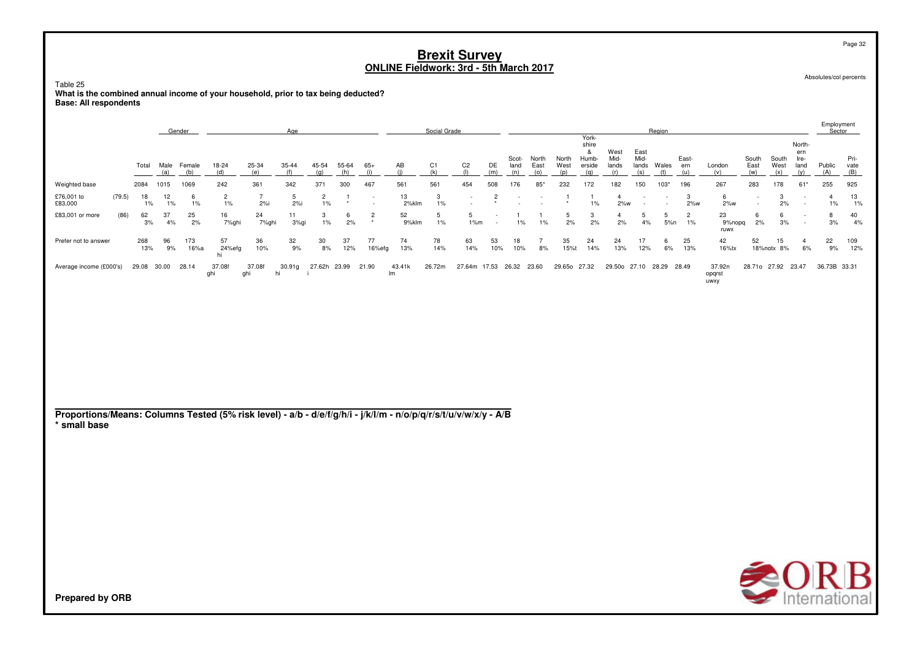Table 25 What is the combined annual income of your household, prior to tax being deducted? **Base: All respondents** 

|                         |        |             | Gender      |             |                         |               | Age          |                      |           |              |              | Social Grade |                    |           |               |               |               |                                   |                       |                              | Region      |              |                          |                      |                      |                               | Employment<br>Sector |                     |
|-------------------------|--------|-------------|-------------|-------------|-------------------------|---------------|--------------|----------------------|-----------|--------------|--------------|--------------|--------------------|-----------|---------------|---------------|---------------|-----------------------------------|-----------------------|------------------------------|-------------|--------------|--------------------------|----------------------|----------------------|-------------------------------|----------------------|---------------------|
|                         |        | Total       | Male<br>(a) | Female      | 18-24                   | 25-34         | $35 - 44$    | 45-54<br>$\alpha$    | 55-64     | 65+          | AB           | C1           | C <sub>2</sub>     | DE<br>(m) | Scot-<br>land | North<br>East | North<br>West | York-<br>shire<br>Humb-<br>erside | West<br>Mid-<br>lands | East<br>Mid-<br>lands<br>(s) | Wales       | East-<br>ern | London<br>(v)            | South<br>East<br>(w) | South<br>West<br>(x) | North-<br>ern<br>Ire-<br>land | Public<br>(A)        | Pri-<br>vate<br>(B) |
| Weighted base           |        | 2084        | 1015        | 1069        | 242                     | 361           | 342          | 371                  | 300       | 467          | 561          | 561          | 454                | 508       | 176           | $85*$         | 232           | 172                               | 182                   | 150                          | $103*$      | 196          | 267                      | 283                  | 178                  | $61*$                         | 255                  | 925                 |
| £76,001 to<br>£83,000   | (79.5) | 18<br>$1\%$ | 12<br>1%    | 6<br>$1\%$  | $\overline{2}$<br>$1\%$ | 2%            | 2%           | $\overline{2}$<br>1% |           | $\sim$       | 13<br>2%klm  | 3<br>$1\%$   | . .                |           |               |               |               | 1%                                | 2%w                   |                              |             | 2%w          | 6<br>$2\%$ w             |                      | 3<br>2%              | . .                           | $1\%$                | 13<br>1%            |
| £83,001 or more         | (86)   | 62<br>3%    | 37<br>4%    | 25<br>2%    | 16<br>7%ghi             | 24<br>7%ghi   | 11<br>3%gi   | 3<br>$1\%$           | 6<br>2%   | $\star$      | 52<br>9%klm  | $1\%$        | 5<br>1%m           |           | 1%            | $1\%$         | 5<br>2%       | 3<br>2%                           | 2%                    | 4%                           | 5%n         | 1%           | 23<br>9%nopq<br>ruwx     | n<br>2%              | b<br>3%              | . .                           | 8<br>3%              | 40<br>4%            |
| Prefer not to answer    |        | 268<br>13%  | 96<br>9%    | 173<br>16%a | 57<br>24%efg<br>hi      | 36<br>10%     | 32<br>9%     | 30<br>8%             | 37<br>12% | 77<br>16%efg | 74<br>13%    | 78<br>14%    | 63<br>14%          | 53<br>10% | 18<br>10%     | 8%            | 35<br>15%t    | 24<br>14%                         | 24<br>13%             | 17<br>12%                    | 6<br>6%     | 25<br>13%    | 42<br>16%tx              | 52                   | 15<br>18%notx 8%     | 6%                            | 22<br>9%             | 109<br>12%          |
| Average income (£000's) |        | 29.08       | 30.00       | 28.14       | 37.08f<br>ghi           | 37.08f<br>ahi | 30.91g<br>hi | 27.62h               | 23.99     | 21.90        | 43.41k<br>Im | 26.72m       | 27.64m 17.53 26.32 |           |               | 23.60         | 29.65o        | 27.32                             | 29.50o                | 27.10                        | 28.29 28.49 |              | 37.92n<br>opqrst<br>uwxy | 28.71o 27.92         |                      | 23.47                         | 36.73B 33.31         |                     |

Proportions/Means: Columns Tested (5% risk level) - a/b - d/e/f/g/h/i - j/k/l/m - n/o/p/q/r/s/t/u/v/w/x/y - A/B \* small base



Page 32

Absolutes/col percents